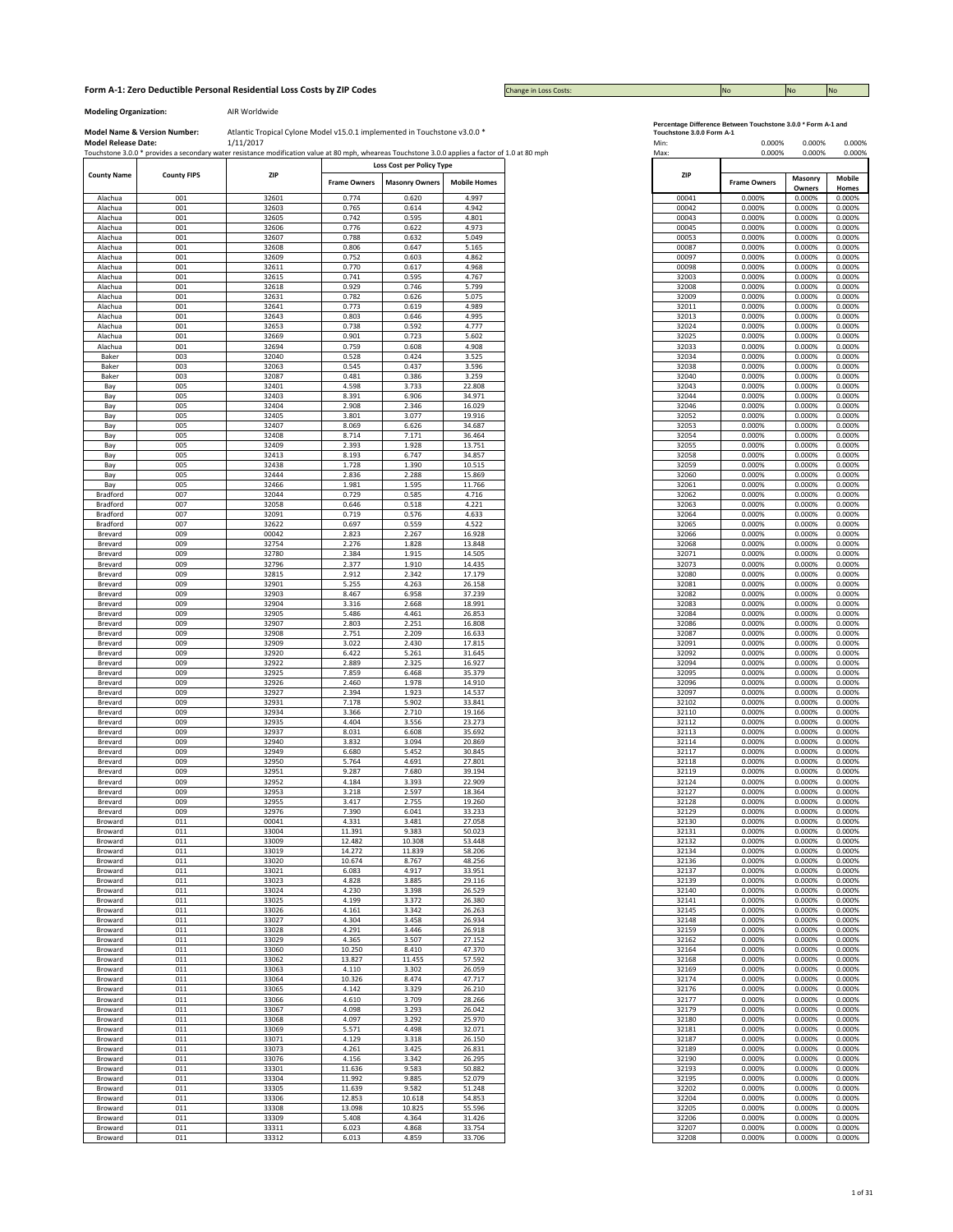## **Form A-1: Zero Deductible Personal Residential Loss Costs by ZIP Codes No No No No No No No No No No No No No** No

Change in Loss Costs:

**Modeling Organization:** AIR Worldwide

|                      |                    | Touchstone 3.0.0 * provides a secondary water resistance modification value at 80 mph, wheareas Touchstone 3.0.0 applies a factor of 1.0 at 80 mph |                     |                           |                     |
|----------------------|--------------------|----------------------------------------------------------------------------------------------------------------------------------------------------|---------------------|---------------------------|---------------------|
| <b>County Name</b>   | <b>County FIPS</b> | ZIP                                                                                                                                                |                     | Loss Cost per Policy Type |                     |
|                      |                    |                                                                                                                                                    | <b>Frame Owners</b> | <b>Masonry Owners</b>     | <b>Mobile Homes</b> |
| Alachua              | 001                | 32601                                                                                                                                              | 0.774               | 0.620                     | 4.997               |
| Alachua              | 001                | 32603                                                                                                                                              | 0.765               | 0.614                     | 4.942               |
| Alachua              | 001                | 32605                                                                                                                                              | 0.742               | 0.595                     | 4.801               |
| Alachua              | 001                | 32606                                                                                                                                              | 0.776               | 0.622                     | 4.973               |
| Alachua              | 001                | 32607                                                                                                                                              | 0.788               | 0.632                     | 5.049               |
| Alachua<br>Alachua   | 001<br>001         | 32608<br>32609                                                                                                                                     | 0.806<br>0.752      | 0.647<br>0.603            | 5.165<br>4.862      |
| Alachua              | 001                | 32611                                                                                                                                              | 0.770               | 0.617                     | 4.968               |
| Alachua              | 001                | 32615                                                                                                                                              | 0.741               | 0.595                     | 4.767               |
| Alachua              | 001                | 32618                                                                                                                                              | 0.929               | 0.746                     | 5.799               |
| Alachua              | 001                | 32631                                                                                                                                              | 0.782               | 0.626                     | 5.075               |
| Alachua              | 001                | 32641                                                                                                                                              | 0.773               | 0.619                     | 4.989               |
| Alachua              | 001                | 32643                                                                                                                                              | 0.803               | 0.646                     | 4.995               |
| Alachua              | 001                | 32653                                                                                                                                              | 0.738               | 0.592                     | 4.777               |
| Alachua              | 001                | 32669                                                                                                                                              | 0.901               | 0.723                     | 5.602               |
| Alachua              | 001                | 32694                                                                                                                                              | 0.759               | 0.608                     | 4.908               |
| Baker                | 003                | 32040                                                                                                                                              | 0.528               | 0.424                     | 3.525               |
| Baker                | 003<br>003         | 32063<br>32087                                                                                                                                     | 0.545<br>0.481      | 0.437                     | 3.596<br>3.259      |
| Baker<br>Bay         | 005                | 32401                                                                                                                                              | 4.598               | 0.386<br>3.733            | 22.808              |
| Bay                  | 005                | 32403                                                                                                                                              | 8.391               | 6.906                     | 34.971              |
| Bay                  | 005                | 32404                                                                                                                                              | 2.908               | 2.346                     | 16.029              |
| Bay                  | 005                | 32405                                                                                                                                              | 3.801               | 3.077                     | 19.916              |
| Bay                  | 005                | 32407                                                                                                                                              | 8.069               | 6.626                     | 34.687              |
| Bay                  | 005                | 32408                                                                                                                                              | 8.714               | 7.171                     | 36.464              |
| Bay                  | 005                | 32409                                                                                                                                              | 2.393               | 1.928                     | 13.751              |
| Bay                  | 005                | 32413                                                                                                                                              | 8.193               | 6.747                     | 34.857              |
| Bay                  | 005                | 32438                                                                                                                                              | 1.728               | 1.390                     | 10.515              |
| Bay                  | 005                | 32444                                                                                                                                              | 2.836               | 2.288                     | 15.869              |
| Bay                  | 005                | 32466                                                                                                                                              | 1.981               | 1.595                     | 11.766              |
| Bradford             | 007                | 32044                                                                                                                                              | 0.729               | 0.585                     | 4.716               |
| Bradford             | 007                | 32058                                                                                                                                              | 0.646               | 0.518                     | 4.221               |
| Bradford<br>Bradford | 007<br>007         | 32091<br>32622                                                                                                                                     | 0.719<br>0.697      | 0.576<br>0.559            | 4.633<br>4.522      |
| Brevard              | 009                | 00042                                                                                                                                              | 2.823               | 2.267                     | 16.928              |
| Brevard              | 009                | 32754                                                                                                                                              | 2.276               | 1.828                     | 13.848              |
| Brevard              | 009                | 32780                                                                                                                                              | 2.384               | 1.915                     | 14.505              |
| Brevard              | 009                | 32796                                                                                                                                              | 2.377               | 1.910                     | 14.435              |
| Brevard              | 009                | 32815                                                                                                                                              | 2.912               | 2.342                     | 17.179              |
| Brevard              | 009                | 32901                                                                                                                                              | 5.255               | 4.263                     | 26.158              |
| Brevard              | 009                | 32903                                                                                                                                              | 8.467               | 6.958                     | 37.239              |
| Brevard              | 009                | 32904                                                                                                                                              | 3.316               | 2.668                     | 18.991              |
| Brevard              | 009                | 32905                                                                                                                                              | 5.486               | 4.461                     | 26.853              |
| Brevard              | 009                | 32907                                                                                                                                              | 2.803               | 2.251                     | 16.808              |
| Brevard<br>Brevard   | 009<br>009         | 32908<br>32909                                                                                                                                     | 2.751<br>3.022      | 2.209<br>2.430            | 16.633<br>17.815    |
| Brevard              | 009                | 32920                                                                                                                                              | 6.422               | 5.261                     | 31.645              |
| Brevard              | 009                | 32922                                                                                                                                              | 2.889               | 2.325                     | 16.927              |
| Brevard              | 009                | 32925                                                                                                                                              | 7.859               | 6.468                     | 35.379              |
| Brevard              | 009                | 32926                                                                                                                                              | 2.460               | 1.978                     | 14.910              |
| Brevard              | 009                | 32927                                                                                                                                              | 2.394               | 1.923                     | 14.537              |
| Brevard              | 009                | 32931                                                                                                                                              | 7.178               | 5.902                     | 33.841              |
| Brevard              | 009                | 32934                                                                                                                                              | 3.366               | 2.710                     | 19.166              |
| Brevard              | 009                | 32935                                                                                                                                              | 4.404               | 3.556                     | 23.273              |
| Brevard              | 009                | 32937                                                                                                                                              | 8.031               | 6.608                     | 35.692              |
| Brevard              | 009                | 32940                                                                                                                                              | 3.832               | 3.094                     | 20.869              |
| Brevard              | 009                | 32949                                                                                                                                              | 6.680               | 5.452                     | 30.845              |
| Brevard<br>Brevard   | 009<br>009         | 32950<br>32951                                                                                                                                     | 5.764<br>9.287      | 4.691<br>7.680            | 27.801<br>39.194    |
| Brevard              | 009                | 32952                                                                                                                                              | 4.184               | 3.393                     | 22.909              |
| Brevard              | 009                | 32953                                                                                                                                              | 3.218               | 2.597                     | 18.364              |
| Brevard              | 009                | 32955                                                                                                                                              | 3.417               | 2.755                     | 19.260              |
| Brevard              | 009                | 32976                                                                                                                                              | 7.390               | 6.041                     | 33.233              |
| Broward              | 011                | 00041                                                                                                                                              | 4.331               | 3.481                     | 27.058              |
| Broward              | 011                | 33004                                                                                                                                              | 11.391              | 9.383                     | 50.023              |
| Broward              | 011                | 33009                                                                                                                                              | 12.482              | 10.308                    | 53.448              |
| Broward              | 011                | 33019                                                                                                                                              | 14.272              | 11.839                    | 58.206              |
| Broward              | 011                | 33020                                                                                                                                              | 10.674              | 8.767                     | 48.256              |
| Broward              | 011                | 33021                                                                                                                                              | 6.083               | 4.917                     | 33.951              |
| Broward              | 011<br>011         | 33023<br>33024                                                                                                                                     | 4.828<br>4.230      | 3.885<br>3.398            | 29.116<br>26.529    |
| Broward<br>Broward   | 011                | 33025                                                                                                                                              | 4.199               | 3.372                     | 26.380              |
| Broward              | 011                | 33026                                                                                                                                              | 4.161               | 3.342                     | 26.263              |
| Broward              | 011                | 33027                                                                                                                                              | 4.304               | 3.458                     | 26.934              |
| Broward              | 011                | 33028                                                                                                                                              | 4.291               | 3.446                     | 26.918              |
| Broward              | 011                | 33029                                                                                                                                              | 4.365               | 3.507                     | 27.152              |
| Broward              | 011                | 33060                                                                                                                                              | 10.250              | 8.410                     | 47.370              |
| Broward              | 011                | 33062                                                                                                                                              | 13.827              | 11.455                    | 57.592              |
| Broward              | 011                | 33063                                                                                                                                              | 4.110               | 3.302                     | 26.059              |
| Broward              | 011                | 33064                                                                                                                                              | 10.326              | 8.474                     | 47.717              |
| Broward              | 011                | 33065                                                                                                                                              | 4.142               | 3.329                     | 26.210              |
| Broward              | 011                | 33066                                                                                                                                              | 4.610               | 3.709                     | 28.266              |
| Broward              | 011                | 33067                                                                                                                                              | 4.098               | 3.293                     | 26.042              |
| Broward              | 011                | 33068                                                                                                                                              | 4.097               | 3.292                     | 25.970              |
| Broward              | 011                | 33069                                                                                                                                              | 5.571               | 4.498                     | 32.071              |
| Broward              | 011                | 33071                                                                                                                                              | 4.129               | 3.318                     | 26.150              |
| Broward              | 011                | 33073                                                                                                                                              | 4.261               | 3.425                     | 26.831              |
| Broward              | 011                | 33076                                                                                                                                              | 4.156               | 3.342                     | 26.295              |
| Broward              | 011                | 33301                                                                                                                                              | 11.636              | 9.583                     | 50.882              |
| Broward              | 011                | 33304                                                                                                                                              | 11.992              | 9.885                     | 52.079              |
| Broward              | 011                | 33305                                                                                                                                              | 11.639              | 9.582                     | 51.248              |
| Broward<br>Broward   | 011<br>011         | 33306<br>33308                                                                                                                                     | 12.853<br>13.098    | 10.618<br>10.825          | 54.853<br>55.596    |
| Broward              | 011                | 33309                                                                                                                                              | 5.408               | 4.364                     | 31.426              |
| Broward              | 011                | 33311                                                                                                                                              | 6.023               | 4.868                     | 33.754              |
| Broward              | 011                | 33312                                                                                                                                              | 6.013               | 4.859                     | 33.706              |
|                      |                    |                                                                                                                                                    |                     |                           |                     |

|  | ercentage Difference Between Touchstone 3.0.0 * Form A-1 an |  |  |
|--|-------------------------------------------------------------|--|--|
|  |                                                             |  |  |

| Max:           | 0.000%              | 0.000%           | 0.000%           |
|----------------|---------------------|------------------|------------------|
| ZIP            |                     | Masonry          | <b>Mobile</b>    |
|                | <b>Frame Owners</b> | Owners           | Homes            |
| 00041          | 0.000%              | 0.000%           | 0.000%           |
| 00042<br>00043 | 0.000%<br>0.000%    | 0.000%<br>0.000% | 0.000%<br>0.000% |
| 00045          | 0.000%              | 0.000%           | 0.000%           |
| 00053          | 0.000%              | 0.000%           | 0.000%           |
| 00087          | 0.000%              | 0.000%           | 0.000%           |
| 00097          | 0.000%              | 0.000%           | 0.000%           |
| 00098<br>32003 | 0.000%<br>0.000%    | 0.000%<br>0.000% | 0.000%<br>0.000% |
| 32008          | 0.000%              | 0.000%           | 0.000%           |
| 32009          | 0.000%              | 0.000%           | 0.000%           |
| 32011          | 0.000%              | 0.000%           | 0.000%           |
| 32013          | 0.000%              | 0.000%           | 0.000%           |
| 32024          | 0.000%              | 0.000%           | 0.000%           |
| 32025<br>32033 | 0.000%<br>0.000%    | 0.000%<br>0.000% | 0.000%<br>0.000% |
| 32034          | 0.000%              | 0.000%           | 0.000%           |
| 32038          | 0.000%              | 0.000%           | 0.000%           |
| 32040          | 0.000%              | 0.000%           | 0.000%           |
| 32043          | 0.000%              | 0.000%           | 0.000%           |
| 32044          | 0.000%              | 0.000%           | 0.000%           |
| 32046          | 0.000%              | 0.000%           | 0.000%           |
| 32052<br>32053 | 0.000%<br>0.000%    | 0.000%<br>0.000% | 0.000%<br>0.000% |
| 32054          | 0.000%              | 0.000%           | 0.000%           |
| 32055          | 0.000%              | 0.000%           | 0.000%           |
| 32058          | 0.000%              | 0.000%           | 0.000%           |
| 32059          | 0.000%              | 0.000%           | 0.000%           |
| 32060          | 0.000%              | 0.000%           | 0.000%           |
| 32061          | 0.000%              | 0.000%           | 0.000%           |
| 32062<br>32063 | 0.000%<br>0.000%    | 0.000%<br>0.000% | 0.000%<br>0.000% |
| 32064          | 0.000%              | 0.000%           | 0.000%           |
| 32065          | 0.000%              | 0.000%           | 0.000%           |
| 32066          | 0.000%              | 0.000%           | 0.000%           |
| 32068          | 0.000%              | 0.000%           | 0.000%           |
| 32071          | 0.000%              | 0.000%           | 0.000%           |
| 32073          | 0.000%              | 0.000%           | 0.000%           |
| 32080<br>32081 | 0.000%<br>0.000%    | 0.000%<br>0.000% | 0.000%<br>0.000% |
| 32082          | 0.000%              | 0.000%           | 0.000%           |
| 32083          | 0.000%              | 0.000%           | 0.000%           |
| 32084          | 0.000%              | 0.000%           | 0.000%           |
| 32086          | 0.000%              | 0.000%           | 0.000%           |
| 32087          | 0.000%              | 0.000%           | 0.000%           |
| 32091          | 0.000%              | 0.000%           | 0.000%           |
| 32092<br>32094 | 0.000%<br>0.000%    | 0.000%<br>0.000% | 0.000%<br>0.000% |
| 32095          | 0.000%              | 0.000%           | 0.000%           |
| 32096          | 0.000%              | 0.000%           | 0.000%           |
| 32097          | 0.000%              | 0.000%           | 0.000%           |
| 32102          | 0.000%              | 0.000%           | 0.000%           |
| 32110          | 0.000%              | 0.000%           | 0.000%           |
| 32112<br>32113 | 0.000%<br>0.000%    | 0.000%<br>0.000% | 0.000%<br>0.000% |
| 32114          | 0.000%              | 0.000%           | 0.000%           |
| 32117          | 0.000%              | 0.000%           | 0.000%           |
| 32118          | 0.000%              | 0.000%           | 0.000%           |
| 32119          | 0.000%              | 0.000%           | 0.000%           |
| 32124          | 0.000%              | 0.000%           | 0.000%           |
| 32127          | 0.000%              | 0.000%           | 0.000%           |
| 32128<br>32129 | 0.000%<br>0.000%    | 0.000%<br>0.000% | 0.000%<br>0.000% |
| 32130          | 0.000%              | 0.000%           | 0.000%           |
| 32131          | 0.000%              | 0.000%           | 0.000%           |
| 32132          | 0.000%              | 0.000%           | 0.000%           |
| 32134          | 0.000%              | 0.000%           | 0.000%           |
| 32136          | 0.000%<br>0.000%    | 0.000%<br>0.000% | 0.000%           |
| 32137<br>32139 | 0.000%              | 0.000%           | 0.000%<br>0.000% |
| 32140          | 0.000%              | 0.000%           | 0.000%           |
| 32141          | 0.000%              | 0.000%           | 0.000%           |
| 32145          | 0.000%              | 0.000%           | 0.000%           |
| 32148          | 0.000%              | 0.000%           | 0.000%           |
| 32159          | 0.000%              | 0.000%           | 0.000%           |
| 32162          | 0.000%              | 0.000%           | 0.000%           |
| 32164<br>32168 | 0.000%<br>0.000%    | 0.000%<br>0.000% | 0.000%<br>0.000% |
| 32169          | 0.000%              | 0.000%           | 0.000%           |
| 32174          | 0.000%              | 0.000%           | 0.000%           |
| 32176          | 0.000%              | 0.000%           | 0.000%           |
| 32177          | 0.000%              | 0.000%           | 0.000%           |
| 32179          | 0.000%              | 0.000%           | 0.000%           |
| 32180          | 0.000%              | 0.000%           | 0.000%           |
| 32181          | 0.000%              | 0.000%           | 0.000%           |
| 32187<br>32189 | 0.000%<br>0.000%    | 0.000%<br>0.000% | 0.000%<br>0.000% |
| 32190          | 0.000%              | 0.000%           | 0.000%           |
| 32193          | 0.000%              | 0.000%           | 0.000%           |
| 32195          | 0.000%              | 0.000%           | 0.000%           |
| 32202          | 0.000%              | 0.000%           | 0.000%           |
| 32204          | 0.000%              | 0.000%           | 0.000%           |
| 32205          | 0.000%              | 0.000%           | 0.000%           |
| 32206<br>32207 | 0.000%<br>0.000%    | 0.000%<br>0.000% | 0.000%<br>0.000% |
|                |                     |                  |                  |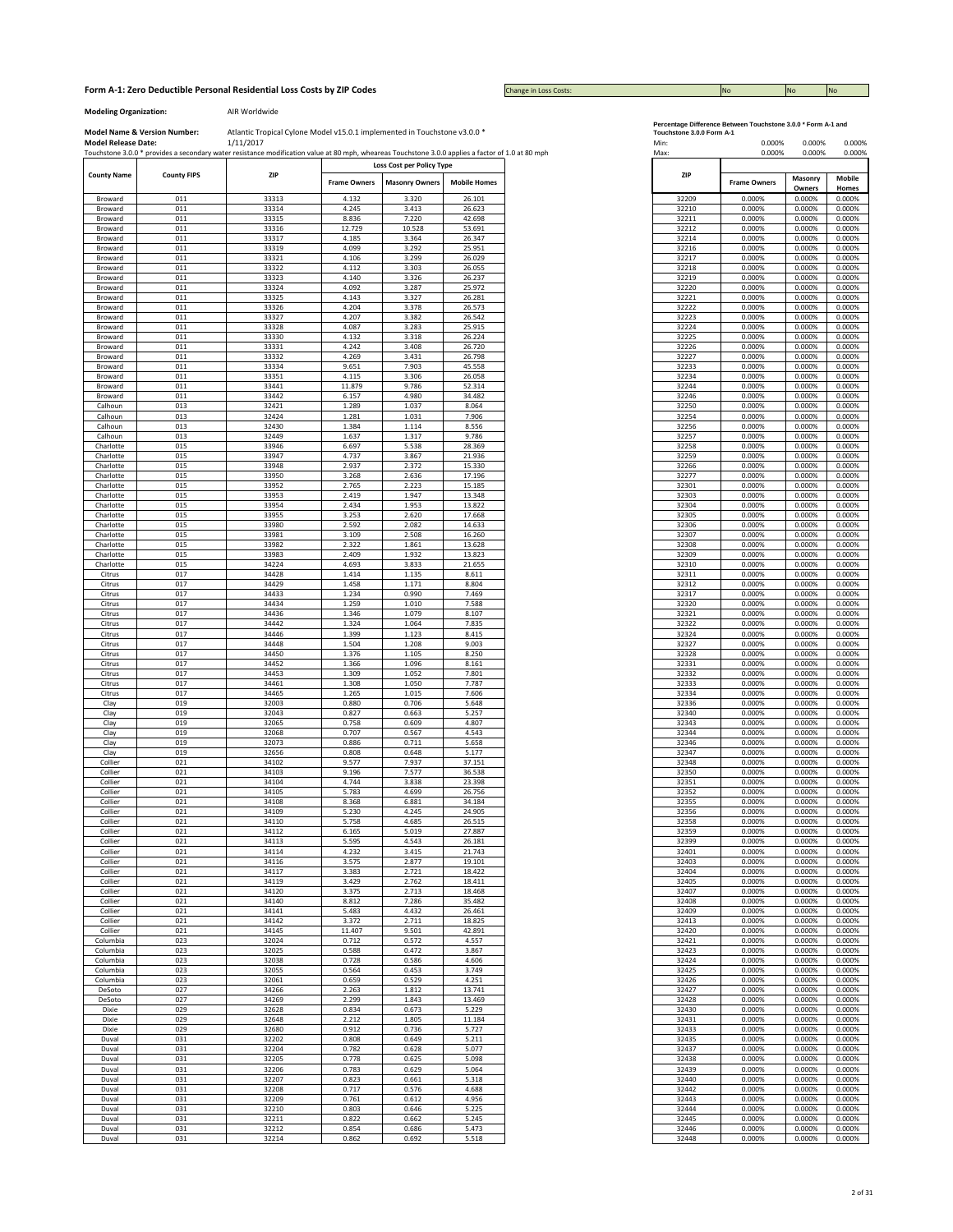## **Form A-1: Zero Deductible Personal Residential Loss Costs by ZIP Codes No No No No No No No No No No No No No** No

Change in Loss Costs:

**Modeling Organization:** AIR Worldwide

|                    |                    | Touchstone 3.0.0 * provides a secondary water resistance modification value at 80 mph, wheareas Touchstone 3.0.0 applies a factor of 1.0 at 80 mph |                     |                                                    |                     |
|--------------------|--------------------|----------------------------------------------------------------------------------------------------------------------------------------------------|---------------------|----------------------------------------------------|---------------------|
| <b>County Name</b> | <b>County FIPS</b> | ZIP                                                                                                                                                | <b>Frame Owners</b> | Loss Cost per Policy Type<br><b>Masonry Owners</b> | <b>Mobile Homes</b> |
|                    |                    |                                                                                                                                                    |                     |                                                    |                     |
| Broward            | 011                | 33313                                                                                                                                              | 4.132               | 3.320                                              | 26.101              |
| Broward            | 011                | 33314                                                                                                                                              | 4.245               | 3.413                                              | 26.623              |
| Broward            | 011                | 33315                                                                                                                                              | 8.836               | 7.220                                              | 42.698              |
| Broward            | 011                | 33316                                                                                                                                              | 12.729              | 10.528                                             | 53.691              |
| Broward            | 011                | 33317                                                                                                                                              | 4.185               | 3.364                                              | 26.347              |
|                    | 011                |                                                                                                                                                    | 4.099               |                                                    | 25.951              |
| Broward            |                    | 33319                                                                                                                                              |                     | 3.292                                              |                     |
| Broward            | 011                | 33321                                                                                                                                              | 4.106               | 3.299                                              | 26.029              |
| Broward            | 011                | 33322                                                                                                                                              | 4.112               | 3.303                                              | 26.055              |
| Broward            | 011                | 33323                                                                                                                                              | 4.140               | 3.326                                              | 26.237              |
| Broward            | 011                | 33324                                                                                                                                              | 4.092               | 3.287                                              | 25.972              |
| Broward            | 011                | 33325                                                                                                                                              | 4.143               | 3.327                                              | 26.281              |
|                    |                    |                                                                                                                                                    |                     |                                                    |                     |
| Broward            | 011                | 33326                                                                                                                                              | 4.204               | 3.378                                              | 26.573              |
| Broward            | 011                | 33327                                                                                                                                              | 4.207               | 3.382                                              | 26.542              |
| Broward            | 011                | 33328                                                                                                                                              | 4.087               | 3.283                                              | 25.915              |
| Broward            | 011                | 33330                                                                                                                                              | 4.132               | 3.318                                              | 26.224              |
| Broward            | 011                | 33331                                                                                                                                              | 4.242               | 3.408                                              | 26.720              |
| Broward            | 011                | 33332                                                                                                                                              | 4.269               | 3.431                                              | 26.798              |
|                    |                    |                                                                                                                                                    |                     |                                                    |                     |
| Broward            | 011                | 33334                                                                                                                                              | 9.651               | 7.903                                              | 45.558              |
| Broward            | 011                | 33351                                                                                                                                              | 4.115               | 3.306                                              | 26.058              |
| Broward            | 011                | 33441                                                                                                                                              | 11.879              | 9.786                                              | 52.314              |
| Broward            | 011                | 33442                                                                                                                                              | 6.157               | 4.980                                              | 34.482              |
| Calhoun            | 013                | 32421                                                                                                                                              | 1.289               | 1.037                                              | 8.064               |
|                    |                    |                                                                                                                                                    |                     |                                                    |                     |
| Calhoun            | 013                | 32424                                                                                                                                              | 1.281               | 1.031                                              | 7.906               |
| Calhoun            | 013                | 32430                                                                                                                                              | 1.384               | 1.114                                              | 8.556               |
| Calhoun            | 013                | 32449                                                                                                                                              | 1.637               | 1.317                                              | 9.786               |
| Charlotte          | 015                | 33946                                                                                                                                              | 6.697               | 5.538                                              | 28.369              |
| Charlotte          | 015                | 33947                                                                                                                                              | 4.737               | 3.867                                              | 21.936              |
|                    | 015                | 33948                                                                                                                                              |                     | 2.372                                              | 15.330              |
| Charlotte          |                    |                                                                                                                                                    | 2.937               |                                                    |                     |
| Charlotte          | 015                | 33950                                                                                                                                              | 3.268               | 2.636                                              | 17.196              |
| Charlotte          | 015                | 33952                                                                                                                                              | 2.765               | 2.223                                              | 15.185              |
| Charlotte          | 015                | 33953                                                                                                                                              | 2.419               | 1.947                                              | 13.348              |
| Charlotte          | 015                | 33954                                                                                                                                              | 2.434               | 1.953                                              | 13.822              |
| Charlotte          | 015                | 33955                                                                                                                                              | 3.253               | 2.620                                              | 17.668              |
| Charlotte          | 015                | 33980                                                                                                                                              | 2.592               | 2.082                                              | 14.633              |
|                    | 015                | 33981                                                                                                                                              | 3.109               | 2.508                                              | 16.260              |
| Charlotte          |                    |                                                                                                                                                    |                     |                                                    |                     |
| Charlotte          | 015                | 33982                                                                                                                                              | 2.322               | 1.861                                              | 13.628              |
| Charlotte          | 015                | 33983                                                                                                                                              | 2.409               | 1.932                                              | 13.823              |
| Charlotte          | 015                | 34224                                                                                                                                              | 4.693               | 3.833                                              | 21.655              |
| Citrus             | 017                | 34428                                                                                                                                              | 1.414               | 1.135                                              | 8.611               |
| Citrus             | 017                | 34429                                                                                                                                              | 1.458               | 1.171                                              | 8.804               |
|                    |                    |                                                                                                                                                    |                     |                                                    | 7.469               |
| Citrus             | 017                | 34433                                                                                                                                              | 1.234               | 0.990                                              |                     |
| Citrus             | 017                | 34434                                                                                                                                              | 1.259               | 1.010                                              | 7.588               |
| Citrus             | 017                | 34436                                                                                                                                              | 1.346               | 1.079                                              | 8.107               |
| Citrus             | 017                | 34442                                                                                                                                              | 1.324               | 1.064                                              | 7.835               |
| Citrus             | 017                | 34446                                                                                                                                              | 1.399               | 1.123                                              | 8.415               |
| Citrus             | 017                | 34448                                                                                                                                              | 1.504               | 1.208                                              | 9.003               |
| Citrus             | 017                | 34450                                                                                                                                              | 1.376               | 1.105                                              | 8.250               |
|                    |                    |                                                                                                                                                    |                     |                                                    |                     |
| Citrus             | 017                | 34452                                                                                                                                              | 1.366               | 1.096                                              | 8.161               |
| Citrus             | 017                | 34453                                                                                                                                              | 1.309               | 1.052                                              | 7.801               |
| Citrus             | 017                | 34461                                                                                                                                              | 1.308               | 1.050                                              | 7.787               |
| Citrus             | 017                | 34465                                                                                                                                              | 1.265               | 1.015                                              | 7.606               |
| Clay               | 019                | 32003                                                                                                                                              | 0.880               | 0.706                                              | 5.648               |
|                    |                    |                                                                                                                                                    |                     |                                                    |                     |
| Clay               | 019                | 32043                                                                                                                                              | 0.827               | 0.663                                              | 5.257               |
| Clay               | 019                | 32065                                                                                                                                              | 0.758               | 0.609                                              | 4.807               |
| Clay               | 019                | 32068                                                                                                                                              | 0.707               | 0.567                                              | 4.543               |
| Clay               | 019                | 32073                                                                                                                                              | 0.886               | 0.711                                              | 5.658               |
| Clay               | 019                | 32656                                                                                                                                              | 0.808               | 0.648                                              | 5.177               |
|                    |                    |                                                                                                                                                    |                     |                                                    |                     |
| Collier            | 021                | 34102                                                                                                                                              | 9.577               | 7.937                                              | 37.151              |
| Collier            | 021                | 34103                                                                                                                                              | 9.196               | 7.577                                              | 36.538              |
| Collier            | 021                | 34104                                                                                                                                              | 4.744               | 3.838                                              | 23.398              |
| Collier            | 021                | 34105                                                                                                                                              | 5.783               | 4.699                                              | 26.756              |
| Collier            | 021                | 34108                                                                                                                                              | 8.368               | 6.881                                              | 34.184              |
| Collier            | 021                | 34109                                                                                                                                              | 5.230               | 4.245                                              | 24.905              |
| Collier            | 021                | 34110                                                                                                                                              | 5.758               | 4.685                                              | 26.515              |
| Collier            | 021                | 34112                                                                                                                                              | 6.165               | 5.019                                              | 27.887              |
|                    |                    |                                                                                                                                                    |                     |                                                    |                     |
| Collier            | 021                | 34113                                                                                                                                              | 5.595               | 4.543                                              | 26.181              |
| Collier            | 021                | 34114                                                                                                                                              | 4.232               | 3.415                                              | 21.743              |
| Collier            | 021                | 34116                                                                                                                                              | 3.575               | 2.877                                              | 19.101              |
| Collier            | 021                | 34117                                                                                                                                              | 3.383               | 2.721                                              | 18.422              |
| Collier            | 021                | 34119                                                                                                                                              | 3.429               | 2.762                                              | 18.411              |
| Collier            | 021                | 34120                                                                                                                                              | 3.375               | 2.713                                              | 18.468              |
|                    |                    |                                                                                                                                                    |                     |                                                    |                     |
| Collier            | 021                | 34140                                                                                                                                              | 8.812               | 7.286                                              | 35.482              |
| Collier            | 021                | 34141                                                                                                                                              | 5.483               | 4.432                                              | 26.461              |
| Collier            | 021                | 34142                                                                                                                                              | 3.372               | 2.711                                              | 18.825              |
| Collier            | 021                | 34145                                                                                                                                              | 11.407              | 9.501                                              | 42.891              |
| Columbia           | 023                | 32024                                                                                                                                              | 0.712               | 0.572                                              | 4.557               |
|                    |                    |                                                                                                                                                    |                     |                                                    |                     |
| Columbia           | 023                | 32025                                                                                                                                              | 0.588               | 0.472                                              | 3.867               |
| Columbia           | 023                | 32038                                                                                                                                              | 0.728               | 0.586                                              | 4.606               |
| Columbia           | 023                | 32055                                                                                                                                              | 0.564               | 0.453                                              | 3.749               |
| Columbia           | 023                | 32061                                                                                                                                              | 0.659               | 0.529                                              | 4.251               |
|                    |                    |                                                                                                                                                    |                     |                                                    |                     |
| DeSoto             | 027                | 34266                                                                                                                                              | 2.263               | 1.812                                              | 13.741              |
| DeSoto             | 027                | 34269                                                                                                                                              | 2.299               | 1.843                                              | 13.469              |
| Dixie              | 029                | 32628                                                                                                                                              | 0.834               | 0.673                                              | 5.229               |
| Dixie              | 029                | 32648                                                                                                                                              | 2.212               | 1.805                                              | 11.184              |
|                    |                    |                                                                                                                                                    |                     |                                                    |                     |
| Dixie              | 029                | 32680                                                                                                                                              | 0.912               | 0.736                                              | 5.727               |
| Duval              | 031                | 32202                                                                                                                                              | 0.808               | 0.649                                              | 5.211               |
| Duval              | 031                | 32204                                                                                                                                              | 0.782               | 0.628                                              | 5.077               |
| Duval              | 031                | 32205                                                                                                                                              | 0.778               | 0.625                                              | 5.098               |
| Duval              | 031                | 32206                                                                                                                                              | 0.783               | 0.629                                              | 5.064               |
|                    |                    |                                                                                                                                                    |                     |                                                    |                     |
| Duval              | 031                | 32207                                                                                                                                              | 0.823               | 0.661                                              | 5.318               |
| Duval              | 031                | 32208                                                                                                                                              | 0.717               | 0.576                                              | 4.688               |
| Duval              | 031                | 32209                                                                                                                                              | 0.761               | 0.612                                              | 4.956               |
| Duval              | 031                | 32210                                                                                                                                              | 0.803               | 0.646                                              | 5.225               |
|                    | 031                | 32211                                                                                                                                              | 0.822               |                                                    |                     |
| Duval<br>Duval     |                    |                                                                                                                                                    |                     | 0.662                                              | 5.245               |
|                    | 031                | 32212                                                                                                                                              | 0.854               | 0.686                                              | 5.473               |
| Duval              | 031                | 32214                                                                                                                                              | 0.862               | 0.692                                              | 5.518               |

|  | ercentage Difference Between Touchstone 3.0.0 * Form A-1 and |  |  |
|--|--------------------------------------------------------------|--|--|
|  |                                                              |  |  |

| Min:<br>Max:   | 0.000%<br>0.000%    | 0.000%<br>0.000%  | 0.000%<br>0.000% |  |
|----------------|---------------------|-------------------|------------------|--|
| ZIP            | <b>Frame Owners</b> | Masonry<br>Owners | Mobile<br>Homes  |  |
| 32209          | 0.000%              | 0.000%            | 0.000%           |  |
| 32210          | 0.000%              | 0.000%            | 0.000%           |  |
| 32211          | 0.000%              | 0.000%            | 0.000%           |  |
| 32212<br>32214 | 0.000%<br>0.000%    | 0.000%<br>0.000%  | 0.000%<br>0.000% |  |
| 32216          | 0.000%              | 0.000%            | 0.000%           |  |
| 32217          | 0.000%              | 0.000%            | 0.000%           |  |
| 32218          | 0.000%              | 0.000%            | 0.000%           |  |
| 32219          | 0.000%              | 0.000%            | 0.000%           |  |
| 32220<br>32221 | 0.000%<br>0.000%    | 0.000%<br>0.000%  | 0.000%<br>0.000% |  |
| 32222          | 0.000%              | 0.000%            | 0.000%           |  |
| 32223          | 0.000%              | 0.000%            | 0.000%           |  |
| 32224          | 0.000%              | 0.000%            | 0.000%           |  |
| 32225          | 0.000%              | 0.000%            | 0.000%           |  |
| 32226<br>32227 | 0.000%<br>0.000%    | 0.000%<br>0.000%  | 0.000%<br>0.000% |  |
| 32233          | 0.000%              | 0.000%            | 0.000%           |  |
| 32234          | 0.000%              | 0.000%            | 0.000%           |  |
| 32244          | 0.000%              | 0.000%            | 0.000%           |  |
| 32246          | 0.000%              | 0.000%            | 0.000%           |  |
| 32250          | 0.000%              | 0.000%            | 0.000%           |  |
| 32254          | 0.000%              | 0.000%            | 0.000%           |  |
| 32256<br>32257 | 0.000%<br>0.000%    | 0.000%<br>0.000%  | 0.000%<br>0.000% |  |
| 32258          | 0.000%              | 0.000%            | 0.000%           |  |
| 32259          | 0.000%              | 0.000%            | 0.000%           |  |
| 32266          | 0.000%              | 0.000%            | 0.000%           |  |
| 32277          | 0.000%              | 0.000%            | 0.000%           |  |
| 32301          | 0.000%              | 0.000%            | 0.000%           |  |
| 32303<br>32304 | 0.000%<br>0.000%    | 0.000%<br>0.000%  | 0.000%<br>0.000% |  |
| 32305          | 0.000%              | 0.000%            | 0.000%           |  |
| 32306          | 0.000%              | 0.000%            | 0.000%           |  |
| 32307          | 0.000%              | 0.000%            | 0.000%           |  |
| 32308          | 0.000%              | 0.000%            | 0.000%           |  |
| 32309          | 0.000%              | 0.000%            | 0.000%           |  |
| 32310<br>32311 | 0.000%<br>0.000%    | 0.000%<br>0.000%  | 0.000%<br>0.000% |  |
| 32312          | 0.000%              | 0.000%            | 0.000%           |  |
| 32317          | 0.000%              | 0.000%            | 0.000%           |  |
| 32320          | 0.000%              | 0.000%            | 0.000%           |  |
| 32321          | 0.000%              | 0.000%            | 0.000%           |  |
| 32322<br>32324 | 0.000%<br>0.000%    | 0.000%<br>0.000%  | 0.000%<br>0.000% |  |
| 32327          | 0.000%              | 0.000%            | 0.000%           |  |
| 32328          | 0.000%              | 0.000%            | 0.000%           |  |
| 32331          | 0.000%              | 0.000%            | 0.000%           |  |
| 32332          | 0.000%              | 0.000%            | 0.000%           |  |
| 32333          | 0.000%              | 0.000%            | 0.000%           |  |
| 32334<br>32336 | 0.000%<br>0.000%    | 0.000%<br>0.000%  | 0.000%<br>0.000% |  |
| 32340          | 0.000%              | 0.000%            | 0.000%           |  |
| 32343          | 0.000%              | 0.000%            | 0.000%           |  |
| 32344          | 0.000%              | 0.000%            | 0.000%           |  |
| 32346          | 0.000%              | 0.000%            | 0.000%           |  |
| 32347<br>32348 | 0.000%<br>0.000%    | 0.000%<br>0.000%  | 0.000%<br>0.000% |  |
| 32350          | 0.000%              | 0.000%            | 0.000%           |  |
| 32351          | 0.000%              | 0.000%            | 0.000%           |  |
| 32352          | 0.000%              | 0.000%            | 0.000%           |  |
| 32355          | 0.000%              | 0.000%            | 0.000%           |  |
| 32356          | 0.000%<br>U.UUU%    | 0.000%<br>u.uuu‰  | 0.000%<br>U.UUU% |  |
| 32359          | 0.000%              | 0.000%            | 0.000%           |  |
| 32399          | 0.000%              | 0.000%            | 0.000%           |  |
| 32401          | 0.000%              | 0.000%            | 0.000%           |  |
| 32403          | 0.000%              | 0.000%            | 0.000%           |  |
| 32404<br>32405 | 0.000%<br>0.000%    | 0.000%<br>0.000%  | 0.000%<br>0.000% |  |
| 32407          | 0.000%              | 0.000%            | 0.000%           |  |
| 32408          | 0.000%              | 0.000%            | 0.000%           |  |
| 32409          | 0.000%              | 0.000%            | 0.000%           |  |
| 32413          | 0.000%              | 0.000%            | 0.000%           |  |
| 32420<br>32421 | 0.000%<br>0.000%    | 0.000%<br>0.000%  | 0.000%<br>0.000% |  |
| 32423          | 0.000%              | 0.000%            | 0.000%           |  |
| 32424          | 0.000%              | 0.000%            | 0.000%           |  |
| 32425          | 0.000%              | 0.000%            | 0.000%           |  |
| 32426          | 0.000%              | 0.000%            | 0.000%           |  |
| 32427          | 0.000%              | 0.000%            | 0.000%           |  |
| 32428<br>32430 | 0.000%<br>0.000%    | 0.000%<br>0.000%  | 0.000%<br>0.000% |  |
| 32431          | 0.000%              | 0.000%            | 0.000%           |  |
| 32433          | 0.000%              | 0.000%            | 0.000%           |  |
| 32435          | 0.000%              | 0.000%            | 0.000%           |  |
| 32437          | 0.000%              | 0.000%            | 0.000%           |  |
| 32438          | 0.000%              | 0.000%            | 0.000%           |  |
| 32439<br>32440 | 0.000%<br>0.000%    | 0.000%<br>0.000%  | 0.000%<br>0.000% |  |
| 32442          | 0.000%              | 0.000%            | 0.000%           |  |
| 32443          | 0.000%              | 0.000%            | 0.000%           |  |
| 32444          | 0.000%              | 0.000%            | 0.000%           |  |
| 32445          | 0.000%              | 0.000%            | 0.000%           |  |
| 32446          | 0.000%              | 0.000%            | 0.000%           |  |
| 32448          | 0.000%              | 0.000%            | 0.000%           |  |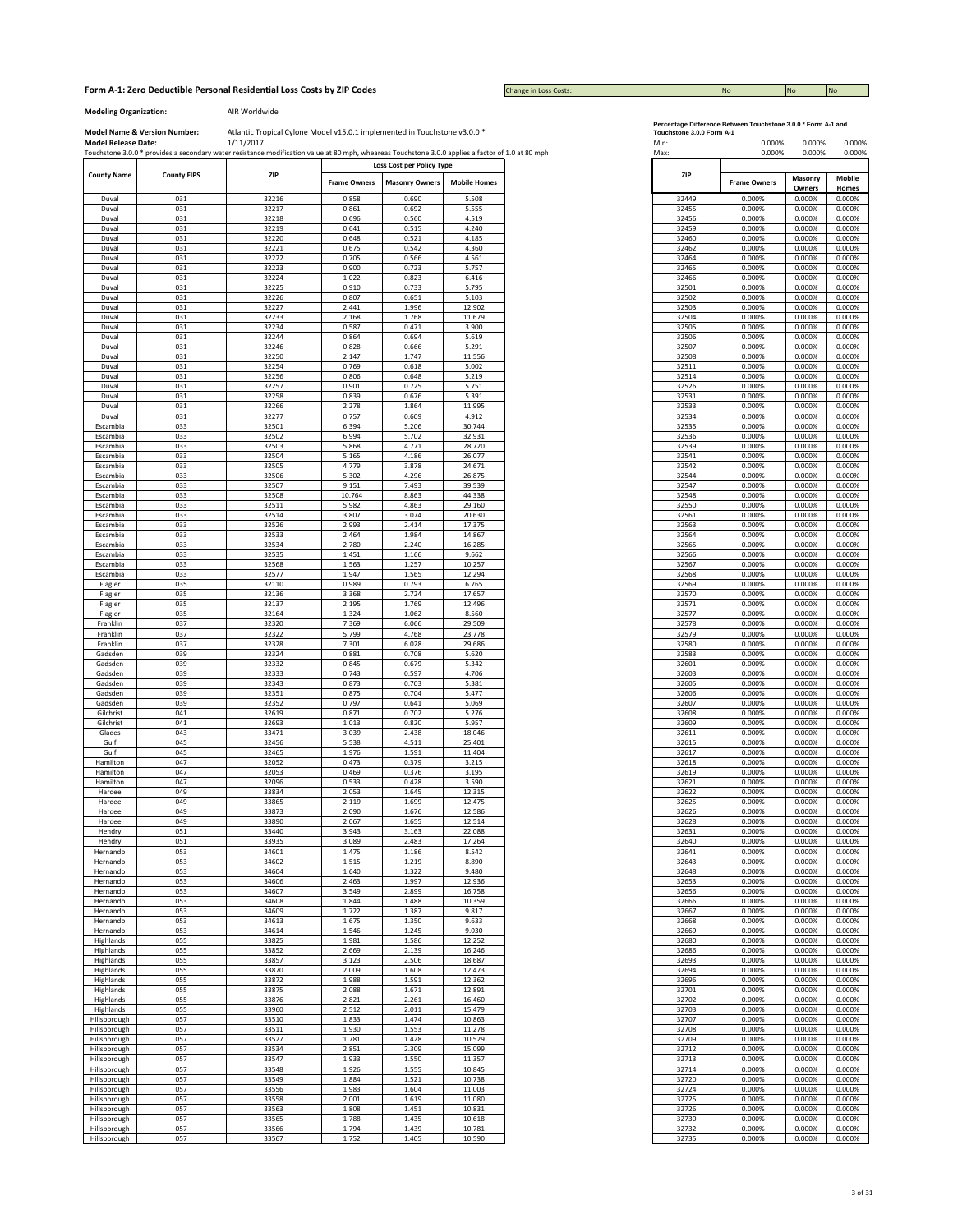Change in Loss Costs:

**Modeling Organization:** AIR Worldwide

|                        |                    | Touchstone 3.0.0 * provides a secondary water resistance modification value at 80 mph, wheareas Touchstone 3.0.0 applies a factor of 1.0 at 80 mph |                     |                           |                     | Max:           | 0.000%              | 0.000%           |
|------------------------|--------------------|----------------------------------------------------------------------------------------------------------------------------------------------------|---------------------|---------------------------|---------------------|----------------|---------------------|------------------|
| <b>County Name</b>     | <b>County FIPS</b> | ZIP                                                                                                                                                |                     | Loss Cost per Policy Type |                     | ZIP            |                     | Masonry          |
|                        |                    |                                                                                                                                                    | <b>Frame Owners</b> | <b>Masonry Owners</b>     | <b>Mobile Homes</b> |                | <b>Frame Owners</b> | Owners           |
| Duval                  | 031                | 32216                                                                                                                                              | 0.858               | 0.690                     | 5.508               | 32449          | 0.000%              | 0.000%           |
| Duval                  | 031                | 32217                                                                                                                                              | 0.861               | 0.692                     | 5.555               | 32455          | 0.000%              | 0.000%           |
| Duval                  | 031                | 32218                                                                                                                                              | 0.696               | 0.560                     | 4.519               | 32456          | 0.000%              | 0.000%           |
| Duval                  | 031                | 32219                                                                                                                                              | 0.641               | 0.515                     | 4.240               | 32459          | 0.000%              | 0.000%           |
| Duval                  | 031                | 32220                                                                                                                                              | 0.648               | 0.521                     | 4.185               | 32460          | 0.000%              | 0.000%           |
| Duval                  | 031                | 32221                                                                                                                                              | 0.675               | 0.542                     | 4.360               | 32462          | 0.000%              | 0.000%           |
| Duval                  | 031                | 32222                                                                                                                                              | 0.705               | 0.566                     | 4.561               | 32464          | 0.000%              | 0.000%           |
| Duval                  | 031                | 32223                                                                                                                                              | 0.900               | 0.723                     | 5.757               | 32465          | 0.000%              | 0.000%           |
| Duval                  | 031                | 32224                                                                                                                                              | 1.022               | 0.823                     | 6.416               | 32466          | 0.000%              | 0.000%           |
| Duval                  | 031                | 32225                                                                                                                                              | 0.910               | 0.733                     | 5.795               | 32501          | 0.000%              | 0.000%           |
| Duval                  | 031                | 32226                                                                                                                                              | 0.807               | 0.651                     | 5.103               | 32502          | 0.000%              | 0.000%           |
| Duval                  | 031                | 32227                                                                                                                                              | 2.441               | 1.996                     | 12.902              | 32503          | 0.000%              | 0.000%           |
| Duval                  | 031                | 32233                                                                                                                                              | 2.168               | 1.768                     | 11.679              | 32504          | 0.000%              | 0.000%           |
| Duval                  | 031                | 32234                                                                                                                                              | 0.587               | 0.471                     | 3.900               | 32505          | 0.000%              | 0.000%           |
| Duval                  | 031                | 32244                                                                                                                                              | 0.864               | 0.694                     | 5.619               | 32506          | 0.000%              | 0.000%           |
| Duval                  | 031                | 32246                                                                                                                                              | 0.828               | 0.666                     | 5.291               | 32507          | 0.000%              | 0.000%           |
| Duval                  | 031                | 32250                                                                                                                                              | 2.147               | 1.747                     | 11.556              | 32508          | 0.000%              | 0.000%           |
| Duval                  | 031                | 32254                                                                                                                                              | 0.769               | 0.618                     | 5.002               | 32511          | 0.000%              | 0.000%           |
| Duval                  | 031                | 32256                                                                                                                                              | 0.806               | 0.648                     | 5.219               | 32514          | 0.000%              | 0.000%           |
| Duval                  | 031                | 32257                                                                                                                                              | 0.901               | 0.725                     | 5.751               | 32526          | 0.000%              | 0.000%           |
| Duval                  | 031                | 32258                                                                                                                                              | 0.839               | 0.676                     | 5.391               | 32531          | 0.000%              | 0.000%           |
| Duval                  | 031                | 32266                                                                                                                                              | 2.278               | 1.864                     | 11.995              | 32533          | 0.000%              | 0.000%           |
| Duval                  | 031                | 32277                                                                                                                                              | 0.757               | 0.609                     | 4.912               | 32534          | 0.000%              | 0.000%           |
| Escambia               | 033                | 32501                                                                                                                                              | 6.394               | 5.206                     | 30.744              | 32535          | 0.000%              | 0.000%           |
| Escambia               | 033                | 32502                                                                                                                                              | 6.994               | 5.702                     | 32.931              | 32536          | 0.000%              | 0.000%           |
| Escambia               | 033                | 32503                                                                                                                                              | 5.868               | 4.771                     | 28.720              | 32539          | 0.000%              | 0.000%           |
| Escambia               | 033                | 32504                                                                                                                                              | 5.165               | 4.186                     | 26.077              | 32541          | 0.000%              | 0.000%           |
| Escambia               | 033                | 32505                                                                                                                                              | 4.779               | 3.878                     | 24.671              | 32542          | 0.000%              | 0.000%           |
|                        | 033                | 32506                                                                                                                                              | 5.302               | 4.296                     | 26.875              | 32544          | 0.000%              | 0.000%           |
| Escambia<br>Escambia   | 033                | 32507                                                                                                                                              | 9.151               | 7.493                     | 39.539              | 32547          | 0.000%              | 0.000%           |
|                        |                    | 32508                                                                                                                                              |                     |                           |                     |                |                     |                  |
| Escambia               | 033                |                                                                                                                                                    | 10.764              | 8.863                     | 44.338              | 32548          | 0.000%              | 0.000%           |
| Escambia               | 033                | 32511                                                                                                                                              | 5.982               | 4.863                     | 29.160              | 32550          | 0.000%              | 0.000%           |
| Escambia               | 033                | 32514                                                                                                                                              | 3.807               | 3.074                     | 20.630              | 32561          | 0.000%              | 0.000%           |
| Escambia               | 033                | 32526                                                                                                                                              | 2.993               | 2.414                     | 17.375              | 32563          | 0.000%              | 0.000%           |
| Escambia               | 033                | 32533                                                                                                                                              | 2.464               | 1.984                     | 14.867              | 32564          | 0.000%              | 0.000%           |
| Escambia<br>Escambia   | 033                | 32534                                                                                                                                              | 2.780               | 2.240                     | 16.285              | 32565          | 0.000%              | 0.000%           |
|                        | 033<br>033         | 32535<br>32568                                                                                                                                     | 1.451<br>1.563      | 1.166<br>1.257            | 9.662<br>10.257     | 32566<br>32567 | 0.000%<br>0.000%    | 0.000%<br>0.000% |
| Escambia<br>Escambia   | 033                | 32577                                                                                                                                              | 1.947               | 1.565                     | 12.294              | 32568          | 0.000%              | 0.000%           |
|                        | 035                | 32110                                                                                                                                              | 0.989               | 0.793                     | 6.765               | 32569          | 0.000%              | 0.000%           |
| Flagler                | 035                |                                                                                                                                                    |                     | 2.724                     | 17.657              |                |                     |                  |
| Flagler                |                    | 32136<br>32137                                                                                                                                     | 3.368               |                           |                     | 32570          | 0.000%              | 0.000%           |
| Flagler                | 035<br>035         | 32164                                                                                                                                              | 2.195<br>1.324      | 1.769<br>1.062            | 12.496<br>8.560     | 32571<br>32577 | 0.000%<br>0.000%    | 0.000%<br>0.000% |
| Flagler<br>Franklin    | 037                | 32320                                                                                                                                              | 7.369               | 6.066                     | 29.509              | 32578          | 0.000%              | 0.000%           |
| Franklin               | 037                | 32322                                                                                                                                              | 5.799               | 4.768                     | 23.778              | 32579          | 0.000%              | 0.000%           |
| Franklin               | 037                | 32328                                                                                                                                              | 7.301               | 6.028                     | 29.686              | 32580          | 0.000%              | 0.000%           |
| Gadsden                | 039                | 32324                                                                                                                                              | 0.881               | 0.708                     | 5.620               | 32583          | 0.000%              | 0.000%           |
| Gadsden                | 039                | 32332                                                                                                                                              | 0.845               | 0.679                     | 5.342               | 32601          | 0.000%              | 0.000%           |
| Gadsden                | 039                | 32333                                                                                                                                              | 0.743               | 0.597                     | 4.706               | 32603          | 0.000%              | 0.000%           |
| Gadsden                | 039                | 32343                                                                                                                                              | 0.873               | 0.703                     | 5.381               | 32605          | 0.000%              | 0.000%           |
| Gadsden                | 039                | 32351                                                                                                                                              | 0.875               | 0.704                     | 5.477               | 32606          | 0.000%              | 0.000%           |
| Gadsden                | 039                | 32352                                                                                                                                              | 0.797               | 0.641                     | 5.069               | 32607          | 0.000%              | 0.000%           |
| Gilchrist              | 041                | 32619                                                                                                                                              | 0.871               | 0.702                     | 5.276               | 32608          | 0.000%              | 0.000%           |
| Gilchrist              | 041                | 32693                                                                                                                                              | 1.013               | 0.820                     | 5.957               | 32609          | 0.000%              | 0.000%           |
| Glades                 | 043                | 33471                                                                                                                                              | 3.039               | 2.438                     | 18.046              | 32611          | 0.000%              | 0.000%           |
| Gulf                   | 045                | 32456                                                                                                                                              | 5.538               | 4.511                     | 25.401              | 32615          | 0.000%              | 0.000%           |
| Gulf                   | 045                | 32465                                                                                                                                              | 1.976               | 1.591                     | 11.404              | 32617          | 0.000%              | 0.000%           |
|                        |                    |                                                                                                                                                    |                     |                           |                     |                |                     |                  |
| Hamilton<br>Hamilton   | 047<br>047         | 32052<br>32053                                                                                                                                     | 0.473<br>0.469      | 0.379<br>0.376            | 3.215<br>3.195      | 32618<br>32619 | 0.000%<br>0.000%    | 0.000%<br>0.000% |
|                        | 047                | 32096                                                                                                                                              |                     |                           |                     |                |                     |                  |
| Hamilton               |                    |                                                                                                                                                    | 0.533               | 0.428                     | 3.590               | 32621          | 0.000%              | 0.000%           |
| Hardee                 | 049                | 33834                                                                                                                                              | 2.053               | 1.645                     | 12.315              | 32622          | 0.000%              | 0.000%           |
| Hardee<br>Hardee       | 049<br>049         | 33865<br>33873                                                                                                                                     | 2.119<br>2.090      | 1.699<br>1.676            | 12.475<br>12.586    | 32625<br>32626 | 0.000%<br>0.000%    | 0.000%<br>0.000% |
| Hardee                 | 049                | 33890                                                                                                                                              | 2.067               | 1.655                     | 12.514              | 32628          | 0.000%              | 0.000%           |
| Hendry                 | 051                | 33440                                                                                                                                              | 3.943               | 3.163                     | 22.088              | 32631          | 0.000%              | 0.000%           |
| Hendry                 | 051                | 33935                                                                                                                                              | 3.089               | 2.483                     | 17.264              | 32640          | 0.000%              | 0.000%           |
| Hernando               | 053                | 34601                                                                                                                                              | 1.475               | 1.186                     | 8.542               | 32641          | 0.000%              | 0.000%           |
| Hernando               | 053                | 34602                                                                                                                                              | 1.515               | 1.219                     | 8.890               | 32643          | 0.000%              | 0.000%           |
| Hernando               | 053                | 34604                                                                                                                                              | 1.640               | 1.322                     | 9.480               | 32648          | 0.000%              | 0.000%           |
| Hernando               | 053                | 34606                                                                                                                                              | 2.463               | 1.997                     | 12.936              | 32653          | 0.000%              | 0.000%           |
| Hernando               | 053                | 34607                                                                                                                                              | 3.549               | 2.899                     | 16.758              | 32656          | 0.000%              | 0.000%           |
| Hernando               | 053                | 34608                                                                                                                                              | 1.844               | 1.488                     | 10.359              | 32666          | 0.000%              | 0.000%           |
| Hernando               | 053                | 34609                                                                                                                                              | 1.722               | 1.387                     | 9.817               | 32667          | 0.000%              | 0.000%           |
| Hernando               | 053                | 34613                                                                                                                                              | 1.675               | 1.350                     | 9.633               | 32668          | 0.000%              | 0.000%           |
| Hernando               | 053                | 34614                                                                                                                                              | 1.546               | 1.245                     | 9.030               | 32669          | 0.000%              | 0.000%           |
| Highlands              | 055                | 33825                                                                                                                                              | 1.981               | 1.586                     | 12.252              | 32680          | 0.000%              | 0.000%           |
|                        | 055                | 33852                                                                                                                                              |                     | 2.139                     | 16.246              |                | 0.000%              |                  |
| Highlands<br>Highlands | 055                |                                                                                                                                                    | 2.669               |                           |                     | 32686          |                     | 0.000%           |
|                        |                    | 33857                                                                                                                                              | 3.123               | 2.506                     | 18.687              | 32693          | 0.000%              | 0.000%           |
| Highlands              | 055                | 33870                                                                                                                                              | 2.009               | 1.608                     | 12.473              | 32694          | 0.000%              | 0.000%           |
| Highlands              | 055                | 33872                                                                                                                                              | 1.988               | 1.591                     | 12.362              | 32696          | 0.000%              | 0.000%           |
| Highlands              | 055                | 33875                                                                                                                                              | 2.088               | 1.671                     | 12.891              | 32701          | 0.000%              | 0.000%           |
| Highlands              | 055                | 33876                                                                                                                                              | 2.821               | 2.261                     | 16.460              | 32702          | 0.000%              | 0.000%           |
| Highlands              | 055                | 33960                                                                                                                                              | 2.512               | 2.011                     | 15.479              | 32703          | 0.000%              | 0.000%           |
| Hillsborough           | 057                | 33510                                                                                                                                              | 1.833               | 1.474                     | 10.863              | 32707          | 0.000%              | 0.000%           |
| Hillsborough           | 057                | 33511                                                                                                                                              | 1.930               | 1.553                     | 11.278              | 32708          | 0.000%              | 0.000%           |
| Hillsborough           | 057                | 33527                                                                                                                                              | 1.781               | 1.428                     | 10.529              | 32709          | 0.000%              | 0.000%           |
| Hillsborough           | 057                | 33534                                                                                                                                              | 2.851               | 2.309                     | 15.099              | 32712          | 0.000%              | 0.000%           |
| Hillsborough           | 057                | 33547                                                                                                                                              | 1.933               | 1.550                     | 11.357              | 32713          | 0.000%              | 0.000%           |
| Hillsborough           | 057                | 33548                                                                                                                                              | 1.926               | 1.555                     | 10.845              | 32714          | 0.000%              | 0.000%           |
| Hillsborough           | 057                | 33549                                                                                                                                              | 1.884               | 1.521                     | 10.738              | 32720          | 0.000%              | 0.000%           |
| Hillsborough           | 057                | 33556                                                                                                                                              | 1.983               | 1.604                     | 11.003              | 32724          | 0.000%              | 0.000%           |
| Hillsborough           | 057                | 33558                                                                                                                                              | 2.001               | 1.619                     | 11.080              | 32725          | 0.000%              | 0.000%           |
| Hillsborough           | 057                | 33563                                                                                                                                              | 1.808               | 1.451                     | 10.831              | 32726          | 0.000%              | 0.000%           |
| Hillsborough           | 057                | 33565                                                                                                                                              | 1.788               | 1.435                     | 10.618              | 32730          | 0.000%              | 0.000%           |
| Hillsborough           | 057                | 33566                                                                                                                                              | 1.794               | 1.439                     | 10.781              | 32732          | 0.000%              | 0.000%           |
| Hillshorough           | 057                | 33567                                                                                                                                              | 1752                | 1.405                     | 10.590              | 37735          | n nnn <sub>%</sub>  | n nnn%           |

|  |  |  |  | Percentage Difference Between Touchstone 3.0.0 * Form A-1 and |  |  |
|--|--|--|--|---------------------------------------------------------------|--|--|
|  |  |  |  |                                                               |  |  |

| of 1.0 at 80 mph | Touchstone 3.0.0 Form A-1<br>Min:<br>Max: | 0.000%<br>0.000%    | 0.000%<br>0.000%  | 0.000%<br>0.000% |
|------------------|-------------------------------------------|---------------------|-------------------|------------------|
|                  | ZIP                                       | <b>Frame Owners</b> | Masonry<br>Owners | Mobile<br>Homes  |
|                  | 32449                                     | 0.000%              | 0.000%            | 0.000%           |
|                  | 32455<br>32456                            | 0.000%<br>0.000%    | 0.000%<br>0.000%  | 0.000%<br>0.000% |
|                  | 32459                                     | 0.000%              | 0.000%            | 0.000%           |
|                  | 32460                                     | 0.000%              | 0.000%            | 0.000%           |
|                  | 32462<br>32464                            | 0.000%<br>0.000%    | 0.000%<br>0.000%  | 0.000%<br>0.000% |
|                  | 32465                                     | 0.000%              | 0.000%            | 0.000%           |
|                  | 32466                                     | 0.000%              | 0.000%            | 0.000%           |
|                  | 32501                                     | 0.000%              | 0.000%            | 0.000%           |
|                  | 32502<br>32503                            | 0.000%<br>0.000%    | 0.000%<br>0.000%  | 0.000%<br>0.000% |
|                  | 32504                                     | 0.000%              | 0.000%            | 0.000%           |
|                  | 32505                                     | 0.000%              | 0.000%            | 0.000%           |
|                  | 32506<br>32507                            | 0.000%<br>0.000%    | 0.000%<br>0.000%  | 0.000%<br>0.000% |
|                  | 32508                                     | 0.000%              | 0.000%            | 0.000%           |
|                  | 32511                                     | 0.000%              | 0.000%            | 0.000%           |
|                  | 32514<br>32526                            | 0.000%<br>0.000%    | 0.000%<br>0.000%  | 0.000%<br>0.000% |
|                  | 32531                                     | 0.000%              | 0.000%            | 0.000%           |
|                  | 32533                                     | 0.000%              | 0.000%            | 0.000%           |
|                  | 32534                                     | 0.000%              | 0.000%            | 0.000%           |
|                  | 32535<br>32536                            | 0.000%<br>0.000%    | 0.000%<br>0.000%  | 0.000%<br>0.000% |
|                  | 32539                                     | 0.000%              | 0.000%            | 0.000%           |
|                  | 32541                                     | 0.000%              | 0.000%            | 0.000%           |
|                  | 32542<br>32544                            | 0.000%<br>0.000%    | 0.000%<br>0.000%  | 0.000%<br>0.000% |
|                  | 32547                                     | 0.000%              | 0.000%            | 0.000%           |
|                  | 32548                                     | 0.000%              | 0.000%            | 0.000%           |
|                  | 32550                                     | 0.000%              | 0.000%            | 0.000%           |
|                  | 32561<br>32563                            | 0.000%<br>0.000%    | 0.000%<br>0.000%  | 0.000%<br>0.000% |
|                  | 32564                                     | 0.000%              | 0.000%            | 0.000%           |
|                  | 32565                                     | 0.000%              | 0.000%            | 0.000%           |
|                  | 32566<br>32567                            | 0.000%<br>0.000%    | 0.000%<br>0.000%  | 0.000%<br>0.000% |
|                  | 32568                                     | 0.000%              | 0.000%            | 0.000%           |
|                  | 32569                                     | 0.000%              | 0.000%            | 0.000%           |
|                  | 32570<br>32571                            | 0.000%<br>0.000%    | 0.000%<br>0.000%  | 0.000%<br>0.000% |
|                  | 32577                                     | 0.000%              | 0.000%            | 0.000%           |
|                  | 32578                                     | 0.000%              | 0.000%            | 0.000%           |
|                  | 32579<br>32580                            | 0.000%<br>0.000%    | 0.000%<br>0.000%  | 0.000%<br>0.000% |
|                  | 32583                                     | 0.000%              | 0.000%            | 0.000%           |
|                  | 32601                                     | 0.000%              | 0.000%            | 0.000%           |
|                  | 32603<br>32605                            | 0.000%<br>0.000%    | 0.000%<br>0.000%  | 0.000%<br>0.000% |
|                  | 32606                                     | 0.000%              | 0.000%            | 0.000%           |
|                  | 32607                                     | 0.000%              | 0.000%            | 0.000%           |
|                  | 32608<br>32609                            | 0.000%<br>0.000%    | 0.000%<br>0.000%  | 0.000%<br>0.000% |
|                  | 32611                                     | 0.000%              | 0.000%            | 0.000%           |
|                  | 32615                                     | 0.000%              | 0.000%            | 0.000%           |
|                  | 32617<br>32618                            | 0.000%<br>0.000%    | 0.000%<br>0.000%  | 0.000%<br>0.000% |
|                  | 32619                                     | 0.000%              | 0.000%            | 0.000%           |
|                  | 32621                                     | 0.000%              | 0.000%            | 0.000%           |
|                  | 32622<br>32625                            | 0.000%<br>0.000%    | 0.000%<br>0.000%  | 0.000%<br>0.000% |
|                  | 32626                                     | 0.000%              | 0.000%            | 0.000%           |
|                  | 32628                                     | 0.000%              | 0.000%            | 0.000%           |
|                  | 32631<br>32640                            | 0.000%<br>0.000%    | 0.000%<br>0.000%  | 0.000%<br>0.000% |
|                  | 32641                                     | 0.000%              | 0.000%            | 0.000%           |
|                  | 32643                                     | 0.000%              | 0.000%            | 0.000%           |
|                  | 32648<br>32653                            | 0.000%<br>0.000%    | 0.000%<br>0.000%  | 0.000%<br>0.000% |
|                  | 32656                                     | 0.000%              | 0.000%            | 0.000%           |
|                  | 32666                                     | 0.000%              | 0.000%            | 0.000%           |
|                  | 32667<br>32668                            | 0.000%<br>0.000%    | 0.000%<br>0.000%  | 0.000%<br>0.000% |
|                  | 32669                                     | 0.000%              | 0.000%            | 0.000%           |
|                  | 32680                                     | 0.000%              | 0.000%            | 0.000%           |
|                  | 32686<br>32693                            | 0.000%<br>0.000%    | 0.000%<br>0.000%  | 0.000%<br>0.000% |
|                  | 32694                                     | 0.000%              | 0.000%            | 0.000%           |
|                  | 32696                                     | 0.000%              | 0.000%            | 0.000%           |
|                  | 32701<br>32702                            | 0.000%<br>0.000%    | 0.000%<br>0.000%  | 0.000%<br>0.000% |
|                  | 32703                                     | 0.000%              | 0.000%            | 0.000%           |
|                  | 32707                                     | 0.000%              | 0.000%            | 0.000%           |
|                  | 32708                                     | 0.000%              | 0.000%            | 0.000%           |
|                  | 32709<br>32712                            | 0.000%<br>0.000%    | 0.000%<br>0.000%  | 0.000%<br>0.000% |
|                  | 32713                                     | 0.000%              | 0.000%            | 0.000%           |
|                  | 32714<br>32720                            | 0.000%<br>0.000%    | 0.000%            | 0.000%<br>0.000% |
|                  | 32724                                     | 0.000%              | 0.000%<br>0.000%  | 0.000%           |
|                  | 32725                                     | 0.000%              | 0.000%            | 0.000%           |
|                  | 32726                                     | 0.000%              | 0.000%            | 0.000%           |
|                  | 32730<br>32732                            | 0.000%<br>0.000%    | 0.000%<br>0.000%  | 0.000%<br>0.000% |
|                  | 32735                                     | 0.000%              | 0.000%            | 0.000%           |
|                  |                                           |                     |                   |                  |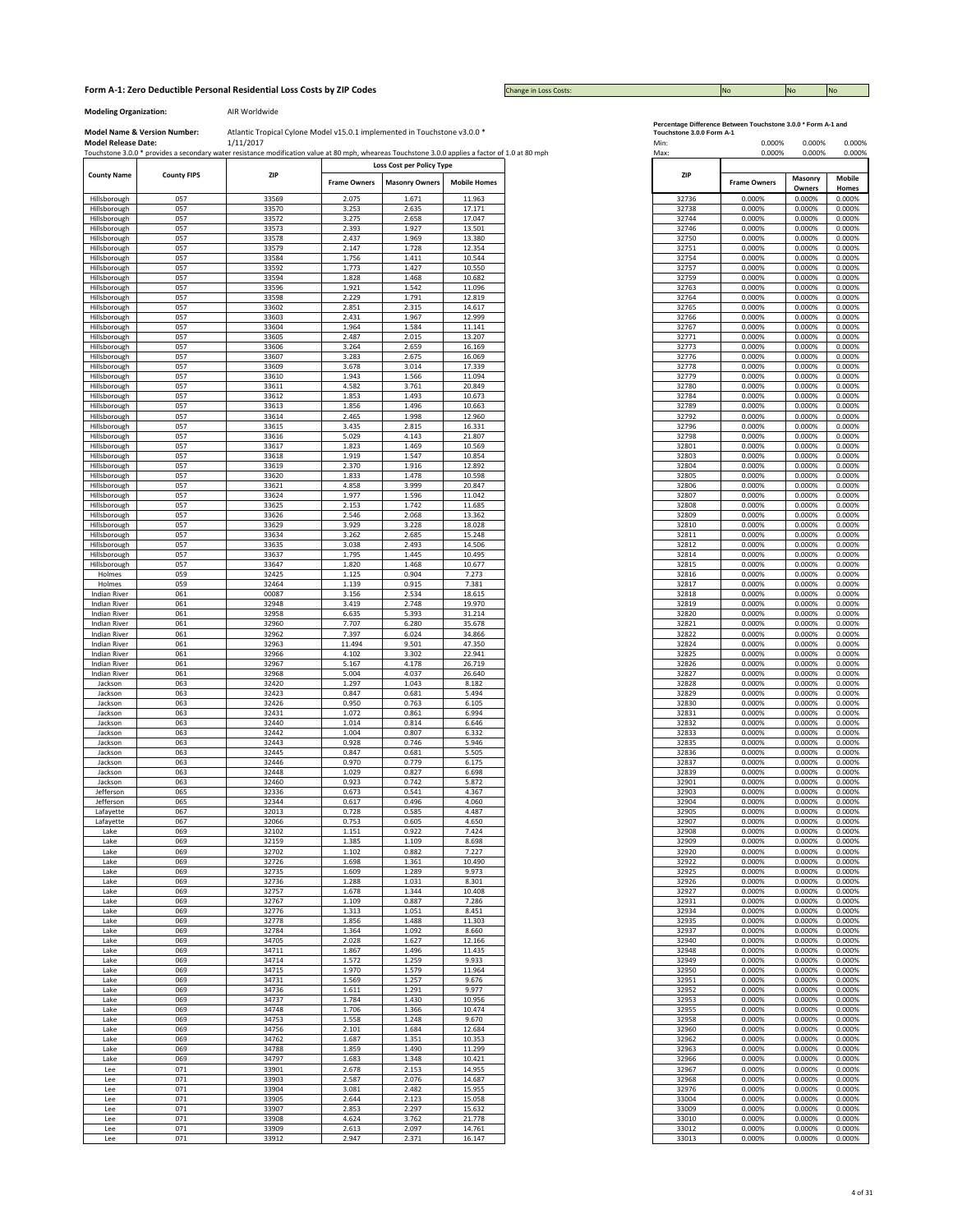Change in Loss Costs:

**Modeling Organization:** AIR Worldwide

|                     |                    | Touchstone 3.0.0 * provides a secondary water resistance modification value at 80 mph, wheareas Touchstone 3.0.0 applies a factor of 1.0 at 80 mph |                     |                                                    |                     |
|---------------------|--------------------|----------------------------------------------------------------------------------------------------------------------------------------------------|---------------------|----------------------------------------------------|---------------------|
| <b>County Name</b>  | <b>County FIPS</b> | ZIP                                                                                                                                                | <b>Frame Owners</b> | Loss Cost per Policy Type<br><b>Masonry Owners</b> | <b>Mobile Homes</b> |
|                     |                    |                                                                                                                                                    |                     |                                                    |                     |
| Hillsborough        | 057                | 33569                                                                                                                                              | 2.075               | 1.671                                              | 11.963              |
| Hillsborough        | 057                | 33570                                                                                                                                              | 3.253               | 2.635                                              | 17.171              |
| Hillsborough        | 057                | 33572                                                                                                                                              | 3.275               | 2.658                                              | 17.047              |
| Hillsborough        | 057                | 33573                                                                                                                                              | 2.393               | 1.927                                              | 13.501              |
| Hillsborough        | 057                | 33578                                                                                                                                              | 2.437               | 1.969                                              | 13.380              |
| Hillsborough        | 057                | 33579                                                                                                                                              | 2.147               | 1.728                                              | 12.354              |
| Hillsborough        | 057                | 33584                                                                                                                                              | 1.756               | 1.411                                              | 10.544              |
| Hillsborough        | 057                | 33592                                                                                                                                              | 1.773               | 1.427                                              | 10.550              |
|                     |                    |                                                                                                                                                    |                     |                                                    |                     |
| Hillsborough        | 057                | 33594                                                                                                                                              | 1.828               | 1.468                                              | 10.682              |
| Hillsborough        | 057                | 33596                                                                                                                                              | 1.921               | 1.542                                              | 11.096              |
| Hillsborough        | 057                | 33598                                                                                                                                              | 2.229               | 1.791                                              | 12.819              |
| Hillsborough        | 057                | 33602                                                                                                                                              | 2.851               | 2.315                                              | 14.617              |
| Hillsborough        | 057                | 33603                                                                                                                                              | 2.431               | 1.967                                              | 12.999              |
| Hillsborough        | 057                | 33604                                                                                                                                              | 1.964               | 1.584                                              | 11.141              |
| Hillsborough        | 057                | 33605                                                                                                                                              | 2.487               | 2.015                                              | 13.207              |
| Hillsborough        | 057                | 33606                                                                                                                                              | 3.264               | 2.659                                              | 16.169              |
|                     | 057                |                                                                                                                                                    |                     | 2.675                                              | 16.069              |
| Hillsborough        |                    | 33607                                                                                                                                              | 3.283               |                                                    |                     |
| Hillsborough        | 057                | 33609                                                                                                                                              | 3.678               | 3.014                                              | 17.339              |
| Hillsborough        | 057                | 33610                                                                                                                                              | 1.943               | 1.566                                              | 11.094              |
| Hillsborough        | 057                | 33611                                                                                                                                              | 4.582               | 3.761                                              | 20.849              |
| Hillsborough        | 057                | 33612                                                                                                                                              | 1.853               | 1.493                                              | 10.673              |
| Hillsborough        | 057                | 33613                                                                                                                                              | 1.856               | 1.496                                              | 10.663              |
| Hillsborough        | 057                | 33614                                                                                                                                              | 2.465               | 1.998                                              | 12.960              |
| Hillsborough        | 057                | 33615                                                                                                                                              | 3.435               | 2.815                                              | 16.331              |
|                     | 057                | 33616                                                                                                                                              | 5.029               | 4.143                                              | 21.807              |
| Hillsborough        |                    |                                                                                                                                                    |                     |                                                    |                     |
| Hillsborough        | 057                | 33617                                                                                                                                              | 1.823               | 1.469                                              | 10.569              |
| Hillsborough        | 057                | 33618                                                                                                                                              | 1.919               | 1.547                                              | 10.854              |
| Hillsborough        | 057                | 33619                                                                                                                                              | 2.370               | 1.916                                              | 12.892              |
| Hillsborough        | 057                | 33620                                                                                                                                              | 1.833               | 1.478                                              | 10.598              |
| Hillsborough        | 057                | 33621                                                                                                                                              | 4.858               | 3.999                                              | 20.847              |
| Hillsborough        | 057                | 33624                                                                                                                                              | 1.977               | 1.596                                              | 11.042              |
| Hillsborough        | 057                | 33625                                                                                                                                              | 2.153               | 1.742                                              | 11.685              |
| Hillsborough        | 057                | 33626                                                                                                                                              | 2.546               | 2.068                                              | 13.362              |
|                     | 057                | 33629                                                                                                                                              | 3.929               | 3.228                                              | 18.028              |
| Hillsborough        |                    |                                                                                                                                                    |                     |                                                    |                     |
| Hillsborough        | 057                | 33634                                                                                                                                              | 3.262               | 2.685                                              | 15.248              |
| Hillsborough        | 057                | 33635                                                                                                                                              | 3.038               | 2.493                                              | 14.506              |
| Hillsborough        | 057                | 33637                                                                                                                                              | 1.795               | 1.445                                              | 10.495              |
| Hillsborough        | 057                | 33647                                                                                                                                              | 1.820               | 1.468                                              | 10.677              |
| Holmes              | 059                | 32425                                                                                                                                              | 1.125               | 0.904                                              | 7.273               |
| Holmes              | 059                | 32464                                                                                                                                              | 1.139               | 0.915                                              | 7.381               |
| <b>Indian River</b> | 061                | 00087                                                                                                                                              | 3.156               | 2.534                                              | 18.615              |
| <b>Indian River</b> | 061                | 32948                                                                                                                                              | 3.419               | 2.748                                              | 19.970              |
| Indian River        | 061                | 32958                                                                                                                                              | 6.635               | 5.393                                              | 31.214              |
|                     | 061                | 32960                                                                                                                                              | 7.707               | 6.280                                              | 35.678              |
| Indian River        |                    |                                                                                                                                                    |                     |                                                    |                     |
| <b>Indian River</b> | 061                | 32962                                                                                                                                              | 7.397               | 6.024                                              | 34.866              |
| Indian River        | 061                | 32963                                                                                                                                              | 11.494              | 9.501                                              | 47.350              |
| Indian River        | 061                | 32966                                                                                                                                              | 4.102               | 3.302                                              | 22.941              |
| Indian River        | 061                | 32967                                                                                                                                              | 5.167               | 4.178                                              | 26.719              |
| <b>Indian River</b> | 061                | 32968                                                                                                                                              | 5.004               | 4.037                                              | 26.640              |
| Jackson             | 063                | 32420                                                                                                                                              | 1.297               | 1.043                                              | 8.182               |
| Jackson             | 063                | 32423                                                                                                                                              | 0.847               | 0.681                                              | 5.494               |
| Jackson             | 063                | 32426                                                                                                                                              | 0.950               | 0.763                                              | 6.105               |
| Jackson             | 063                | 32431                                                                                                                                              | 1.072               | 0.861                                              | 6.994               |
|                     |                    | 32440                                                                                                                                              |                     | 0.814                                              |                     |
| Jackson             | 063                |                                                                                                                                                    | 1.014               |                                                    | 6.646               |
| Jackson             | 063                | 32442                                                                                                                                              | 1.004               | 0.807                                              | 6.332               |
| Jackson             | 063                | 32443                                                                                                                                              | 0.928               | 0.746                                              | 5.946               |
| Jackson             | 063                | 32445                                                                                                                                              | 0.847               | 0.681                                              | 5.505               |
| Jackson             | 063                | 32446                                                                                                                                              | 0.970               | 0.779                                              | 6.175               |
| Jackson             | 063                | 32448                                                                                                                                              | 1.029               | 0.827                                              | 6.698               |
| Jackson             | 063                | 32460                                                                                                                                              | 0.923               | 0.742                                              | 5.872               |
| Jefferson           | 065                | 32336                                                                                                                                              | 0.673               | 0.541                                              | 4.367               |
|                     |                    | 32344                                                                                                                                              | 0.617               | 0.496                                              | 4.060               |
| Jefferson           | 065                | 32013                                                                                                                                              | 0.728               | 0.585                                              | 4.487               |
| Lafayette           | 067                |                                                                                                                                                    |                     |                                                    |                     |
| Lafayette           | 067                | 32066                                                                                                                                              | 0.753               | 0.605                                              | 4.650               |
| Lake                | 069                | 32102                                                                                                                                              | 1.151               | 0.922                                              | 7.424               |
| Lake                | 069                | 32159                                                                                                                                              | 1.385               | 1.109                                              | 8.698               |
| Lake                | 069                | 32702                                                                                                                                              | 1.102               | 0.882                                              | 7.227               |
| Lake                | 069                | 32726                                                                                                                                              | 1.698               | 1.361                                              | 10.490              |
| Lake                | 069                | 32735                                                                                                                                              | 1.609               | 1.289                                              | 9.973               |
| Lake                | 069                | 32736                                                                                                                                              | 1.288               | 1.031                                              | 8.301               |
| Lake                | 069                | 32757                                                                                                                                              | 1.678               | 1.344                                              | 10.408              |
|                     |                    | 32767                                                                                                                                              |                     | 0.887                                              | 7.286               |
| Lake                | 069                |                                                                                                                                                    | 1.109               |                                                    |                     |
| Lake                | 069                | 32776                                                                                                                                              | 1.313               | 1.051                                              | 8.451               |
| Lake                | 069                | 32778                                                                                                                                              | 1.856               | 1.488                                              | 11.303              |
| Lake                | 069                | 32784                                                                                                                                              | 1.364               | 1.092                                              | 8.660               |
| Lake                | 069                | 34705                                                                                                                                              | 2.028               | 1.627                                              | 12.166              |
| Lake                | 069                | 34711                                                                                                                                              | 1.867               | 1.496                                              | 11.435              |
| Lake                | 069                | 34714                                                                                                                                              | 1.572               | 1.259                                              | 9.933               |
| Lake                | 069                | 34715                                                                                                                                              | 1.970               | 1.579                                              | 11.964              |
|                     |                    |                                                                                                                                                    |                     |                                                    |                     |
| Lake                | 069                | 34731                                                                                                                                              | 1.569               | 1.257                                              | 9.676               |
| Lake                | 069                | 34736                                                                                                                                              | 1.611               | 1.291                                              | 9.977               |
| Lake                | 069                | 34737                                                                                                                                              | 1.784               | 1.430                                              | 10.956              |
| Lake                | 069                | 34748                                                                                                                                              | 1.706               | 1.366                                              | 10.474              |
| Lake                | 069                | 34753                                                                                                                                              | 1.558               | 1.248                                              | 9.670               |
| Lake                | 069                | 34756                                                                                                                                              | 2.101               | 1.684                                              | 12.684              |
|                     |                    |                                                                                                                                                    |                     |                                                    | 10.353              |
| Lake                | 069                | 34762                                                                                                                                              | 1.687               | 1.351                                              |                     |
| Lake                | 069                | 34788                                                                                                                                              | 1.859               | 1.490                                              | 11.299              |
| Lake                | 069                | 34797                                                                                                                                              | 1.683               | 1.348                                              | 10.421              |
| Lee                 | 071                | 33901                                                                                                                                              | 2.678               | 2.153                                              | 14.955              |
| Lee                 | 071                | 33903                                                                                                                                              | 2.587               | 2.076                                              | 14.687              |
| Lee                 | 071                | 33904                                                                                                                                              | 3.081               | 2.482                                              | 15.955              |
| Lee                 | 071                | 33905                                                                                                                                              | 2.644               | 2.123                                              | 15.058              |
| Lee                 | 071                | 33907                                                                                                                                              | 2.853               | 2.297                                              | 15.632              |
| Lee                 | 071                | 33908                                                                                                                                              | 4.624               | 3.762                                              | 21.778              |
| Lee                 | 071                | 33909                                                                                                                                              | 2.613               | 2.097                                              | 14.761              |
|                     |                    |                                                                                                                                                    |                     |                                                    |                     |
| Lee                 | 071                | 33912                                                                                                                                              | 2.947               | 2.371                                              | 16.147              |

|  | ercentage Difference Between Touchstone 3.0.0 * Form A-1 an |  |  |
|--|-------------------------------------------------------------|--|--|
|  |                                                             |  |  |

| Min:<br>Max:                              | 0.000%<br>0.000%                               | 0.000%<br>0.000%                                         | n nnn%<br>0.000%       |
|-------------------------------------------|------------------------------------------------|----------------------------------------------------------|------------------------|
| ZIP                                       | <b>Frame Owners</b>                            | Masonry<br>Owners                                        | <b>Mobile</b><br>Homes |
| 32736                                     | 0.000%                                         | 0.000%                                                   | 0.000%                 |
| 32738                                     | 0.000%                                         | 0.000%                                                   | 0.000%                 |
| 32744                                     | 0.000%                                         | 0.000%                                                   | 0.000%                 |
| 32746<br>32750                            | 0.000%<br>0.000%                               | 0.000%<br>0.000%                                         | 0.000%<br>0.000%       |
| 32751                                     | 0.000%                                         | 0.000%                                                   | 0.000%                 |
| 32754                                     | 0.000%                                         | 0.000%                                                   | 0.000%                 |
| 32757                                     | 0.000%                                         | 0.000%                                                   | 0.000%                 |
| 32759                                     | 0.000%                                         | 0.000%                                                   | 0.000%                 |
| 32763<br>32764                            | 0.000%<br>0.000%                               | 0.000%<br>0.000%                                         | 0.000%<br>0.000%       |
| 32765                                     | 0.000%                                         | 0.000%                                                   | 0.000%                 |
| 32766                                     | 0.000%                                         | 0.000%                                                   | 0.000%                 |
| 32767                                     | 0.000%                                         | 0.000%                                                   | 0.000%                 |
| 32771                                     | 0.000%                                         | 0.000%                                                   | 0.000%                 |
| 32773<br>32776                            | 0.000%<br>0.000%                               | 0.000%<br>0.000%                                         | 0.000%<br>0.000%       |
| 32778                                     | 0.000%                                         | 0.000%                                                   | 0.000%                 |
| 32779                                     | 0.000%                                         | 0.000%                                                   | 0.000%                 |
| 32780                                     | 0.000%                                         | 0.000%                                                   | 0.000%                 |
| 32784                                     | 0.000%                                         | 0.000%                                                   | 0.000%                 |
| 32789                                     | 0.000%                                         | 0.000%                                                   | 0.000%                 |
| 32792                                     | 0.000%                                         | 0.000%                                                   | 0.000%                 |
| 32796<br>32798                            | 0.000%<br>0.000%                               | 0.000%<br>0.000%                                         | 0.000%<br>0.000%       |
| 32801                                     | 0.000%                                         | 0.000%                                                   | 0.000%                 |
| 32803                                     | 0.000%                                         | 0.000%                                                   | 0.000%                 |
| 32804                                     | 0.000%                                         | 0.000%                                                   | 0.000%                 |
| 32805                                     | 0.000%                                         | 0.000%                                                   | 0.000%                 |
| 32806                                     | 0.000%                                         | 0.000%                                                   | 0.000%                 |
| 32807                                     | 0.000%                                         | 0.000%                                                   | 0.000%<br>0.000%       |
| 32808<br>32809                            | 0.000%<br>0.000%                               | 0.000%<br>0.000%                                         | 0.000%                 |
| 32810                                     | 0.000%                                         | 0.000%                                                   | 0.000%                 |
| 32811                                     | 0.000%                                         | 0.000%                                                   | 0.000%                 |
| 32812                                     | 0.000%                                         | 0.000%                                                   | 0.000%                 |
| 32814                                     | 0.000%                                         | 0.000%                                                   | 0.000%                 |
| 32815<br>32816                            | 0.000%<br>0.000%                               | 0.000%<br>0.000%                                         | 0.000%<br>0.000%       |
| 32817                                     | 0.000%                                         | 0.000%                                                   | 0.000%                 |
| 32818                                     | 0.000%                                         | 0.000%                                                   | 0.000%                 |
| 32819                                     | 0.000%                                         | 0.000%                                                   | 0.000%                 |
| 32820                                     | 0.000%                                         | 0.000%                                                   | 0.000%                 |
| 32821                                     | 0.000%                                         | 0.000%                                                   | 0.000%                 |
| 32822                                     | 0.000%                                         | 0.000%                                                   | 0.000%                 |
| 32824<br>32825                            | 0.000%<br>0.000%                               | 0.000%<br>0.000%                                         | 0.000%<br>0.000%       |
| 32826                                     | 0.000%                                         | 0.000%                                                   | 0.000%                 |
| 32827                                     | 0.000%                                         | 0.000%                                                   | 0.000%                 |
| 32828                                     | 0.000%                                         | 0.000%                                                   | 0.000%                 |
| 32829                                     | 0.000%                                         | 0.000%                                                   | 0.000%                 |
| 32830                                     | 0.000%                                         | 0.000%                                                   | 0.000%                 |
| 32831<br>32832                            | 0.000%<br>0.000%                               | 0.000%<br>0.000%                                         | 0.000%<br>0.000%       |
| 32833                                     | 0.000%                                         | 0.000%                                                   | 0.000%                 |
| 32835                                     | 0.000%                                         | 0.000%                                                   | 0.000%                 |
| 32836                                     | 0.000%                                         | 0.000%                                                   | 0.000%                 |
| 32837                                     | 0.000%                                         | 0.000%                                                   | 0.000%                 |
| 32839                                     | 0.000%                                         | 0.000%                                                   | 0.000%                 |
| 32901<br>32903                            | 0.000%<br>0.000%                               | 0.000%<br>0.000%                                         | 0.000%<br>0.000%       |
| 32904                                     | 0.000%                                         | 0.000%                                                   | 0.000%                 |
| 32905                                     | 0.000%                                         | 0.000%                                                   | 0.000%                 |
| 32907                                     | 0.000%                                         | 0.000%                                                   | 0.000%                 |
| 32908                                     | 0.000%                                         | 0.000%                                                   | 0.000%                 |
| 32909<br>32920                            | 0.000%<br>0.000%                               | 0.000%<br>0.000%                                         | 0.000%<br>0.000%       |
| 32922                                     | 0.000%                                         | 0.000%                                                   | 0.000%                 |
| 32925                                     | 0.000%                                         | 0.000%                                                   | 0.000%                 |
| 32926                                     | 0.000%                                         | 0.000%                                                   | 0.000%                 |
| 32927                                     | 0.000%                                         | 0.000%                                                   | 0.000%                 |
| 32931                                     | 0.000%                                         | 0.000%                                                   | 0.000%                 |
| 32934<br>32935                            | 0.000%<br>0.000%                               | 0.000%<br>0.000%                                         | 0.000%<br>0.000%       |
| 32937                                     | 0.000%                                         | 0.000%                                                   | 0.000%                 |
| 32940                                     | 0.000%                                         | 0.000%                                                   | 0.000%                 |
| 32948                                     | 0.000%                                         | 0.000%                                                   | 0.000%                 |
| 32949                                     | 0.000%                                         | 0.000%                                                   | 0.000%                 |
| 32950                                     | 0.000%                                         | 0.000%                                                   | 0.000%                 |
| 32951                                     | 0.000%                                         | 0.000%                                                   | 0.000%                 |
| 32952                                     | 0.000%                                         | 0.000%                                                   | 0.000%<br>0.000%       |
|                                           |                                                |                                                          | 0.000%                 |
| 32958                                     | 0.000%                                         | 0.000%                                                   | 0.000%                 |
| 32960                                     | 0.000%                                         | 0.000%                                                   | 0.000%                 |
| 32962                                     | 0.000%                                         | 0.000%                                                   | 0.000%                 |
| 32963                                     | 0.000%                                         | 0.000%                                                   | 0.000%                 |
| 32966                                     | 0.000%                                         | 0.000%                                                   | 0.000%                 |
|                                           |                                                |                                                          | 0.000%                 |
|                                           |                                                |                                                          | 0.000%<br>0.000%       |
| 33004                                     | 0.000%                                         |                                                          | 0.000%                 |
| 33009                                     | 0.000%                                         | 0.000%                                                   | 0.000%                 |
| 33010                                     | 0.000%                                         | 0.000%                                                   | 0.000%                 |
| 33012                                     | 0.000%                                         | 0.000%                                                   | 0.000%                 |
| 32953<br>32955<br>32967<br>32968<br>32976 | 0.000%<br>0.000%<br>0.000%<br>0.000%<br>0.000% | 0.000%<br>0.000%<br>0.000%<br>0.000%<br>0.000%<br>0.000% |                        |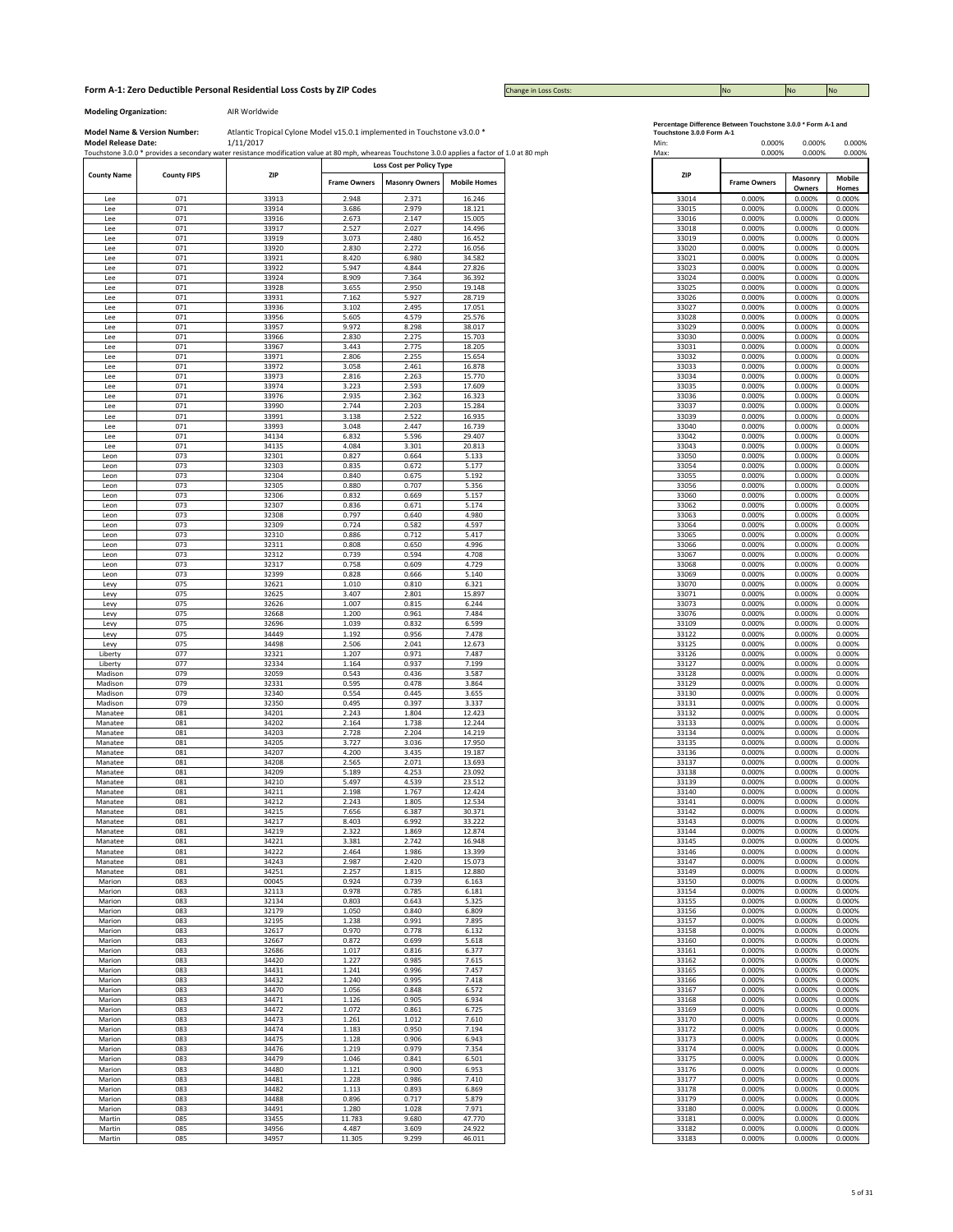## **Form A-1: Zero Deductible Personal Residential Loss Costs by ZIP Codes No No No No No No No No No No No No No** No

Change in Loss Costs:

**Modeling Organization:** AIR Worldwide

|                    |                    | Touchstone 3.0.0 * provides a secondary water resistance modification value at 80 mph, wheareas Touchstone 3.0.0 applies a factor of 1.0 at 80 mph |                     |                                                    |                     |
|--------------------|--------------------|----------------------------------------------------------------------------------------------------------------------------------------------------|---------------------|----------------------------------------------------|---------------------|
| <b>County Name</b> | <b>County FIPS</b> | <b>ZIP</b>                                                                                                                                         | <b>Frame Owners</b> | Loss Cost per Policy Type<br><b>Masonry Owners</b> | <b>Mobile Homes</b> |
| Lee                | 071                | 33913                                                                                                                                              | 2.948               | 2.371                                              | 16.246              |
| Lee                | 071                | 33914                                                                                                                                              | 3.686               | 2.979                                              | 18.121              |
| Lee                | 071                | 33916                                                                                                                                              | 2.673               | 2.147                                              | 15.005              |
| Lee                | 071                | 33917                                                                                                                                              | 2.527               | 2.027                                              | 14.496              |
| Lee                | 071                | 33919                                                                                                                                              | 3.073               | 2.480                                              | 16.452              |
| Lee                | 071                | 33920                                                                                                                                              | 2.830               | 2.272                                              | 16.056              |
| Lee                | 071                | 33921                                                                                                                                              | 8.420               | 6.980                                              | 34.582              |
| Lee                | 071                | 33922                                                                                                                                              | 5.947               | 4.844                                              | 27.826              |
| Lee                | 071                | 33924                                                                                                                                              | 8.909               | 7.364                                              | 36.392              |
|                    | 071                | 33928                                                                                                                                              | 3.655               | 2.950                                              | 19.148              |
| Lee<br>Lee         | 071                | 33931                                                                                                                                              | 7.162               | 5.927                                              | 28.719              |
| Lee                | 071                | 33936                                                                                                                                              | 3.102               | 2.495                                              | 17.051              |
| Lee                | 071                | 33956                                                                                                                                              | 5.605               | 4.579                                              | 25.576              |
| Lee                | 071                | 33957                                                                                                                                              | 9.972               | 8.298                                              | 38.017              |
|                    | 071                | 33966                                                                                                                                              | 2.830               | 2.275                                              | 15.703              |
| Lee                | 071                | 33967                                                                                                                                              | 3.443               | 2.775                                              | 18.205              |
| Lee                |                    | 33971                                                                                                                                              |                     |                                                    |                     |
| Lee<br>Lee         | 071<br>071         | 33972                                                                                                                                              | 2.806<br>3.058      | 2.255<br>2.461                                     | 15.654<br>16.878    |
|                    | 071                | 33973                                                                                                                                              | 2.816               | 2.263                                              | 15.770              |
| Lee                | 071                |                                                                                                                                                    |                     | 2.593                                              | 17.609              |
| Lee                |                    | 33974                                                                                                                                              | 3.223               |                                                    |                     |
| Lee                | 071                | 33976                                                                                                                                              | 2.935<br>2.744      | 2.362                                              | 16.323              |
| Lee                | 071                | 33990                                                                                                                                              |                     | 2.203                                              | 15.284              |
| Lee                | 071                | 33991                                                                                                                                              | 3.138               | 2.522                                              | 16.935              |
| Lee                | 071                | 33993                                                                                                                                              | 3.048               | 2.447                                              | 16.739              |
| Lee                | 071                | 34134                                                                                                                                              | 6.832               | 5.596                                              | 29.407              |
| Lee                | 071                | 34135                                                                                                                                              | 4.084               | 3.301                                              | 20.813              |
| Leon               | 073                | 32301                                                                                                                                              | 0.827               | 0.664                                              | 5.133               |
| Leon               | 073                | 32303                                                                                                                                              | 0.835               | 0.672                                              | 5.177               |
| Leon               | 073                | 32304                                                                                                                                              | 0.840               | 0.675                                              | 5.192               |
| Leon               | 073                | 32305                                                                                                                                              | 0.880               | 0.707                                              | 5.356               |
| Leon               | 073                | 32306                                                                                                                                              | 0.832               | 0.669                                              | 5.157               |
| Leon               | 073                | 32307                                                                                                                                              | 0.836               | 0.671                                              | 5.174               |
| Leon               | 073                | 32308                                                                                                                                              | 0.797               | 0.640                                              | 4.980               |
| Leon               | 073                | 32309                                                                                                                                              | 0.724               | 0.582                                              | 4.597               |
| Leon               | 073                | 32310                                                                                                                                              | 0.886               | 0.712                                              | 5.417               |
| Leon               | 073                | 32311                                                                                                                                              | 0.808               | 0.650                                              | 4.996               |
| Leon               | 073                | 32312                                                                                                                                              | 0.739               | 0.594                                              | 4.708               |
| Leon               | 073                | 32317                                                                                                                                              | 0.758               | 0.609                                              | 4.729               |
| Leon               | 073                | 32399                                                                                                                                              | 0.828               | 0.666                                              | 5.140               |
| Levy               | 075                | 32621                                                                                                                                              | 1.010               | 0.810                                              | 6.321               |
| Levy               | 075                | 32625                                                                                                                                              | 3.407               | 2.801                                              | 15.897              |
| Levy               | 075                | 32626                                                                                                                                              | 1.007               | 0.815                                              | 6.244               |
| Levy               | 075                | 32668                                                                                                                                              | 1.200               | 0.961                                              | 7.484               |
| Levy               | 075                | 32696                                                                                                                                              | 1.039               | 0.832                                              | 6.599               |
| Levy               | 075                | 34449                                                                                                                                              | 1.192               | 0.956                                              | 7.478               |
| Levy               | 075                | 34498                                                                                                                                              | 2.506               | 2.041                                              | 12.673              |
| Liberty            | 077                | 32321                                                                                                                                              | 1.207               | 0.971                                              | 7.487               |
| Liberty            | 077                | 32334                                                                                                                                              | 1.164               | 0.937                                              | 7.199               |
| Madison            | 079                | 32059                                                                                                                                              | 0.543               | 0.436                                              | 3.587               |
| Madison            | 079                | 32331                                                                                                                                              | 0.595               | 0.478                                              | 3.864               |
| Madison            | 079                | 32340                                                                                                                                              | 0.554               | 0.445                                              | 3.655               |
| Madison            | 079                | 32350                                                                                                                                              | 0.495               | 0.397                                              | 3.337               |
| Manatee            | 081                | 34201                                                                                                                                              | 2.243               | 1.804                                              | 12.423              |
| Manatee            | 081                | 34202                                                                                                                                              | 2.164               | 1.738                                              | 12.244              |
| Manatee            | 081                | 34203                                                                                                                                              | 2.728               | 2.204                                              | 14.219              |
| Manatee            | 081                | 34205                                                                                                                                              | 3.727               | 3.036                                              | 17.950              |
| Manatee            | 081                | 34207                                                                                                                                              | 4.200               | 3.435                                              | 19.187              |
| Manatee            | 081                | 34208                                                                                                                                              | 2.565               | 2.071                                              | 13.693              |
| Manatee            | 081                | 34209                                                                                                                                              | 5.189               | 4.253                                              | 23.092              |
| Manatee            | 081                | 34210                                                                                                                                              | 5.497               | 4.539                                              | 23.512              |
| Manatee            | 081                | 34211                                                                                                                                              | 2.198               | 1.767                                              | 12.424              |
| Manatee            | 081                | 34212                                                                                                                                              | 2.243               | 1.805                                              | 12.534              |
| Manatee            | 081                | 34215                                                                                                                                              | 7.656               | 6.387                                              | 30.371              |
| Manatee            | 081                | 34217                                                                                                                                              | 8.403               | 6.992                                              | 33.222              |
| Manatee            | 081                | 34219                                                                                                                                              | 2.322               | 1.869                                              | 12.874              |
| Manatee            | 081                | 34221                                                                                                                                              | 3.381               | 2.742                                              | 16.948              |
| Manatee            | 081                | 34222<br>34243                                                                                                                                     | 2.464<br>2.987      | 1.986                                              | 13.399              |
| Manatee            | 081                |                                                                                                                                                    |                     | 2.420                                              | 15.073              |
| Manatee            | 081                | 34251                                                                                                                                              | 2.257               | 1.815                                              | 12.880              |
| Marion             | 083                | 00045                                                                                                                                              | 0.924               | 0.739                                              | 6.163               |
| Marion             | 083                | 32113                                                                                                                                              | 0.978               | 0.785                                              | 6.181               |
| Marion             | 083                | 32134                                                                                                                                              | 0.803               | 0.643                                              | 5.325               |
| Marion             | 083                | 32179                                                                                                                                              | 1.050               | 0.840                                              | 6.809               |
| Marion             | 083                | 32195                                                                                                                                              | 1.238               | 0.991                                              | 7.895               |
| Marion             | 083                | 32617                                                                                                                                              | 0.970               | 0.778                                              | 6.132               |
| Marion             | 083                | 32667                                                                                                                                              | 0.872               | 0.699                                              | 5.618               |
| Marion             | 083                | 32686                                                                                                                                              | 1.017               | 0.816                                              | 6.377               |
| Marion             | 083                | 34420                                                                                                                                              | 1.227               | 0.985                                              | 7.615               |
| Marion             | 083                | 34431                                                                                                                                              | 1.241               | 0.996                                              | 7.457               |
| Marion             | 083                | 34432                                                                                                                                              | 1.240               | 0.995                                              | 7.418               |
| Marion             | 083                | 34470                                                                                                                                              | 1.056               | 0.848                                              | 6.572               |
| Marion             | 083                | 34471                                                                                                                                              | 1.126               | 0.905                                              | 6.934               |
| Marion             | 083                | 34472                                                                                                                                              | 1.072               | 0.861                                              | 6.725               |
| Marion             | 083                | 34473                                                                                                                                              | 1.261               | 1.012                                              | 7.610               |
| Marion             | 083                | 34474                                                                                                                                              | 1.183               | 0.950                                              | 7.194               |
| Marion             | 083                | 34475                                                                                                                                              | 1.128               | 0.906                                              | 6.943               |
| Marion             | 083                | 34476                                                                                                                                              | 1.219               | 0.979                                              | 7.354               |
| Marion             | 083                | 34479                                                                                                                                              | 1.046               | 0.841                                              | 6.501               |
| Marion             | 083                | 34480                                                                                                                                              | 1.121               | 0.900                                              | 6.953               |
| Marion             | 083                | 34481                                                                                                                                              | 1.228               | 0.986                                              | 7.410               |
| Marion             | 083                | 34482                                                                                                                                              | 1.113               | 0.893                                              | 6.869               |
| Marion             | 083                | 34488                                                                                                                                              | 0.896               | 0.717                                              | 5.879               |
| Marion             | 083                | 34491                                                                                                                                              | 1.280               | 1.028                                              | 7.971               |
| Martin             | 085                | 33455                                                                                                                                              | 11.783              | 9.680                                              | 47.770              |
| Martin             | 085                | 34956                                                                                                                                              | 4.487               | 3.609                                              | 24.922              |
| Martin             | 085                | 34957                                                                                                                                              | 11.305              | 9.299                                              | 46.011              |

|  | ercentage Difference Between Touchstone 3.0.0 * Form A-1 an |  |  |
|--|-------------------------------------------------------------|--|--|
|  |                                                             |  |  |

| Min:<br>Max:   | 0.000%<br>0.000%    | 0.000%<br>0.000%  | 0.000%<br>0.000%<br><b>Mobile</b><br>Homes |  |
|----------------|---------------------|-------------------|--------------------------------------------|--|
| ZIP            | <b>Frame Owners</b> | Masonry<br>Owners |                                            |  |
| 33014          | 0.000%              | 0.000%            | 0.000%                                     |  |
| 33015          | 0.000%              | 0.000%            | 0.000%                                     |  |
| 33016<br>33018 | 0.000%<br>0.000%    | 0.000%<br>0.000%  | 0.000%<br>0.000%                           |  |
| 33019          | 0.000%              | 0.000%            | 0.000%                                     |  |
| 33020          | 0.000%              | 0.000%            | 0.000%                                     |  |
| 33021          | 0.000%              | 0.000%            | 0.000%                                     |  |
| 33023<br>33024 | 0.000%<br>0.000%    | 0.000%<br>0.000%  | 0.000%<br>0.000%                           |  |
| 33025          | 0.000%              | 0.000%            | 0.000%                                     |  |
| 33026          | 0.000%<br>0.000%    | 0.000%            | 0.000%                                     |  |
| 33027<br>33028 | 0.000%              | 0.000%<br>0.000%  | 0.000%<br>0.000%                           |  |
| 33029          | 0.000%              | 0.000%            | 0.000%                                     |  |
| 33030          | 0.000%              | 0.000%<br>0.000%  | 0.000%                                     |  |
| 33031<br>33032 | 0.000%<br>0.000%    | 0.000%            | 0.000%<br>0.000%                           |  |
| 33033          | 0.000%              | 0.000%            | 0.000%                                     |  |
| 33034          | 0.000%              | 0.000%            | 0.000%                                     |  |
| 33035<br>33036 | 0.000%<br>0.000%    | 0.000%<br>0.000%  | 0.000%<br>0.000%                           |  |
| 33037          | 0.000%              | 0.000%            | 0.000%                                     |  |
| 33039          | 0.000%              | 0.000%            | 0.000%                                     |  |
| 33040          | 0.000%              | 0.000%            | 0.000%                                     |  |
| 33042<br>33043 | 0.000%<br>0.000%    | 0.000%<br>0.000%  | 0.000%<br>0.000%                           |  |
| 33050          | 0.000%              | 0.000%            | 0.000%                                     |  |
| 33054          | 0.000%              | 0.000%            | 0.000%                                     |  |
| 33055          | 0.000%              | 0.000%            | 0.000%                                     |  |
| 33056<br>33060 | 0.000%<br>0.000%    | 0.000%<br>0.000%  | 0.000%<br>0.000%                           |  |
| 33062          | 0.000%              | 0.000%            | 0.000%                                     |  |
| 33063          | 0.000%              | 0.000%            | 0.000%                                     |  |
| 33064          | 0.000%              | 0.000%<br>0.000%  | 0.000%                                     |  |
| 33065<br>33066 | 0.000%<br>0.000%    | 0.000%            | 0.000%<br>0.000%                           |  |
| 33067          | 0.000%              | 0.000%            | 0.000%                                     |  |
| 33068          | 0.000%              | 0.000%            | 0.000%                                     |  |
| 33069<br>33070 | 0.000%<br>0.000%    | 0.000%<br>0.000%  | 0.000%<br>0.000%                           |  |
| 33071          | 0.000%              | 0.000%            | 0.000%                                     |  |
| 33073          | 0.000%              | 0.000%            | 0.000%                                     |  |
| 33076          | 0.000%              | 0.000%            | 0.000%                                     |  |
| 33109<br>33122 | 0.000%<br>0.000%    | 0.000%<br>0.000%  | 0.000%<br>0.000%                           |  |
| 33125          | 0.000%              | 0.000%            | 0.000%                                     |  |
| 33126          | 0.000%              | 0.000%            | 0.000%                                     |  |
| 33127<br>33128 | 0.000%<br>0.000%    | 0.000%<br>0.000%  | 0.000%<br>0.000%                           |  |
| 33129          | 0.000%              | 0.000%            | 0.000%                                     |  |
| 33130          | 0.000%              | 0.000%            | 0.000%                                     |  |
| 33131          | 0.000%              | 0.000%            | 0.000%                                     |  |
| 33132<br>33133 | 0.000%<br>0.000%    | 0.000%<br>0.000%  | 0.000%<br>0.000%                           |  |
| 33134          | 0.000%              | 0.000%            | 0.000%                                     |  |
| 33135          | 0.000%              | 0.000%            | 0.000%                                     |  |
| 33136<br>33137 | 0.000%<br>0.000%    | 0.000%<br>0.000%  | 0.000%<br>0.000%                           |  |
| 33138          | 0.000%              | 0.000%            | 0.000%                                     |  |
| 33139          | 0.000%              | 0.000%            | 0.000%                                     |  |
| 33140          | 0.000%              | 0.000%            | 0.000%                                     |  |
| 33141<br>33142 | 0.000%<br>0.000%    | 0.000%<br>0.000%  | 0.000%<br>0.000%                           |  |
| 33143          | 0.000%              | 0.000%            | 0.000%                                     |  |
| 33144          | 0.000%              | 0.000%            | 0.000%                                     |  |
| 33145<br>33146 | 0.000%<br>0.000%    | 0.000%<br>0.000%  | 0.000%<br>0.000%                           |  |
| 33147          | 0.000%              | 0.000%            | 0.000%                                     |  |
| 33149          | 0.000%              | 0.000%            | 0.000%                                     |  |
| 33150<br>33154 | 0.000%<br>0.000%    | 0.000%<br>0.000%  | 0.000%<br>0.000%                           |  |
| 33155          | 0.000%              | 0.000%            | 0.000%                                     |  |
| 33156          | 0.000%              | 0.000%            | 0.000%                                     |  |
| 33157          | 0.000%<br>0.000%    | 0.000%            | 0.000%                                     |  |
| 33158<br>33160 | 0.000%              | 0.000%<br>0.000%  | 0.000%<br>0.000%                           |  |
| 33161          | 0.000%              | 0.000%            | 0.000%                                     |  |
| 33162          | 0.000%              | 0.000%            | 0.000%                                     |  |
| 33165<br>33166 | 0.000%<br>0.000%    | 0.000%<br>0.000%  | 0.000%<br>0.000%                           |  |
| 33167          | 0.000%              | 0.000%            | 0.000%                                     |  |
| 33168          | 0.000%              | 0.000%            | 0.000%                                     |  |
| 33169          | 0.000%              | 0.000%            | 0.000%                                     |  |
| 33170<br>33172 | 0.000%<br>0.000%    | 0.000%<br>0.000%  | 0.000%<br>0.000%                           |  |
| 33173          | 0.000%              | 0.000%            | 0.000%                                     |  |
| 33174          | 0.000%              | 0.000%            | 0.000%                                     |  |
| 33175          | 0.000%              | 0.000%            | 0.000%                                     |  |
| 33176<br>33177 | 0.000%<br>0.000%    | 0.000%<br>0.000%  | 0.000%<br>0.000%                           |  |
| 33178          | 0.000%              | 0.000%            | 0.000%                                     |  |
| 33179          | 0.000%              | 0.000%            | 0.000%                                     |  |
| 33180          | 0.000%              | 0.000%            | 0.000%                                     |  |
| 33181<br>33182 | 0.000%<br>0.000%    | 0.000%<br>0.000%  | 0.000%<br>0.000%                           |  |
| 33183          | 0.000%              | 0.000%            | 0.000%                                     |  |
|                |                     |                   |                                            |  |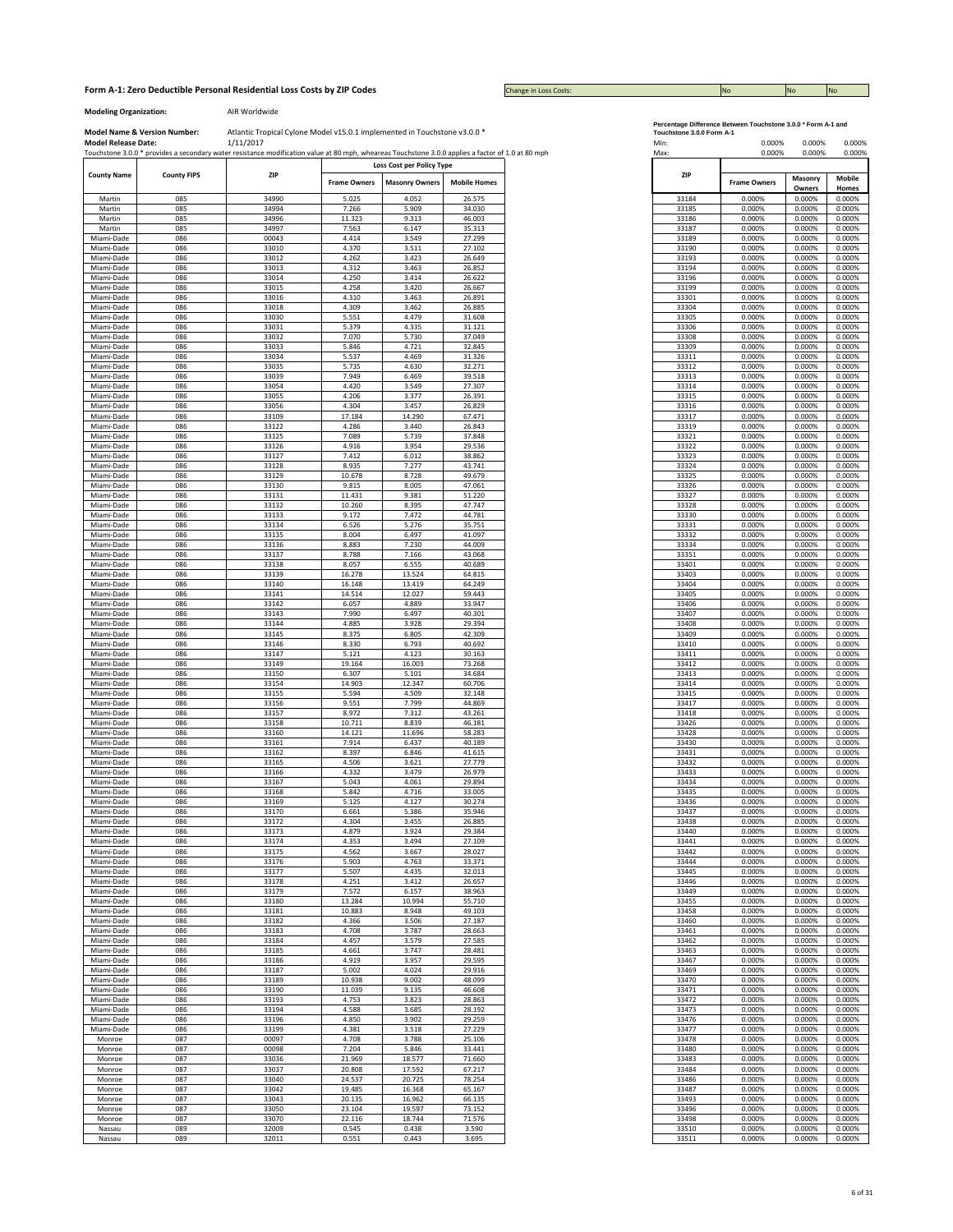Change in Loss Costs:

## **Modeling Organization:** AIR Worldwide

|                          |                    | Touchstone 3.0.0 * provides a secondary water resistance modification value at 80 mph, wheareas Touchstone 3.0.0 applies a factor of 1.0 at 80 mph |                     |                           |                     | Max:           | 0.000%              | 0.000%           |                  |
|--------------------------|--------------------|----------------------------------------------------------------------------------------------------------------------------------------------------|---------------------|---------------------------|---------------------|----------------|---------------------|------------------|------------------|
| <b>County Name</b>       | <b>County FIPS</b> | <b>ZIP</b>                                                                                                                                         |                     | Loss Cost per Policy Type |                     | <b>ZIP</b>     |                     | Masonry          | Mobile           |
|                          |                    |                                                                                                                                                    | <b>Frame Owners</b> | <b>Masonry Owners</b>     | <b>Mobile Homes</b> |                | <b>Frame Owners</b> | Owners           | Homes            |
| Martin                   | 085                | 34990                                                                                                                                              | 5.025               | 4.052                     | 26.575              | 33184          | 0.000%              | 0.000%           | 0.000%           |
| Martin<br>Martin         | 085<br>085         | 34994<br>34996                                                                                                                                     | 7.266<br>11.323     | 5.909<br>9.313            | 34.030<br>46.003    | 33185<br>33186 | 0.000%<br>0.000%    | 0.000%           | 0.000%           |
| Martin                   | 085                | 34997                                                                                                                                              | 7.563               | 6.147                     | 35.313              | 33187          | 0.000%              | 0.000%<br>0.000% | 0.000%<br>0.000% |
| Miami-Dade               | 086                | 00043                                                                                                                                              | 4.414               | 3.549                     | 27.299              | 33189          | 0.000%              | 0.000%           | 0.000%           |
| Miami-Dade               | 086                | 33010                                                                                                                                              | 4.370               | 3.511                     | 27.102              | 33190          | 0.000%              | 0.000%           | 0.000%           |
| Miami-Dade               | 086                | 33012                                                                                                                                              | 4.262               | 3.423                     | 26.649              | 33193          | 0.000%              | 0.000%           | 0.000%           |
| Miami-Dade               | 086                | 33013                                                                                                                                              | 4.312               | 3.463                     | 26.852              | 33194          | 0.000%              | 0.000%           | 0.000%           |
| Miami-Dade               | 086                | 33014                                                                                                                                              | 4.250               | 3.414                     | 26.622              | 33196          | 0.000%              | 0.000%           | 0.000%           |
| Miami-Dade<br>Miami-Dade | 086<br>086         | 33015<br>33016                                                                                                                                     | 4.258<br>4.310      | 3.420<br>3.463            | 26.667<br>26.891    | 33199<br>33301 | 0.000%<br>0.000%    | 0.000%<br>0.000% | 0.000%<br>0.000% |
| Miami-Dade               | 086                | 33018                                                                                                                                              | 4.309               | 3.462                     | 26.885              | 33304          | 0.000%              | 0.000%           | 0.000%           |
| Miami-Dade               | 086                | 33030                                                                                                                                              | 5.551               | 4.479                     | 31.608              | 33305          | 0.000%              | 0.000%           | 0.000%           |
| Miami-Dade               | 086                | 33031                                                                                                                                              | 5.379               | 4.335                     | 31.121              | 33306          | 0.000%              | 0.000%           | 0.000%           |
| Miami-Dade               | 086                | 33032                                                                                                                                              | 7.070               | 5.730                     | 37.049              | 33308          | 0.000%              | 0.000%           | 0.000%           |
| Miami-Dade               | 086<br>086         | 33033<br>33034                                                                                                                                     | 5.846               | 4.721                     | 32.845              | 33309          | 0.000%<br>0.000%    | 0.000%           | 0.000%<br>0.000% |
| Miami-Dade<br>Miami-Dade | 086                | 33035                                                                                                                                              | 5.537<br>5.735      | 4.469<br>4.630            | 31.326<br>32.271    | 33311<br>33312 | 0.000%              | 0.000%<br>0.000% |                  |
| Miami-Dade               | 086                | 33039                                                                                                                                              | 7.949               | 6.469                     | 39.518              | 33313          | 0.000%              | 0.000%           |                  |
| Miami-Dade               | 086                | 33054                                                                                                                                              | 4.420               | 3.549                     | 27.307              | 33314          | 0.000%              | 0.000%           |                  |
| Miami-Dade               | 086                | 33055                                                                                                                                              | 4.206               | 3.377                     | 26.391              | 33315          | 0.000%              | 0.000%           |                  |
| Miami-Dade               | 086                | 33056                                                                                                                                              | 4.304               | 3.457                     | 26.829              | 33316          | 0.000%              | 0.000%           |                  |
| Miami-Dade               | 086                | 33109                                                                                                                                              | 17.184              | 14.290                    | 67.471              | 33317          | 0.000%              | 0.000%           |                  |
| Miami-Dade               | 086<br>086         | 33122<br>33125                                                                                                                                     | 4.286<br>7.089      | 3.440<br>5.739            | 26.843<br>37.848    | 33319<br>33321 | 0.000%<br>0.000%    | 0.000%<br>0.000% |                  |
| Miami-Dade<br>Miami-Dade | 086                | 33126                                                                                                                                              | 4.916               | 3.954                     | 29.536              | 33322          | 0.000%              | 0.000%           |                  |
| Miami-Dade               | 086                | 33127                                                                                                                                              | 7.412               | 6.012                     | 38.862              | 33323          | 0.000%              | 0.000%           |                  |
| Miami-Dade               | 086                | 33128                                                                                                                                              | 8.935               | 7.277                     | 43.741              | 33324          | 0.000%              | 0.000%           |                  |
| Miami-Dade               | 086                | 33129                                                                                                                                              | 10.678              | 8.728                     | 49.679              | 33325          | 0.000%              | 0.000%           |                  |
| Miami-Dade               | 086                | 33130                                                                                                                                              | 9.815               | 8.005                     | 47.061              | 33326          | 0.000%              | 0.000%           |                  |
| Miami-Dade               | 086                | 33131                                                                                                                                              | 11.431              | 9.381                     | 51.220              | 33327          | 0.000%              | 0.000%           |                  |
| Miami-Dade<br>Miami-Dade | 086<br>086         | 33132<br>33133                                                                                                                                     | 10.260<br>9.172     | 8.395<br>7.472            | 47.747<br>44.781    | 33328<br>33330 | 0.000%<br>0.000%    | 0.000%<br>0.000% |                  |
| Miami-Dade               | 086                | 33134                                                                                                                                              | 6.526               | 5.276                     | 35.751              | 33331          | 0.000%              | 0.000%           |                  |
| Miami-Dade               | 086                | 33135                                                                                                                                              | 8.004               | 6.497                     | 41.097              | 33332          | 0.000%              | 0.000%           |                  |
| Miami-Dade               | 086                | 33136                                                                                                                                              | 8.883               | 7.230                     | 44.009              | 33334          | 0.000%              | 0.000%           |                  |
| Miami-Dade               | 086                | 33137                                                                                                                                              | 8.788               | 7.166                     | 43.068              | 33351          | 0.000%              | 0.000%           |                  |
| Miami-Dade               | 086<br>086         | 33138<br>33139                                                                                                                                     | 8.057<br>16.278     | 6.555<br>13.524           | 40.689<br>64.815    | 33401<br>33403 | 0.000%<br>0.000%    | 0.000%<br>0.000% |                  |
| Miami-Dade<br>Miami-Dade | 086                | 33140                                                                                                                                              | 16.148              | 13.419                    | 64.249              | 33404          | 0.000%              | 0.000%           |                  |
| Miami-Dade               | 086                | 33141                                                                                                                                              | 14.514              | 12.027                    | 59.443              | 33405          | 0.000%              | 0.000%           | 0.000%<br>0.000% |
| Miami-Dade               | 086                | 33142                                                                                                                                              | 6.057               | 4.889                     | 33.947              | 33406          | 0.000%              | 0.000%           |                  |
| Miami-Dade               | 086                | 33143                                                                                                                                              | 7.990               | 6.497                     | 40.301              | 33407          | 0.000%              | 0.000%           | 0.000%           |
| Miami-Dade               | 086                | 33144                                                                                                                                              | 4.885               | 3.928                     | 29.394              | 33408          | 0.000%              | 0.000%           | 0.000%<br>0.000% |
| Miami-Dade<br>Miami-Dade | 086<br>086         | 33145<br>33146                                                                                                                                     | 8.375<br>8.330      | 6.805<br>6.793            | 42.309<br>40.692    | 33409<br>33410 | 0.000%<br>0.000%    | 0.000%<br>0.000% |                  |
| Miami-Dade               | 086                | 33147                                                                                                                                              | 5.121               | 4.123                     | 30.163              | 33411          | 0.000%              | 0.000%           |                  |
| Miami-Dade               | 086                | 33149                                                                                                                                              | 19.164              | 16.003                    | 73.268              | 33412          | 0.000%              | 0.000%           |                  |
| Miami-Dade               | 086                | 33150                                                                                                                                              | 6.307               | 5.101                     | 34.684              | 33413          | 0.000%              | 0.000%           |                  |
| Miami-Dade               | 086                | 33154                                                                                                                                              | 14.903              | 12.347                    | 60.706              | 33414          | 0.000%              | 0.000%           |                  |
| Miami-Dade<br>Miami-Dade | 086<br>086         | 33155<br>33156                                                                                                                                     | 5.594<br>9.551      | 4.509<br>7.799            | 32.148<br>44.869    | 33415<br>33417 | 0.000%<br>0.000%    | 0.000%<br>0.000% |                  |
| Miami-Dade               | 086                | 33157                                                                                                                                              | 8.972               | 7.312                     | 43.261              | 33418          | 0.000%              | 0.000%           |                  |
| Miami-Dade               | 086                | 33158                                                                                                                                              | 10.711              | 8.839                     | 46.181              | 33426          | 0.000%              | 0.000%           |                  |
| Miami-Dade               | 086                | 33160                                                                                                                                              | 14.121              | 11.696                    | 58.283              | 33428          | 0.000%              | 0.000%           |                  |
| Miami-Dade               | 086                | 33161                                                                                                                                              | 7.914               | 6.437                     | 40.189              | 33430          | 0.000%              | 0.000%           |                  |
| Miami-Dade               | 086                | 33162                                                                                                                                              | 8.397               | 6.846                     | 41.615              | 33431          | 0.000%              | 0.000%           |                  |
| Miami-Dade<br>Miami-Dade | 086<br>086         | 33165<br>33166                                                                                                                                     | 4.506<br>4.332      | 3.621<br>3.479            | 27.779<br>26.979    | 33432<br>33433 | 0.000%<br>0.000%    | 0.000%<br>0.000% |                  |
| Miami-Dade               | 086                | 33167                                                                                                                                              | 5.043               | 4.061                     | 29.894              | 33434          | 0.000%              | 0.000%           |                  |
| Miami-Dade               | 086                | 33168                                                                                                                                              | 5.842               | 4.716                     | 33.005              | 33435          | 0.000%              | 0.000%           |                  |
| Miami-Dade               | 086                | 33169                                                                                                                                              | 5.125               | 4.127                     | 30.274              | 33436          | 0.000%              | 0.000%           |                  |
| Miami-Dade               | 086                | 33170                                                                                                                                              | 6.661               | 5.386                     | 35.946              | 33437          | 0.000%              | 0.000%           |                  |
| Miami-Dade<br>Miami-Dade | 086<br>086         | 33172<br>33173                                                                                                                                     | 4.304<br>4.879      | 3.455<br>3.924            | 26.885<br>29.384    | 33438<br>33440 | 0.000%<br>0.000%    | 0.000%<br>0.000% |                  |
| Miami-Dade               | 086                | 33174                                                                                                                                              | 4.353               | 3.494                     | 27.109              | 33441          | 0.000%              | 0.000%           |                  |
| Miami-Dade               | 086                | 33175                                                                                                                                              | 4.562               | 3.667                     | 28.027              | 33442          | 0.000%              | 0.000%           |                  |
| Miami-Dade               | 086                | 33176                                                                                                                                              | 5.903               | 4.763                     | 33.371              | 33444          | 0.000%              | 0.000%           |                  |
| Miami-Dade               | 086                | 33177                                                                                                                                              | 5.507               | 4.435                     | 32.013              | 33445          | 0.000%              | 0.000%           |                  |
| Miami-Dade               | 086<br>086         | 33178                                                                                                                                              | 4.251               | 3.412                     | 26.657              | 33446          | 0.000%              | 0.000%           |                  |
| Miami-Dade<br>Miami-Dade | 086                | 33179<br>33180                                                                                                                                     | 7.572<br>13.284     | 6.157<br>10.994           | 38.963<br>55.710    | 33449<br>33455 | 0.000%<br>0.000%    | 0.000%<br>0.000% |                  |
| Miami-Dade               | 086                | 33181                                                                                                                                              | 10.883              | 8.948                     | 49.103              | 33458          | 0.000%              | 0.000%           |                  |
| Miami-Dade               | 086                | 33182                                                                                                                                              | 4.366               | 3.506                     | 27.187              | 33460          | 0.000%              | 0.000%           |                  |
| Miami-Dade               | 086                | 33183                                                                                                                                              | 4.708               | 3.787                     | 28.663              | 33461          | 0.000%              | 0.000%           |                  |
| Miami-Dade               | 086                | 33184                                                                                                                                              | 4.457               | 3.579                     | 27.585              | 33462          | 0.000%              | 0.000%           |                  |
| Miami-Dade<br>Miami-Dade | 086<br>086         | 33185<br>33186                                                                                                                                     | 4.661<br>4.919      | 3.747<br>3.957            | 28.481<br>29.595    | 33463<br>33467 | 0.000%<br>0.000%    | 0.000%<br>0.000% |                  |
| Miami-Dade               | 086                | 33187                                                                                                                                              | 5.002               | 4.024                     | 29.916              | 33469          | 0.000%              | 0.000%           |                  |
| Miami-Dade               | 086                | 33189                                                                                                                                              | 10.938              | 9.002                     | 48.099              | 33470          | 0.000%              | 0.000%           |                  |
| Miami-Dade               | 086                | 33190                                                                                                                                              | 11.039              | 9.135                     | 46.608              | 33471          | 0.000%              | 0.000%           |                  |
| Miami-Dade               | 086                | 33193                                                                                                                                              | 4.753               | 3.823                     | 28.863              | 33472          | 0.000%              | 0.000%           |                  |
| Miami-Dade               | 086                | 33194                                                                                                                                              | 4.588               | 3.685                     | 28.192              | 33473          | 0.000%              | 0.000%           |                  |
| Miami-Dade               | 086                | 33196                                                                                                                                              | 4.850               | 3.902                     | 29.259              | 33476          | 0.000%              | 0.000%           |                  |
| Miami-Dade<br>Monroe     | 086<br>087         | 33199<br>00097                                                                                                                                     | 4.381<br>4.708      | 3.518<br>3.788            | 27.229<br>25.106    | 33477<br>33478 | 0.000%<br>0.000%    | 0.000%<br>0.000% |                  |
| Monroe                   | 087                | 00098                                                                                                                                              | 7.204               | 5.846                     | 33.441              | 33480          | 0.000%              | 0.000%           |                  |
| Monroe                   | 087                | 33036                                                                                                                                              | 21.969              | 18.577                    | 71.660              | 33483          | 0.000%              | 0.000%           |                  |
| Monroe                   | 087                | 33037                                                                                                                                              | 20.808              | 17.592                    | 67.217              | 33484          | 0.000%              | 0.000%           |                  |
| Monroe                   | 087                | 33040                                                                                                                                              | 24.537              | 20.725                    | 78.254              | 33486          | 0.000%              | 0.000%           |                  |
| Monroe                   | 087                | 33042                                                                                                                                              | 19.485              | 16.368                    | 65.167              | 33487          | 0.000%              | 0.000%           |                  |
| Monroe<br>Monroe         | 087<br>087         | 33043<br>33050                                                                                                                                     | 20.135<br>23.104    | 16.962<br>19.597          | 66.135<br>73.152    | 33493<br>33496 | 0.000%<br>0.000%    | 0.000%<br>0.000% |                  |
| Monroe                   | 087                | 33070                                                                                                                                              | 22.116              | 18.744                    | 71.576              | 33498          | 0.000%              | 0.000%           |                  |
| Nassau                   | 089                | 32009                                                                                                                                              | 0.545               | 0.438                     | 3.590               | 33510          | 0.000%              | 0.000%           | 0.000%<br>0.000% |
| Nassau                   | 089                | 32011                                                                                                                                              | 0.551               | 0.443                     | 3.695               | 33511          | 0.000%              | 0.000%           | 0.000%           |

|  | ercentage Difference Between Touchstone 3.0.0 * Form A-1 an |  |  |
|--|-------------------------------------------------------------|--|--|

| <b>Model Release Date:</b> | <b>Model Name &amp; Version Number:</b> | Atlantic Tropical Cylone Model v15.0.1 implemented in Touchstone v3.0.0 *<br>1/11/2017                                                             |                     |                                                    |                     |
|----------------------------|-----------------------------------------|----------------------------------------------------------------------------------------------------------------------------------------------------|---------------------|----------------------------------------------------|---------------------|
|                            |                                         | Touchstone 3.0.0 * provides a secondary water resistance modification value at 80 mph, wheareas Touchstone 3.0.0 applies a factor of 1.0 at 80 mph |                     |                                                    |                     |
| <b>County Name</b>         | <b>County FIPS</b>                      | ZIP                                                                                                                                                | <b>Frame Owners</b> | Loss Cost per Policy Type<br><b>Masonry Owners</b> | <b>Mobile Homes</b> |
| Martin                     | 085                                     | 34990                                                                                                                                              | 5.025               | 4.052                                              | 26.575              |
| Martin                     | 085                                     | 34994                                                                                                                                              | 7.266               | 5.909                                              | 34.030              |
| Martin<br>Martin           | 085<br>085                              | 34996<br>34997                                                                                                                                     | 11.323<br>7.563     | 9.313<br>6.147                                     | 46.003<br>35.313    |
| Miami-Dade                 | 086                                     | 00043                                                                                                                                              | 4.414               | 3.549                                              | 27.299              |
| Miami-Dade                 | 086                                     | 33010                                                                                                                                              | 4.370               | 3.511                                              | 27.102              |
| Miami-Dade<br>Miami-Dade   | 086<br>086                              | 33012<br>33013                                                                                                                                     | 4.262<br>4.312      | 3.423<br>3.463                                     | 26.649<br>26.852    |
| Miami-Dade                 | 086                                     | 33014                                                                                                                                              | 4.250               | 3.414                                              | 26.622              |
| Miami-Dade                 | 086                                     | 33015                                                                                                                                              | 4.258               | 3.420                                              | 26.667              |
| Miami-Dade<br>Miami-Dade   | 086<br>086                              | 33016<br>33018                                                                                                                                     | 4.310<br>4.309      | 3.463<br>3.462                                     | 26.891<br>26.885    |
| Miami-Dade                 | 086                                     | 33030                                                                                                                                              | 5.551               | 4.479                                              | 31.608              |
| Miami-Dade                 | 086                                     | 33031                                                                                                                                              | 5.379               | 4.335                                              | 31.121              |
| Miami-Dade<br>Miami-Dade   | 086<br>086                              | 33032<br>33033                                                                                                                                     | 7.070<br>5.846      | 5.730<br>4.721                                     | 37.049<br>32.845    |
| Miami-Dade                 | 086                                     | 33034                                                                                                                                              | 5.537               | 4.469                                              | 31.326              |
| Miami-Dade                 | 086                                     | 33035                                                                                                                                              | 5.735               | 4.630                                              | 32.271              |
| Miami-Dade                 | 086                                     | 33039                                                                                                                                              | 7.949               | 6.469                                              | 39.518              |
| Miami-Dade<br>Miami-Dade   | 086<br>086                              | 33054<br>33055                                                                                                                                     | 4.420<br>4.206      | 3.549<br>3.377                                     | 27.307<br>26.391    |
| Miami-Dade                 | 086                                     | 33056                                                                                                                                              | 4.304               | 3.457                                              | 26.829              |
| Miami-Dade                 | 086                                     | 33109                                                                                                                                              | 17.184              | 14.290                                             | 67.471              |
| Miami-Dade                 | 086                                     | 33122                                                                                                                                              | 4.286               | 3.440<br>5.739                                     | 26.843              |
| Miami-Dade<br>Miami-Dade   | 086<br>086                              | 33125<br>33126                                                                                                                                     | 7.089<br>4.916      | 3.954                                              | 37.848<br>29.536    |
| Miami-Dade                 | 086                                     | 33127                                                                                                                                              | 7.412               | 6.012                                              | 38.862              |
| Miami-Dade                 | 086                                     | 33128                                                                                                                                              | 8.935               | 7.277                                              | 43.741              |
| Miami-Dade<br>Miami-Dade   | 086<br>086                              | 33129<br>33130                                                                                                                                     | 10.678<br>9.815     | 8.728<br>8.005                                     | 49.679<br>47.061    |
| Miami-Dade                 | 086                                     | 33131                                                                                                                                              | 11.431              | 9.381                                              | 51.220              |
| Miami-Dade                 | 086                                     | 33132                                                                                                                                              | 10.260              | 8.395                                              | 47.747              |
| Miami-Dade<br>Miami-Dade   | 086<br>086                              | 33133<br>33134                                                                                                                                     | 9.172<br>6.526      | 7.472<br>5.276                                     | 44.781<br>35.751    |
| Miami-Dade                 | 086                                     | 33135                                                                                                                                              | 8.004               | 6.497                                              | 41.097              |
| Miami-Dade                 | 086                                     | 33136                                                                                                                                              | 8.883               | 7.230                                              | 44.009              |
| Miami-Dade<br>Miami-Dade   | 086<br>086                              | 33137<br>33138                                                                                                                                     | 8.788<br>8.057      | 7.166<br>6.555                                     | 43.068<br>40.689    |
| Miami-Dade                 | 086                                     | 33139                                                                                                                                              | 16.278              | 13.524                                             | 64.815              |
| Miami-Dade                 | 086                                     | 33140                                                                                                                                              | 16.148              | 13.419                                             | 64.249              |
| Miami-Dade                 | 086                                     | 33141                                                                                                                                              | 14.514              | 12.027                                             | 59.443              |
| Miami-Dade<br>Miami-Dade   | 086<br>086                              | 33142<br>33143                                                                                                                                     | 6.057<br>7.990      | 4.889<br>6.497                                     | 33.947<br>40.301    |
| Miami-Dade                 | 086                                     | 33144                                                                                                                                              | 4.885               | 3.928                                              | 29.394              |
| Miami-Dade                 | 086                                     | 33145                                                                                                                                              | 8.375               | 6.805                                              | 42.309              |
| Miami-Dade<br>Miami-Dade   | 086<br>086                              | 33146<br>33147                                                                                                                                     | 8.330<br>5.121      | 6.793<br>4.123                                     | 40.692<br>30.163    |
| Miami-Dade                 | 086                                     | 33149                                                                                                                                              | 19.164              | 16.003                                             | 73.268              |
| Miami-Dade                 | 086                                     | 33150                                                                                                                                              | 6.307               | 5.101                                              | 34.684              |
| Miami-Dade<br>Miami-Dade   | 086<br>086                              | 33154<br>33155                                                                                                                                     | 14.903<br>5.594     | 12.347<br>4.509                                    | 60.706<br>32.148    |
| Miami-Dade                 | 086                                     | 33156                                                                                                                                              | 9.551               | 7.799                                              | 44.869              |
| Miami-Dade                 | 086                                     | 33157                                                                                                                                              | 8.972               | 7.312                                              | 43.261              |
| Miami-Dade<br>Miami-Dade   | 086<br>086                              | 33158<br>33160                                                                                                                                     | 10.711<br>14.121    | 8.839<br>11.696                                    | 46.181<br>58.283    |
| Miami-Dade                 | 086                                     | 33161                                                                                                                                              | 7.914               | 6.437                                              | 40.189              |
| Miami-Dade                 | 086                                     | 33162                                                                                                                                              | 8.397               | 6.846                                              | 41.615              |
| Miami-Dade                 | 086                                     | 33165                                                                                                                                              | 4.506               | 3.621                                              | 27.779              |
| Miami-Dade<br>Miami-Dade   | 086<br>086                              | 33166<br>33167                                                                                                                                     | 4.332<br>5.043      | 3.479<br>4.061                                     | 26.979<br>29.894    |
| Miami-Dade                 | 086                                     | 33168                                                                                                                                              | 5.842               | 4.716                                              | 33.005              |
| Miami-Dade<br>Miami-Dade   | 086                                     | 33169<br>33170                                                                                                                                     | 5.125               | 4.127<br>5.386                                     | 30.274<br>35.946    |
| Miami-Dade                 | 086<br>086                              | 33172                                                                                                                                              | 6.661<br>4.304      | 3.455                                              | 26.885              |
| Miami-Dade                 | 086                                     | 33173                                                                                                                                              | 4.879               | 3.924                                              | 29.384              |
| Miami-Dade                 | 086                                     | 33174                                                                                                                                              | 4.353               | 3.494                                              | 27.109              |
| Miami-Dade<br>Miami-Dade   | 086<br>086                              | 33175<br>33176                                                                                                                                     | 4.562<br>5.903      | 3.667<br>4.763                                     | 28.027<br>33.371    |
| Miami-Dade                 | 086                                     | 33177                                                                                                                                              | 5.507               | 4.435                                              | 32.013              |
| Miami-Dade                 | 086                                     | 33178                                                                                                                                              | 4.251               | 3.412                                              | 26.657              |
| Miami-Dade<br>Miami-Dade   | 086<br>086                              | 33179<br>33180                                                                                                                                     | 7.572<br>13.284     | 6.157<br>10.994                                    | 38.963<br>55.710    |
| Miami-Dade                 | 086                                     | 33181                                                                                                                                              | 10.883              | 8.948                                              | 49.103              |
| Miami-Dade                 | 086                                     | 33182                                                                                                                                              | 4.366               | 3.506                                              | 27.187              |
| Miami-Dade<br>Miami-Dade   | 086<br>086                              | 33183<br>33184                                                                                                                                     | 4.708<br>4.457      | 3.787<br>3.579                                     | 28.663<br>27.585    |
| Miami-Dade                 | 086                                     | 33185                                                                                                                                              | 4.661               | 3.747                                              | 28.481              |
| Miami-Dade                 | 086                                     | 33186                                                                                                                                              | 4.919               | 3.957                                              | 29.595              |
| Miami-Dade                 | 086                                     | 33187                                                                                                                                              | 5.002               | 4.024                                              | 29.916              |
| Miami-Dade<br>Miami-Dade   | 086<br>086                              | 33189<br>33190                                                                                                                                     | 10.938<br>11.039    | 9.002<br>9.135                                     | 48.099<br>46.608    |
| Miami-Dade                 | 086                                     | 33193                                                                                                                                              | 4.753               | 3.823                                              | 28.863              |
| Miami-Dade                 | 086                                     | 33194                                                                                                                                              | 4.588               | 3.685                                              | 28.192              |
| Miami-Dade                 | 086                                     | 33196                                                                                                                                              | 4.850               | 3.902                                              | 29.259              |
| Miami-Dade<br>Monroe       | 086<br>087                              | 33199<br>00097                                                                                                                                     | 4.381<br>4.708      | 3.518<br>3.788                                     | 27.229<br>25.106    |
| Monroe                     | 087                                     | 00098                                                                                                                                              | 7.204               | 5.846                                              | 33.441              |
| Monroe                     | 087                                     | 33036                                                                                                                                              | 21.969              | 18.577                                             | 71.660              |
| Monroe<br>Monroe           | 087<br>087                              | 33037<br>33040                                                                                                                                     | 20.808<br>24.537    | 17.592<br>20.725                                   | 67.217<br>78.254    |
| Monroe                     | 087                                     | 33042                                                                                                                                              | 19.485              | 16.368                                             | 65.167              |
| Monroe                     | 087                                     | 33043                                                                                                                                              | 20.135              | 16.962                                             | 66.135              |
| Monroe<br>Monroe           | 087<br>087                              | 33050<br>33070                                                                                                                                     | 23.104<br>22.116    | 19.597<br>18.744                                   | 73.152<br>71.576    |
| Nassau                     | 089                                     | 32009                                                                                                                                              | 0.545               | 0.438                                              | 3.590               |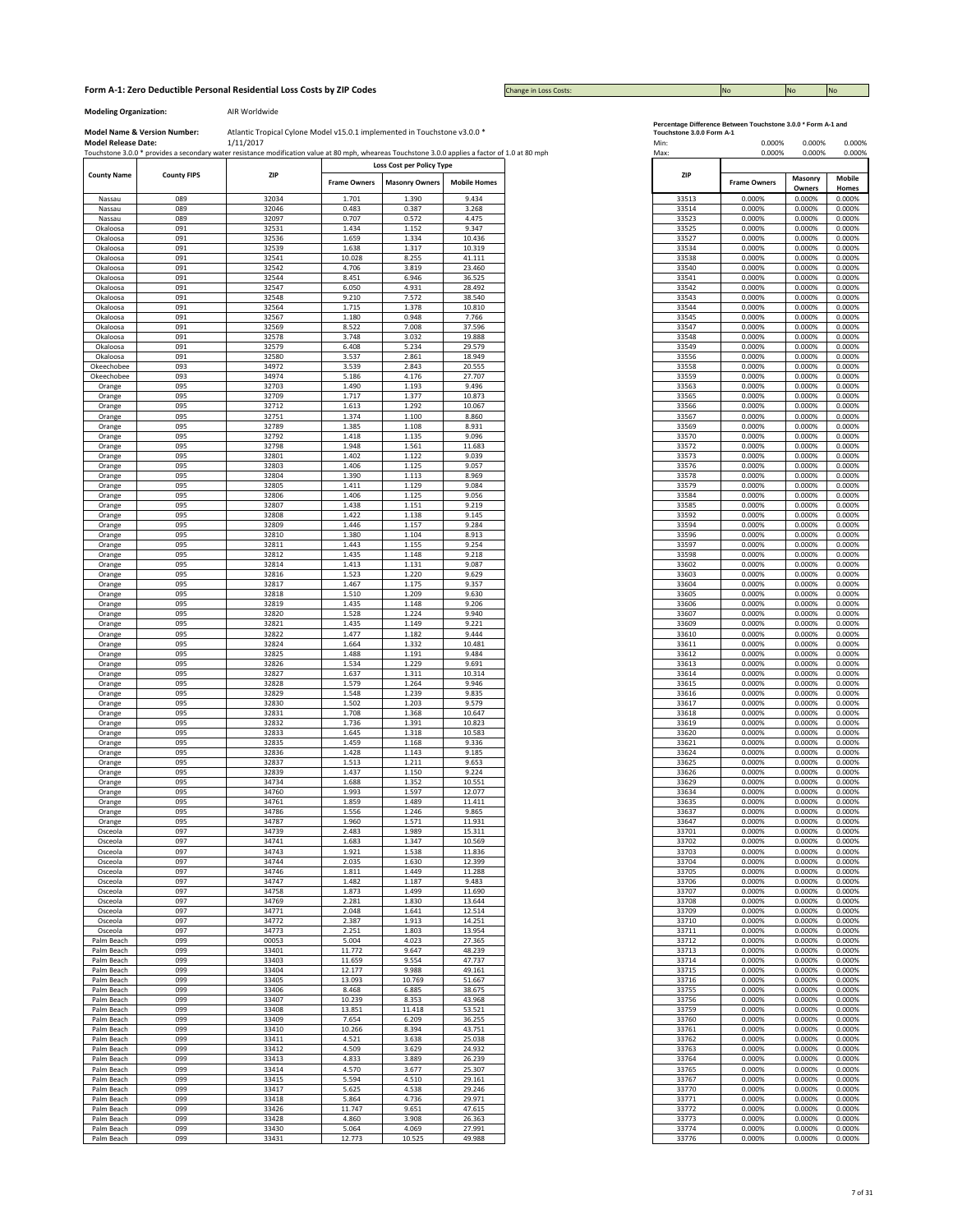Change in Loss Costs:

**Modeling Organization:** AIR Worldwide

|                    |                    | Touchstone 3.0.0 * provides a secondary water resistance modification value at 80 mph, wheareas Touchstone 3.0.0 applies a factor of 1.0 at 80 mph |                     |                           |                     | Max:                               | 0.000%<br>0.000% |
|--------------------|--------------------|----------------------------------------------------------------------------------------------------------------------------------------------------|---------------------|---------------------------|---------------------|------------------------------------|------------------|
| <b>County Name</b> | <b>County FIPS</b> | ZIP                                                                                                                                                |                     | Loss Cost per Policy Type |                     | ZIP                                | Masonry          |
|                    |                    |                                                                                                                                                    | <b>Frame Owners</b> | <b>Masonry Owners</b>     | <b>Mobile Homes</b> | <b>Frame Owners</b>                | Owners           |
| Nassau             | 089                | 32034                                                                                                                                              | 1.701               | 1.390                     | 9.434               | 33513<br>0.000%                    | 0.000%           |
| Nassau             | 089                | 32046                                                                                                                                              | 0.483               | 0.387                     | 3.268               | 33514<br>0.000%                    | 0.000%           |
| Nassau             | 089                | 32097                                                                                                                                              | 0.707               | 0.572                     | 4.475               | 33523<br>0.000%                    | 0.000%           |
| Okaloosa           | 091                | 32531                                                                                                                                              | 1.434               | 1.152                     | 9.347               | 33525<br>0.000%                    | 0.000%           |
| Okaloosa           | 091                | 32536                                                                                                                                              | 1.659               | 1.334                     | 10.436              | 33527<br>0.000%                    | 0.000%           |
| Okaloosa           | 091                | 32539                                                                                                                                              | 1.638               | 1.317                     | 10.319              | 33534<br>0.000%                    | 0.000%           |
| Okaloosa           | 091                | 32541                                                                                                                                              | 10.028              | 8.255                     | 41.111              | 33538<br>0.000%                    | 0.000%           |
| Okaloosa           | 091                | 32542                                                                                                                                              | 4.706               | 3.819                     | 23.460              | 33540<br>0.000%                    | 0.000%           |
| Okaloosa           | 091                | 32544                                                                                                                                              | 8.451               | 6.946                     | 36.525              | 33541<br>0.000%                    | 0.000%           |
| Okaloosa           | 091                | 32547                                                                                                                                              | 6.050               | 4.931                     | 28.492              | 33542<br>0.000%                    | 0.000%           |
| Okaloosa           | 091                | 32548                                                                                                                                              | 9.210               | 7.572                     | 38.540              | 33543<br>0.000%                    | 0.000%           |
| Okaloosa           | 091                | 32564                                                                                                                                              | 1.715               | 1.378                     | 10.810              | 33544<br>0.000%                    | 0.000%           |
| Okaloosa           | 091                | 32567                                                                                                                                              | 1.180               | 0.948                     | 7.766               | 33545<br>0.000%                    | 0.000%           |
| Okaloosa           | 091                | 32569                                                                                                                                              | 8.522               | 7.008                     | 37.596              | 33547<br>0.000%                    | 0.000%           |
| Okaloosa           | 091                | 32578                                                                                                                                              | 3.748               | 3.032                     | 19.888              | 33548<br>0.000%                    | 0.000%           |
| Okaloosa           | 091                | 32579                                                                                                                                              | 6.408               | 5.234                     | 29.579              | 33549<br>0.000%                    | 0.000%           |
| Okaloosa           | 091                | 32580                                                                                                                                              | 3.537               | 2.861                     | 18.949              | 33556<br>0.000%                    | 0.000%           |
| Okeechobee         | 093                | 34972                                                                                                                                              | 3.539               | 2.843                     | 20.555              | 33558<br>0.000%                    | 0.000%           |
| Okeechobee         | 093                | 34974                                                                                                                                              | 5.186               | 4.176                     | 27.707              | 33559<br>0.000%                    | 0.000%           |
| Orange             | 095                | 32703                                                                                                                                              | 1.490               | 1.193                     | 9.496               | 33563<br>0.000%                    | 0.000%           |
| Orange             | 095                | 32709                                                                                                                                              | 1.717               | 1.377                     | 10.873              | 33565<br>0.000%                    | 0.000%           |
| Orange             | 095                | 32712                                                                                                                                              | 1.613               | 1.292                     | 10.067              | 33566<br>0.000%                    | 0.000%           |
| Orange             | 095                | 32751                                                                                                                                              | 1.374               | 1.100                     | 8.860               | 33567<br>0.000%                    | 0.000%           |
| Orange             | 095                | 32789                                                                                                                                              | 1.385               | 1.108                     | 8.931               | 33569<br>0.000%                    | 0.000%           |
| Orange             | 095                | 32792                                                                                                                                              | 1.418               | 1.135                     | 9.096               | 33570<br>0.000%                    | 0.000%           |
| Orange             | 095                | 32798                                                                                                                                              | 1.948               | 1.561                     | 11.683              | 33572<br>0.000%                    | 0.000%           |
| Orange             | 095                | 32801                                                                                                                                              | 1.402               | 1.122                     | 9.039               | 33573<br>0.000%                    | 0.000%           |
| Orange             | 095                | 32803                                                                                                                                              | 1.406               | 1.125                     | 9.057               | 33576<br>0.000%                    | 0.000%           |
| Orange             | 095                | 32804                                                                                                                                              | 1.390               | 1.113                     | 8.969               | 33578<br>0.000%                    | 0.000%           |
| Orange             | 095                | 32805                                                                                                                                              | 1.411               | 1.129                     | 9.084               | 33579<br>0.000%                    | 0.000%           |
|                    | 095                | 32806                                                                                                                                              | 1.406               | 1.125                     | 9.056               | 33584<br>0.000%                    | 0.000%           |
| Orange<br>Orange   | 095                | 32807                                                                                                                                              | 1.438               | 1.151                     | 9.219               | 33585<br>0.000%                    | 0.000%           |
|                    | 095                | 32808                                                                                                                                              | 1.422               | 1.138                     | 9.145               | 33592<br>0.000%                    | 0.000%           |
| Orange<br>Orange   | 095                | 32809                                                                                                                                              | 1.446               | 1.157                     | 9.284               | 33594<br>0.000%                    | 0.000%           |
|                    | 095                | 32810                                                                                                                                              | 1.380               | 1.104                     | 8.913               | 33596<br>0.000%                    | 0.000%           |
| Orange             | 095                | 32811                                                                                                                                              | 1.443               | 1.155                     | 9.254               | 33597<br>0.000%                    | 0.000%           |
| Orange<br>Orange   | 095                | 32812                                                                                                                                              | 1.435               | 1.148                     | 9.218               | 33598<br>0.000%                    | 0.000%           |
| Orange             | 095                | 32814                                                                                                                                              | 1.413               | 1.131                     | 9.087               | 33602<br>0.000%                    | 0.000%           |
| Orange             | 095                | 32816                                                                                                                                              | 1.523               | 1.220                     | 9.629               | 33603<br>0.000%                    | 0.000%           |
| Orange             | 095                | 32817                                                                                                                                              | 1.467               | 1.175                     | 9.357               | 33604<br>0.000%                    | 0.000%           |
|                    | 095                | 32818                                                                                                                                              | 1.510               | 1.209                     | 9.630               | 33605<br>0.000%                    | 0.000%           |
| Orange             | 095                | 32819                                                                                                                                              | 1.435               | 1.148                     | 9.206               | 33606<br>0.000%                    | 0.000%           |
| Orange             | 095                | 32820                                                                                                                                              | 1.528               | 1.224                     | 9.940               | 33607<br>0.000%                    |                  |
| Orange             | 095                | 32821                                                                                                                                              | 1.435               | 1.149                     | 9.221               |                                    | 0.000%           |
| Orange             | 095                | 32822                                                                                                                                              |                     |                           | 9.444               | 33609<br>0.000%                    | 0.000%           |
| Orange             | 095                | 32824                                                                                                                                              | 1.477<br>1.664      | 1.182<br>1.332            | 10.481              | 33610<br>0.000%<br>33611<br>0.000% | 0.000%<br>0.000% |
| Orange             | 095                | 32825                                                                                                                                              | 1.488               |                           | 9.484               | 33612<br>0.000%                    | 0.000%           |
| Orange             | 095                | 32826                                                                                                                                              | 1.534               | 1.191<br>1.229            | 9.691               | 33613<br>0.000%                    | 0.000%           |
| Orange             | 095                | 32827                                                                                                                                              | 1.637               | 1.311                     | 10.314              | 33614<br>0.000%                    | 0.000%           |
| Orange             | 095                | 32828                                                                                                                                              | 1.579               | 1.264                     | 9.946               | 33615<br>0.000%                    | 0.000%           |
| Orange             | 095                | 32829                                                                                                                                              | 1.548               | 1.239                     | 9.835               | 33616<br>0.000%                    | 0.000%           |
| Orange<br>Orange   | 095                | 32830                                                                                                                                              | 1.502               | 1.203                     | 9.579               | 33617<br>0.000%                    | 0.000%           |
|                    | 095                | 32831                                                                                                                                              | 1.708               | 1.368                     | 10.647              | 33618<br>0.000%                    | 0.000%           |
| Orange<br>Orange   | 095                | 32832                                                                                                                                              | 1.736               | 1.391                     | 10.823              | 33619<br>0.000%                    | 0.000%           |
| Orange             | 095                | 32833                                                                                                                                              | 1.645               | 1.318                     | 10.583              | 33620<br>0.000%                    | 0.000%           |
| Orange             | 095                | 32835                                                                                                                                              | 1.459               | 1.168                     | 9.336               | 33621<br>0.000%                    | 0.000%           |
|                    | 095                | 32836                                                                                                                                              | 1.428               | 1.143                     | 9.185               | 33624<br>0.000%                    | 0.000%           |
| Orange             |                    |                                                                                                                                                    |                     |                           |                     |                                    |                  |
| Orange             | 095                | 32837                                                                                                                                              | 1.513               | 1.211                     | 9.653               | 33625<br>0.000%                    | 0.000%           |
| Orange             | 095                | 32839                                                                                                                                              | 1.437               | 1.150                     | 9.224               | 33626<br>0.000%                    | 0.000%           |
| Orange             | 095                | 34734                                                                                                                                              | 1.688               | 1.352                     | 10.551              | 33629<br>0.000%                    | 0.000%           |
| Orange             | 095                | 34760                                                                                                                                              | 1.993               | 1.597                     | 12.077              | 33634<br>0.000%                    | 0.000%           |
| Orange             | 095                | 34761                                                                                                                                              | 1.859               | 1.489                     | 11.411              | 33635<br>0.000%                    | 0.000%           |
| Orange             | 095                | 34786<br>34787                                                                                                                                     | 1.556               | 1.246<br>1.571            | 9.865               | 33637<br>0.000%                    | 0.000%           |
| Orange             | 095<br>097         | 34739                                                                                                                                              | 1.960<br>2.483      | 1.989                     | 11.931<br>15.311    | 33647<br>0.000%<br>33701<br>0.000% | 0.000%<br>0.000% |
| Osceola            | 097                | 34741                                                                                                                                              | 1.683               | 1.347                     |                     | 33702                              |                  |
| Osceola            |                    |                                                                                                                                                    |                     |                           | 10.569              | 0.000%                             | 0.000%           |
| Osceola            | 097                | 34743                                                                                                                                              | 1.921               | 1.538                     | 11.836              | 33703<br>0.000%                    | 0.000%           |
| Osceola            | 097                | 34744                                                                                                                                              | 2.035               | 1.630                     | 12.399              | 33704<br>0.000%                    | 0.000%           |
| Osceola            | 097                | 34746                                                                                                                                              | 1.811               | 1.449                     | 11.288              | 33705<br>0.000%                    | 0.000%           |
| Osceola            | 097                | 34747                                                                                                                                              | 1.482               | 1.187                     | 9.483               | 33706<br>0.000%                    | 0.000%           |
| Osceola            | 097                | 34758                                                                                                                                              | 1.873               | 1.499                     | 11.690              | 33707<br>0.000%                    | 0.000%           |
| Osceola            | 097                | 34769                                                                                                                                              | 2.281               | 1.830                     | 13.644              | 33708<br>0.000%                    | 0.000%           |
| Osceola            | 097                | 34771                                                                                                                                              | 2.048               | 1.641                     | 12.514              | 33709<br>0.000%                    | 0.000%           |
| Osceola            | 097                | 34772                                                                                                                                              | 2.387               | 1.913                     | 14.251              | 33710<br>0.000%                    | 0.000%           |
| Osceola            | 097                | 34773                                                                                                                                              | 2.251               | 1.803                     | 13.954              | 33711<br>0.000%                    | 0.000%           |
| Palm Beach         | 099                | 00053                                                                                                                                              | 5.004               | 4.023                     | 27.365              | 33712<br>0.000%                    | 0.000%           |
| Palm Beach         | 099                | 33401                                                                                                                                              | 11.772              | 9.647                     | 48.239              | 33713<br>0.000%                    | 0.000%           |
| Palm Beach         | 099                | 33403                                                                                                                                              | 11.659              | 9.554                     | 47.737              | 33714<br>0.000%                    | 0.000%           |
| Palm Beach         | 099                | 33404                                                                                                                                              | 12.177              | 9.988                     | 49.161              | 33715<br>0.000%                    | 0.000%           |
| Palm Beach         | 099                | 33405                                                                                                                                              | 13.093              | 10.769                    | 51.667              | 33716<br>0.000%                    | 0.000%           |
| Palm Beach         | 099                | 33406                                                                                                                                              | 8.468               | 6.885                     | 38.675              | 33755<br>0.000%                    | 0.000%           |
| Palm Beach         | 099                | 33407                                                                                                                                              | 10.239              | 8.353                     | 43.968              | 33756<br>0.000%                    | 0.000%           |
| Palm Beach         | 099                | 33408                                                                                                                                              | 13.851              | 11.418                    | 53.521              | 33759<br>0.000%                    | 0.000%           |
| Palm Beach         | 099                | 33409                                                                                                                                              | 7.654               | 6.209                     | 36.255              | 33760<br>0.000%                    | 0.000%           |
| Palm Beach         | 099                | 33410                                                                                                                                              | 10.266              | 8.394                     | 43.751              | 33761<br>0.000%                    | 0.000%           |
| Palm Beach         | 099                | 33411                                                                                                                                              | 4.521               | 3.638                     | 25.038              | 33762<br>0.000%                    | 0.000%           |
| Palm Beach         | 099                | 33412                                                                                                                                              | 4.509               | 3.629                     | 24.932              | 33763<br>0.000%                    | 0.000%           |
| Palm Beach         | 099                | 33413                                                                                                                                              | 4.833               | 3.889                     | 26.239              | 33764<br>0.000%                    | 0.000%           |
| Palm Beach         | 099                | 33414                                                                                                                                              | 4.570               | 3.677                     | 25.307              | 33765<br>0.000%                    | 0.000%           |
|                    | 099                | 33415                                                                                                                                              | 5.594               | 4.510                     | 29.161              | 33767<br>0.000%                    | 0.000%           |
| Palm Beach         |                    |                                                                                                                                                    |                     |                           |                     |                                    |                  |
| Palm Beach         | 099                | 33417                                                                                                                                              | 5.625               | 4.538                     | 29.246              | 33770<br>0.000%                    | 0.000%           |
| Palm Beach         | 099                | 33418                                                                                                                                              | 5.864               | 4.736                     | 29.971              | 33771<br>0.000%                    | 0.000%           |
| Palm Beach         | 099                | 33426                                                                                                                                              | 11.747              | 9.651                     | 47.615              | 33772<br>0.000%                    | 0.000%           |
| Palm Beach         | 099                | 33428                                                                                                                                              | 4.860               | 3.908                     | 26.363              | 33773<br>0.000%                    | 0.000%           |
| Palm Beach         | 099                | 33430                                                                                                                                              | 5.064               | 4.069                     | 27.991              | 33774<br>0.000%                    | 0.000%<br>0.000% |
| Palm Beach         | 099                | 33431                                                                                                                                              | 12.773              | 10.525                    | 49.988              | 33776<br>0.000%                    |                  |

| Min:<br>Max:   | 0.000%<br>0.000%    | 0.000%<br>0.000%  | 0.000%<br>0.000%<br>Mobile<br>Homes |  |
|----------------|---------------------|-------------------|-------------------------------------|--|
| ZIP            | <b>Frame Owners</b> | Masonry<br>Owners |                                     |  |
| 33513          | 0.000%              | 0.000%            | 0.000%                              |  |
| 33514          | 0.000%              | 0.000%            | 0.000%                              |  |
| 33523<br>33525 | 0.000%<br>0.000%    | 0.000%<br>0.000%  | 0.000%<br>0.000%                    |  |
| 33527          | 0.000%              | 0.000%            | 0.000%                              |  |
| 33534          | 0.000%              | 0.000%            | 0.000%                              |  |
| 33538<br>33540 | 0.000%<br>0.000%    | 0.000%<br>0.000%  | 0.000%<br>0.000%                    |  |
| 33541          | 0.000%              | 0.000%            | 0.000%                              |  |
| 33542          | 0.000%<br>0.000%    | 0.000%            | 0.000%                              |  |
| 33543<br>33544 | 0.000%              | 0.000%<br>0.000%  | 0.000%<br>0.000%                    |  |
| 33545          | 0.000%              | 0.000%            | 0.000%                              |  |
| 33547<br>33548 | 0.000%<br>0.000%    | 0.000%<br>0.000%  | 0.000%<br>0.000%                    |  |
| 33549          | 0.000%              | 0.000%            | 0.000%                              |  |
| 33556          | 0.000%              | 0.000%            | 0.000%                              |  |
| 33558          | 0.000%<br>0.000%    | 0.000%<br>0.000%  | 0.000%<br>0.000%                    |  |
| 33559<br>33563 | 0.000%              | 0.000%            | 0.000%                              |  |
| 33565          | 0.000%              | 0.000%            | 0.000%                              |  |
| 33566          | 0.000%              | 0.000%            | 0.000%                              |  |
| 33567<br>33569 | 0.000%<br>0.000%    | 0.000%<br>0.000%  | 0.000%<br>0.000%                    |  |
| 33570          | 0.000%              | 0.000%            | 0.000%                              |  |
| 33572          | 0.000%              | 0.000%            | 0.000%                              |  |
| 33573<br>33576 | 0.000%<br>0.000%    | 0.000%<br>0.000%  | 0.000%<br>0.000%                    |  |
| 33578          | 0.000%              | 0.000%            | 0.000%                              |  |
| 33579          | 0.000%              | 0.000%            | 0.000%                              |  |
| 33584          | 0.000%              | 0.000%            | 0.000%<br>0.000%                    |  |
| 33585<br>33592 | 0.000%<br>0.000%    | 0.000%<br>0.000%  | 0.000%                              |  |
| 33594          | 0.000%              | 0.000%            | 0.000%                              |  |
| 33596          | 0.000%              | 0.000%            | 0.000%                              |  |
| 33597<br>33598 | 0.000%<br>0.000%    | 0.000%<br>0.000%  | 0.000%<br>0.000%                    |  |
| 33602          | 0.000%              | 0.000%            | 0.000%                              |  |
| 33603          | 0.000%              | 0.000%            | 0.000%                              |  |
| 33604<br>33605 | 0.000%<br>0.000%    | 0.000%<br>0.000%  | 0.000%<br>0.000%                    |  |
| 33606          | 0.000%              | 0.000%            | 0.000%                              |  |
| 33607          | 0.000%              | 0.000%            | 0.000%                              |  |
| 33609<br>33610 | 0.000%<br>0.000%    | 0.000%<br>0.000%  | 0.000%<br>0.000%                    |  |
| 33611          | 0.000%              | 0.000%            | 0.000%                              |  |
| 33612          | 0.000%              | 0.000%            | 0.000%                              |  |
| 33613<br>33614 | 0.000%<br>0.000%    | 0.000%<br>0.000%  | 0.000%<br>0.000%                    |  |
| 33615          | 0.000%              | 0.000%            | 0.000%                              |  |
| 33616          | 0.000%              | 0.000%            | 0.000%                              |  |
| 33617          | 0.000%              | 0.000%            | 0.000%                              |  |
| 33618<br>33619 | 0.000%<br>0.000%    | 0.000%<br>0.000%  | 0.000%<br>0.000%                    |  |
| 33620          | 0.000%              | 0.000%            | 0.000%                              |  |
| 33621          | 0.000%              | 0.000%            | 0.000%                              |  |
| 33624<br>33625 | 0.000%<br>0.000%    | 0.000%<br>0.000%  | 0.000%<br>0.000%                    |  |
| 33626          | 0.000%              | 0.000%            | 0.000%                              |  |
| 33629          | 0.000%              | 0.000%            | 0.000%                              |  |
| 33634<br>33635 | 0.000%<br>0.000%    | 0.000%<br>0.000%  | 0.000%<br>0.000%                    |  |
| 33637          | 0.000%              | 0.000%            | 0.000%                              |  |
| 33647          | 0.000%              | 0.000%            | 0.000%                              |  |
| 33701<br>33702 | 0.000%<br>0.000%    | 0.000%<br>0.000%  | 0.000%<br>0.000%                    |  |
| 33703          | 0.000%              | 0.000%            | 0.000%                              |  |
| 33704          | 0.000%              | 0.000%            | 0.000%                              |  |
| 33705<br>33706 | 0.000%<br>0.000%    | 0.000%<br>0.000%  | 0.000%<br>0.000%                    |  |
| 33707          | 0.000%              | 0.000%            | 0.000%                              |  |
| 33708          | 0.000%              | 0.000%            | 0.000%                              |  |
| 33709<br>33710 | 0.000%<br>0.000%    | 0.000%<br>0.000%  | 0.000%<br>0.000%                    |  |
| 33711          | 0.000%              | 0.000%            | 0.000%                              |  |
| 33712          | 0.000%              | 0.000%            | 0.000%                              |  |
| 33713          | 0.000%<br>0.000%    | 0.000%            | 0.000%                              |  |
| 33714<br>33715 | 0.000%              | 0.000%<br>0.000%  | 0.000%<br>0.000%                    |  |
| 33716          | 0.000%              | 0.000%            | 0.000%                              |  |
| 33755          | 0.000%              | 0.000%            | 0.000%                              |  |
| 33756<br>33759 | 0.000%<br>0.000%    | 0.000%<br>0.000%  | 0.000%<br>0.000%                    |  |
| 33760          | 0.000%              | 0.000%            | 0.000%                              |  |
| 33761          | 0.000%              | 0.000%            | 0.000%                              |  |
| 33762          | 0.000%              | 0.000%            | 0.000%                              |  |
| 33763<br>33764 | 0.000%<br>0.000%    | 0.000%<br>0.000%  | 0.000%<br>0.000%                    |  |
| 33765          | 0.000%              | 0.000%            | 0.000%                              |  |
| 33767          | 0.000%              | 0.000%            | 0.000%                              |  |
| 33770          | 0.000%              | 0.000%            | 0.000%                              |  |
| 33771<br>33772 | 0.000%<br>0.000%    | 0.000%<br>0.000%  | 0.000%<br>0.000%                    |  |
| 33773          | 0.000%              | 0.000%            | 0.000%                              |  |
| 33774          | 0.000%              | 0.000%            | 0.000%                              |  |
| 33776          | 0.000%              | 0.000%            | 0.000%                              |  |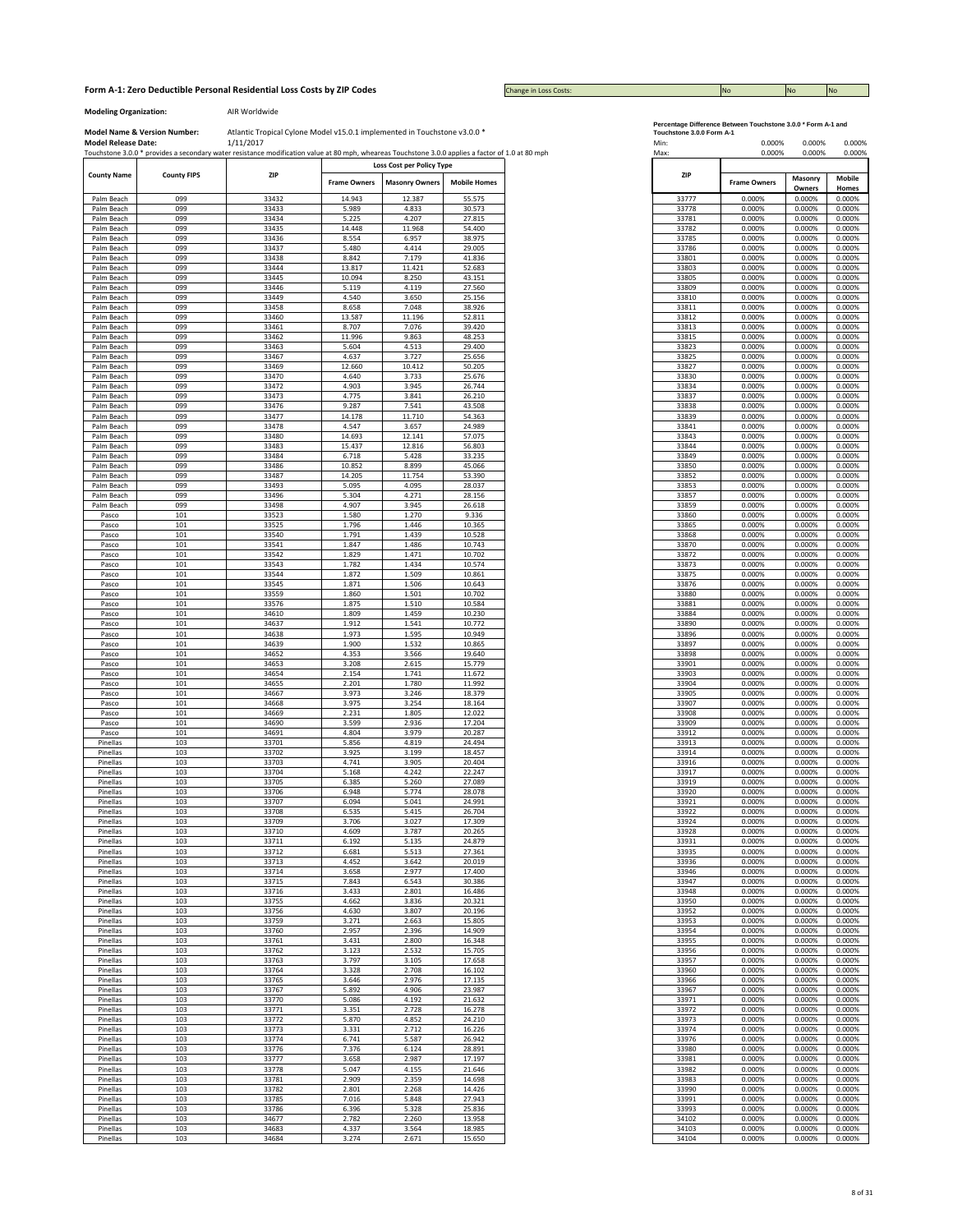## **Form A-1: Zero Deductible Personal Residential Loss Costs by ZIP Codes No No No No No No No No No No No No No** No

Change in Loss Costs:

**Modeling Organization:** AIR Worldwide

Model Name & Version Number: Atlantic Tropical Cylone Model v15.0.1 implemented in Touchstone v3.0.0 \* Touchstone of Model Release Data Touchstone 3.0.0 Form A-1 [10] 0.000% 0.000% 0.000% 0.000% 0.000% 0.000% 0.000% 0.000% Atlantic Tropical Cylone Model v15.0.1 implemented in Touchstone v3.0.0 \*

|                          |                    | Touchstone 3.0.0 * provides a secondary water resistance modification value at 80 mpn, wheareas Touchstone 3.0.0 applies a factor of 1.0 at 80 mpn |                               |                                 |                               |
|--------------------------|--------------------|----------------------------------------------------------------------------------------------------------------------------------------------------|-------------------------------|---------------------------------|-------------------------------|
| <b>County Name</b>       | <b>County FIPS</b> | ZIP                                                                                                                                                |                               | Loss Cost per Policy Type       |                               |
| Palm Beach               | 099                | 33432                                                                                                                                              | <b>Frame Owners</b><br>14.943 | <b>Masonry Owners</b><br>12.387 | <b>Mobile Homes</b><br>55.575 |
| Palm Beach               | 099                | 33433                                                                                                                                              | 5.989                         | 4.833                           | 30.573                        |
| Palm Beach               | 099                | 33434                                                                                                                                              | 5.225                         | 4.207                           | 27.815                        |
| Palm Beach               | 099                | 33435                                                                                                                                              | 14.448                        | 11.968                          | 54.400                        |
| Palm Beach               | 099                | 33436                                                                                                                                              | 8.554                         | 6.957                           | 38.975                        |
| Palm Beach<br>Palm Beach | 099<br>099         | 33437<br>33438                                                                                                                                     | 5.480<br>8.842                | 4.414<br>7.179                  | 29.005<br>41.836              |
| Palm Beach               | 099                | 33444                                                                                                                                              | 13.817                        | 11.421                          | 52.683                        |
| Palm Beach               | 099                | 33445                                                                                                                                              | 10.094                        | 8.250                           | 43.151                        |
| Palm Beach               | 099                | 33446                                                                                                                                              | 5.119                         | 4.119                           | 27.560                        |
| Palm Beach               | 099                | 33449                                                                                                                                              | 4.540                         | 3.650                           | 25.156                        |
| Palm Beach               | 099                | 33458                                                                                                                                              | 8.658                         | 7.048                           | 38.926                        |
| Palm Beach               | 099<br>099         | 33460<br>33461                                                                                                                                     | 13.587<br>8.707               | 11.196<br>7.076                 | 52.811<br>39.420              |
| Palm Beach<br>Palm Beach | 099                | 33462                                                                                                                                              | 11.996                        | 9.863                           | 48.253                        |
| Palm Beach               | 099                | 33463                                                                                                                                              | 5.604                         | 4.513                           | 29.400                        |
| Palm Beach               | 099                | 33467                                                                                                                                              | 4.637                         | 3.727                           | 25.656                        |
| Palm Beach               | 099                | 33469                                                                                                                                              | 12.660                        | 10.412                          | 50.205                        |
| Palm Beach               | 099                | 33470                                                                                                                                              | 4.640                         | 3.733                           | 25.676                        |
| Palm Beach<br>Palm Beach | 099<br>099         | 33472<br>33473                                                                                                                                     | 4.903<br>4.775                | 3.945<br>3.841                  | 26.744<br>26.210              |
| Palm Beach               | 099                | 33476                                                                                                                                              | 9.287                         | 7.541                           | 43.508                        |
| Palm Beach               | 099                | 33477                                                                                                                                              | 14.178                        | 11.710                          | 54.363                        |
| Palm Beach               | 099                | 33478                                                                                                                                              | 4.547                         | 3.657                           | 24.989                        |
| Palm Beach               | 099                | 33480                                                                                                                                              | 14.693                        | 12.141                          | 57.075                        |
| Palm Beach               | 099<br>099         | 33483<br>33484                                                                                                                                     | 15.437                        | 12.816                          | 56.803<br>33.235              |
| Palm Beach<br>Palm Beach | 099                | 33486                                                                                                                                              | 6.718<br>10.852               | 5.428<br>8.899                  | 45.066                        |
| Palm Beach               | 099                | 33487                                                                                                                                              | 14.205                        | 11.754                          | 53.390                        |
| Palm Beach               | 099                | 33493                                                                                                                                              | 5.095                         | 4.095                           | 28.037                        |
| Palm Beach               | 099                | 33496                                                                                                                                              | 5.304                         | 4.271                           | 28.156                        |
| Palm Beach               | 099                | 33498                                                                                                                                              | 4.907                         | 3.945                           | 26.618                        |
| Pasco<br>Pasco           | 101<br>101         | 33523<br>33525                                                                                                                                     | 1.580<br>1.796                | 1.270<br>1.446                  | 9.336<br>10.365               |
| Pasco                    | 101                | 33540                                                                                                                                              | 1.791                         | 1.439                           | 10.528                        |
| Pasco                    | 101                | 33541                                                                                                                                              | 1.847                         | 1.486                           | 10.743                        |
| Pasco                    | 101                | 33542                                                                                                                                              | 1.829                         | 1.471                           | 10.702                        |
| Pasco                    | 101                | 33543                                                                                                                                              | 1.782                         | 1.434                           | 10.574                        |
| Pasco                    | 101                | 33544<br>33545                                                                                                                                     | 1.872                         | 1.509                           | 10.861                        |
| Pasco<br>Pasco           | 101<br>101         | 33559                                                                                                                                              | 1.871<br>1.860                | 1.506<br>1.501                  | 10.643<br>10.702              |
| Pasco                    | 101                | 33576                                                                                                                                              | 1.875                         | 1.510                           | 10.584                        |
| Pasco                    | 101                | 34610                                                                                                                                              | 1.809                         | 1.459                           | 10.230                        |
| Pasco                    | 101                | 34637                                                                                                                                              | 1.912                         | 1.541                           | 10.772                        |
| Pasco                    | 101                | 34638                                                                                                                                              | 1.973                         | 1.595                           | 10.949                        |
| Pasco<br>Pasco           | 101<br>101         | 34639<br>34652                                                                                                                                     | 1.900<br>4.353                | 1.532<br>3.566                  | 10.865<br>19.640              |
| Pasco                    | 101                | 34653                                                                                                                                              | 3.208                         | 2.615                           | 15.779                        |
| Pasco                    | 101                | 34654                                                                                                                                              | 2.154                         | 1.741                           | 11.672                        |
| Pasco                    | 101                | 34655                                                                                                                                              | 2.201                         | 1.780                           | 11.992                        |
| Pasco                    | 101                | 34667                                                                                                                                              | 3.973                         | 3.246                           | 18.379                        |
| Pasco<br>Pasco           | 101<br>101         | 34668<br>34669                                                                                                                                     | 3.975<br>2.231                | 3.254<br>1.805                  | 18.164<br>12.022              |
| Pasco                    | 101                | 34690                                                                                                                                              | 3.599                         | 2.936                           | 17.204                        |
| Pasco                    | 101                | 34691                                                                                                                                              | 4.804                         | 3.979                           | 20.287                        |
| Pinellas                 | 103                | 33701                                                                                                                                              | 5.856                         | 4.819                           | 24.494                        |
| Pinellas                 | 103                | 33702                                                                                                                                              | 3.925                         | 3.199                           | 18.457                        |
| Pinellas                 | 103                | 33703                                                                                                                                              | 4.741                         | 3.905                           | 20.404                        |
| Pinellas<br>Pinellas     | 103<br>103         | 33704<br>33705                                                                                                                                     | 5.168<br>6.385                | 4.242<br>5.260                  | 22.247<br>27.089              |
| Pinellas                 | 103                | 33706                                                                                                                                              | 6.948                         | 5.774                           | 28.078                        |
| Pinellas                 | 103                | 33707                                                                                                                                              | 6.094                         | 5.041                           | 24.991                        |
| Pinellas                 | 103                | 33708                                                                                                                                              | 6.535                         | 5.415                           | 26.704                        |
| Pinellas                 | 103                | 33709                                                                                                                                              | 3.706                         | 3.027                           | 17.309                        |
| Pinellas                 | 103<br>103         | 33710<br>33711                                                                                                                                     | 4.609<br>6.192                | 3.787<br>5.135                  | 20.265<br>24.879              |
| Pinellas<br>Pinelias     | 103                | 33712                                                                                                                                              | <b>b.b81</b>                  | 5.513                           | 27.361                        |
| Pinellas                 | 103                | 33713                                                                                                                                              | 4.452                         | 3.642                           | 20.019                        |
| Pinellas                 | 103                | 33714                                                                                                                                              | 3.658                         | 2.977                           | 17.400                        |
| Pinellas                 | 103                | 33715                                                                                                                                              | 7.843                         | 6.543                           | 30.386                        |
| Pinellas                 | 103                | 33716                                                                                                                                              | 3.433                         | 2.801                           | 16.486                        |
| Pinellas<br>Pinellas     | 103<br>103         | 33755<br>33756                                                                                                                                     | 4.662<br>4.630                | 3.836<br>3.807                  | 20.321<br>20.196              |
| Pinellas                 | 103                | 33759                                                                                                                                              | 3.271                         | 2.663                           | 15.805                        |
| Pinellas                 | 103                | 33760                                                                                                                                              | 2.957                         | 2.396                           | 14.909                        |
| Pinellas                 | 103                | 33761                                                                                                                                              | 3.431                         | 2.800                           | 16.348                        |
| Pinellas                 | 103                | 33762                                                                                                                                              | 3.123                         | 2.532                           | 15.705                        |
| Pinellas                 | 103                | 33763                                                                                                                                              | 3.797                         | 3.105                           | 17.658                        |
| Pinellas<br>Pinellas     | 103<br>103         | 33764<br>33765                                                                                                                                     | 3.328<br>3.646                | 2.708<br>2.976                  | 16.102<br>17.135              |
| Pinellas                 | 103                | 33767                                                                                                                                              | 5.892                         | 4.906                           | 23.987                        |
| Pinellas                 | 103                | 33770                                                                                                                                              | 5.086                         | 4.192                           | 21.632                        |
| Pinellas                 | 103                | 33771                                                                                                                                              | 3.351                         | 2.728                           | 16.278                        |
| Pinellas                 | 103                | 33772                                                                                                                                              | 5.870                         | 4.852                           | 24.210                        |
| Pinellas                 | 103                | 33773                                                                                                                                              | 3.331                         | 2.712                           | 16.226                        |
| Pinellas<br>Pinellas     | 103<br>103         | 33774<br>33776                                                                                                                                     | 6.741<br>7.376                | 5.587<br>6.124                  | 26.942<br>28.891              |
| Pinellas                 | 103                | 33777                                                                                                                                              | 3.658                         | 2.987                           | 17.197                        |
| Pinellas                 | 103                | 33778                                                                                                                                              | 5.047                         | 4.155                           | 21.646                        |
| Pinellas                 | 103                | 33781                                                                                                                                              | 2.909                         | 2.359                           | 14.698                        |
| Pinellas                 | 103                | 33782                                                                                                                                              | 2.801                         | 2.268                           | 14.426                        |
| Pinellas<br>Pinellas     | 103                | 33785                                                                                                                                              | 7.016                         | 5.848<br>5.328                  | 27.943                        |
| Pinellas                 | 103<br>103         | 33786<br>34677                                                                                                                                     | 6.396<br>2.782                | 2.260                           | 25.836<br>13.958              |
| Pinellas                 | 103                | 34683                                                                                                                                              | 4.337                         | 3.564                           | 18.985                        |
| Pinellas                 | 103                | 34684                                                                                                                                              | 3.274                         | 2.671                           | 15.650                        |

|  | ercentage Difference Between Touchstone 3.0.0 * Form A-1 and |  |  |
|--|--------------------------------------------------------------|--|--|
|  |                                                              |  |  |

|                | 0.000%              | 0.000%            | 0.000%<br>0.000%       |  |
|----------------|---------------------|-------------------|------------------------|--|
| ZIP            | <b>Frame Owners</b> | Masonry<br>Owners | <b>Mobile</b><br>Homes |  |
| 33777          | 0.000%              | 0.000%            | 0.000%                 |  |
| 33778          | 0.000%              | 0.000%            | 0.000%                 |  |
| 33781          | 0.000%              | 0.000%            | 0.000%                 |  |
| 33782<br>33785 | 0.000%<br>0.000%    | 0.000%<br>0.000%  | 0.000%<br>0.000%       |  |
| 33786          | 0.000%              | 0.000%            | 0.000%                 |  |
| 33801          | 0.000%              | 0.000%            | 0.000%                 |  |
| 33803          | 0.000%              | 0.000%            | 0.000%                 |  |
| 33805<br>33809 | 0.000%<br>0.000%    | 0.000%<br>0.000%  | 0.000%<br>0.000%       |  |
| 33810          | 0.000%              | 0.000%            | 0.000%                 |  |
| 33811          | 0.000%              | 0.000%            | 0.000%                 |  |
| 33812          | 0.000%              | 0.000%            | 0.000%                 |  |
| 33813          | 0.000%              | 0.000%            | 0.000%<br>0.000%       |  |
| 33815<br>33823 | 0.000%<br>0.000%    | 0.000%<br>0.000%  | 0.000%                 |  |
| 33825          | 0.000%              | 0.000%            | 0.000%                 |  |
| 33827          | 0.000%              | 0.000%            | 0.000%                 |  |
| 33830          | 0.000%              | 0.000%            | 0.000%                 |  |
| 33834          | 0.000%              | 0.000%            | 0.000%                 |  |
| 33837<br>33838 | 0.000%<br>0.000%    | 0.000%<br>0.000%  | 0.000%<br>0.000%       |  |
| 33839          | 0.000%              | 0.000%            | 0.000%                 |  |
| 33841          | 0.000%              | 0.000%            | 0.000%                 |  |
| 33843          | 0.000%              | 0.000%            | 0.000%                 |  |
| 33844          | 0.000%              | 0.000%            | 0.000%                 |  |
| 33849<br>33850 | 0.000%              | 0.000%            | 0.000%                 |  |
| 33852          | 0.000%<br>0.000%    | 0.000%<br>0.000%  | 0.000%<br>0.000%       |  |
| 33853          | 0.000%              | 0.000%            | 0.000%                 |  |
| 33857          | 0.000%              | 0.000%            | 0.000%                 |  |
| 33859          | 0.000%              | 0.000%            | 0.000%                 |  |
| 33860          | 0.000%              | 0.000%            | 0.000%                 |  |
| 33865<br>33868 | 0.000%<br>0.000%    | 0.000%<br>0.000%  | 0.000%<br>0.000%       |  |
| 33870          | 0.000%              | 0.000%            | 0.000%                 |  |
| 33872          | 0.000%              | 0.000%            | 0.000%                 |  |
| 33873          | 0.000%              | 0.000%            | 0.000%                 |  |
| 33875          | 0.000%              | 0.000%            | 0.000%                 |  |
| 33876          | 0.000%              | 0.000%            | 0.000%                 |  |
| 33880<br>33881 | 0.000%<br>0.000%    | 0.000%<br>0.000%  | 0.000%<br>0.000%       |  |
| 33884          | 0.000%              | 0.000%            | 0.000%                 |  |
| 33890          | 0.000%              | 0.000%            | 0.000%                 |  |
| 33896          | 0.000%              | 0.000%            | 0.000%                 |  |
| 33897          | 0.000%              | 0.000%            | 0.000%                 |  |
| 33898<br>33901 | 0.000%<br>0.000%    | 0.000%<br>0.000%  | 0.000%<br>0.000%       |  |
| 33903          | 0.000%              | 0.000%            | 0.000%                 |  |
| 33904          | 0.000%              | 0.000%            | 0.000%                 |  |
| 33905          | 0.000%              | 0.000%            | 0.000%                 |  |
| 33907          | 0.000%              | 0.000%            | 0.000%                 |  |
| 33908<br>33909 | 0.000%<br>0.000%    | 0.000%<br>0.000%  | 0.000%<br>0.000%       |  |
| 33912          | 0.000%              | 0.000%            | 0.000%                 |  |
| 33913          | 0.000%              | 0.000%            | 0.000%                 |  |
| 33914          | 0.000%              | 0.000%            | 0.000%                 |  |
| 33916          | 0.000%              | 0.000%            | 0.000%                 |  |
| 33917<br>33919 | 0.000%<br>0.000%    | 0.000%<br>0.000%  | 0.000%<br>0.000%       |  |
| 33920          | 0.000%              | 0.000%            | 0.000%                 |  |
| 33921          | 0.000%              | 0.000%            | 0.000%                 |  |
| 33922          | 0.000%              | 0.000%            | 0.000%                 |  |
| 33928          | u.uuv.<br>0.000%    | 0.000%<br>0.000%  | U.UUU%<br>0.000%       |  |
| 33931          | 0.000%              | 0.000%            | 0.000%                 |  |
| 33935          | 0.000%              | 0.000%            | 0.000%                 |  |
| 33936          | 0.000%              | 0.000%            | 0.000%                 |  |
| 33946          | 0.000%              | 0.000%            | 0.000%                 |  |
| 33947          | 0.000%<br>0.000%    | 0.000%            | 0.000%                 |  |
| 33948<br>33950 | 0.000%              | 0.000%<br>0.000%  | 0.000%<br>0.000%       |  |
| 33952          | 0.000%              | 0.000%            | 0.000%                 |  |
| 33953          | 0.000%              | 0.000%            | 0.000%                 |  |
| 33954          | 0.000%              | 0.000%            | 0.000%                 |  |
| 33955<br>33956 | 0.000%<br>0.000%    | 0.000%<br>0.000%  | 0.000%<br>0.000%       |  |
| 33957          | 0.000%              | 0.000%            | 0.000%                 |  |
| 33960          | 0.000%              | 0.000%            | 0.000%                 |  |
| 33966          | 0.000%              | 0.000%            | 0.000%                 |  |
| 33967          | 0.000%              | 0.000%            | 0.000%                 |  |
| 33971          | 0.000%              | 0.000%            | 0.000%                 |  |
| 33972<br>33973 | 0.000%<br>0.000%    | 0.000%            | 0.000%                 |  |
| 33974          | 0.000%              | 0.000%<br>0.000%  | 0.000%<br>0.000%       |  |
| 33976          | 0.000%              | 0.000%            | 0.000%                 |  |
| 33980          | 0.000%              | 0.000%            | 0.000%                 |  |
| 33981          | 0.000%              | 0.000%            | 0.000%                 |  |
| 33982          | 0.000%              | 0.000%            | 0.000%                 |  |
| 33983<br>33990 | 0.000%              | 0.000%            | 0.000%                 |  |
| 33991          | 0.000%<br>0.000%    | 0.000%<br>0.000%  | 0.000%<br>0.000%       |  |
| 33993          | 0.000%              | 0.000%            | 0.000%                 |  |
| 34102          | 0.000%              | 0.000%            | 0.000%                 |  |
| 34103          | 0.000%              | 0.000%            | 0.000%                 |  |
| 34104          | n nnn%              | n nnn%            | n nnn%                 |  |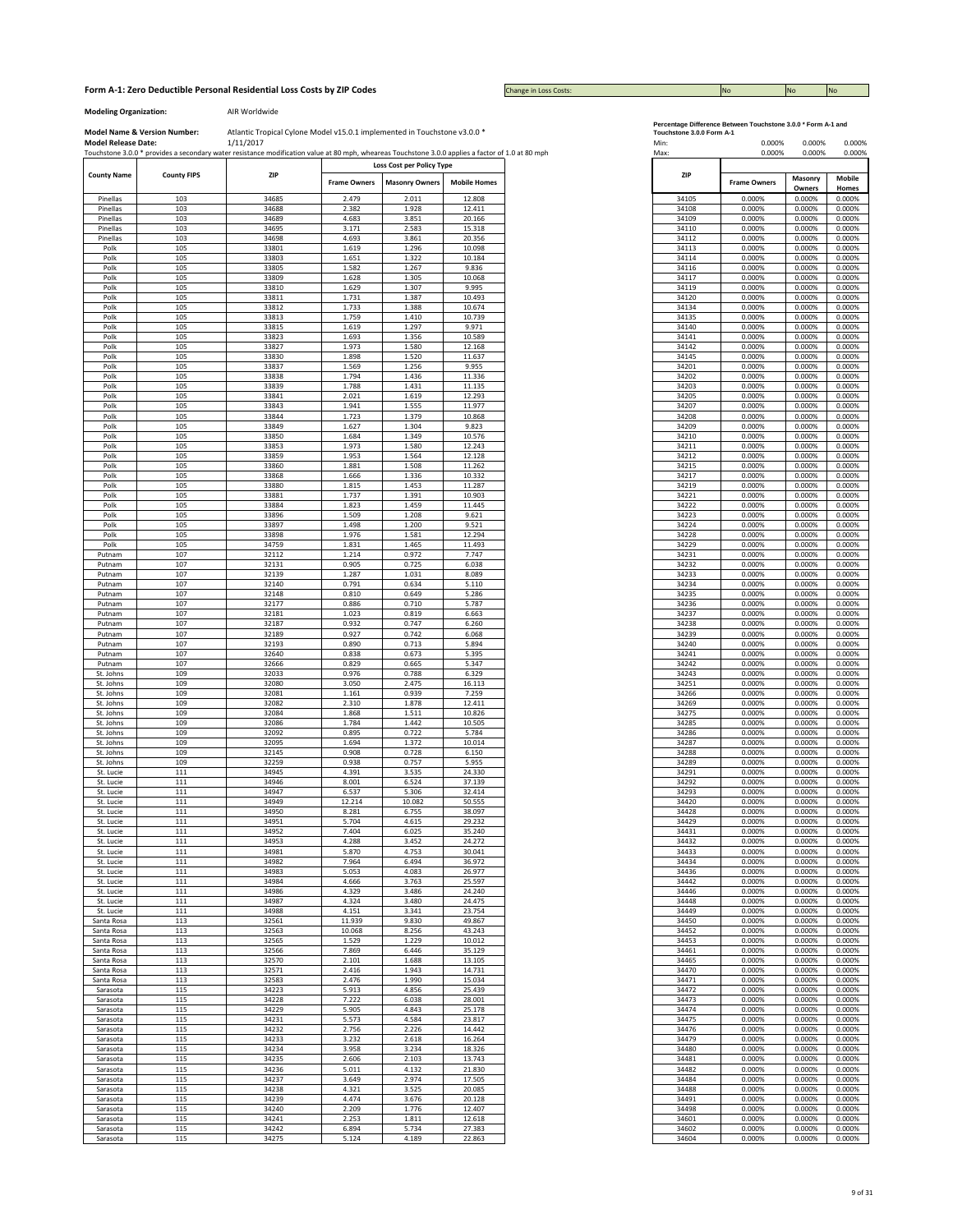Change in Loss Costs:

**Modeling Organization:** AIR Worldwide

|                         |                    | Touchstone 3.0.0 * provides a secondary water resistance modification value at 80 mph, wheareas Touchstone 3.0.0 applies a factor of 1.0 at 80 mph |                     |                           |                     | Max:           | 0.000%              | 0.000%           |
|-------------------------|--------------------|----------------------------------------------------------------------------------------------------------------------------------------------------|---------------------|---------------------------|---------------------|----------------|---------------------|------------------|
|                         |                    |                                                                                                                                                    |                     | Loss Cost per Policy Type |                     |                |                     |                  |
| <b>County Name</b>      | <b>County FIPS</b> | ZIP                                                                                                                                                | <b>Frame Owners</b> | <b>Masonry Owners</b>     | <b>Mobile Homes</b> | ZIP            | <b>Frame Owners</b> | Masonry          |
|                         |                    |                                                                                                                                                    |                     |                           |                     |                |                     | Owners           |
| Pinellas                | 103                | 34685                                                                                                                                              | 2.479               | 2.011                     | 12.808              | 34105          | 0.000%              | 0.000%           |
| Pinellas<br>Pinellas    | 103<br>103         | 34688<br>34689                                                                                                                                     | 2.382<br>4.683      | 1.928<br>3.851            | 12.411<br>20.166    | 34108<br>34109 | 0.000%<br>0.000%    | 0.000%<br>0.000% |
| Pinellas                | 103                | 34695                                                                                                                                              | 3.171               | 2.583                     | 15.318              | 34110          | 0.000%              | 0.000%           |
| Pinellas                | 103                | 34698                                                                                                                                              | 4.693               | 3.861                     | 20.356              | 34112          | 0.000%              | 0.000%           |
| Polk                    | 105                | 33801                                                                                                                                              | 1.619               | 1.296                     | 10.098              | 34113          | 0.000%              | 0.000%           |
| Polk                    | 105                | 33803                                                                                                                                              | 1.651               | 1.322                     | 10.184              | 34114          | 0.000%              | 0.000%           |
| Polk                    | 105                | 33805                                                                                                                                              | 1.582               | 1.267                     | 9.836               | 34116          | 0.000%              | 0.000%           |
| Polk                    | 105                | 33809                                                                                                                                              | 1.628               | 1.305                     | 10.068              | 34117          | 0.000%              | 0.000%           |
| Polk                    | 105                | 33810                                                                                                                                              | 1.629               | 1.307                     | 9.995               | 34119          | 0.000%              | 0.000%           |
| Polk                    | 105                | 33811                                                                                                                                              | 1.731               | 1.387                     | 10.493              | 34120          | 0.000%              | 0.000%           |
| Polk                    | 105                | 33812                                                                                                                                              | 1.733               | 1.388                     | 10.674              | 34134          | 0.000%              | 0.000%           |
| Polk                    | 105                | 33813                                                                                                                                              | 1.759               | 1.410                     | 10.739              | 34135          | 0.000%              | 0.000%           |
| Polk                    | 105                | 33815                                                                                                                                              | 1.619               | 1.297                     | 9.971               | 34140          | 0.000%              | 0.000%           |
| Polk                    | 105                | 33823                                                                                                                                              | 1.693               | 1.356                     | 10.589              | 34141          | 0.000%              | 0.000%           |
| Polk<br>Polk            | 105<br>105         | 33827<br>33830                                                                                                                                     | 1.973<br>1.898      | 1.580<br>1.520            | 12.168<br>11.637    | 34142<br>34145 | 0.000%<br>0.000%    | 0.000%<br>0.000% |
| Polk                    | 105                | 33837                                                                                                                                              | 1.569               | 1.256                     | 9.955               | 34201          | 0.000%              | 0.000%           |
| Polk                    | 105                | 33838                                                                                                                                              | 1.794               | 1.436                     | 11.336              | 34202          | 0.000%              | 0.000%           |
| Polk                    | 105                | 33839                                                                                                                                              | 1.788               | 1.431                     | 11.135              | 34203          | 0.000%              | 0.000%           |
| Polk                    | 105                | 33841                                                                                                                                              | 2.021               | 1.619                     | 12.293              | 34205          | 0.000%              | 0.000%           |
| Polk                    | 105                | 33843                                                                                                                                              | 1.941               | 1.555                     | 11.977              | 34207          | 0.000%              | 0.000%           |
| Polk                    | 105                | 33844                                                                                                                                              | 1.723               | 1.379                     | 10.868              | 34208          | 0.000%              | 0.000%           |
| Polk                    | 105                | 33849                                                                                                                                              | 1.627               | 1.304                     | 9.823               | 34209          | 0.000%              | 0.000%           |
| Polk                    | 105                | 33850                                                                                                                                              | 1.684               | 1.349                     | 10.576              | 34210          | 0.000%              | 0.000%           |
| Polk                    | 105                | 33853                                                                                                                                              | 1.973               | 1.580                     | 12.243              | 34211          | 0.000%              | 0.000%           |
| Polk                    | 105                | 33859                                                                                                                                              | 1.953               | 1.564                     | 12.128              | 34212          | 0.000%              | 0.000%           |
| Polk                    | 105                | 33860                                                                                                                                              | 1.881               | 1.508                     | 11.262              | 34215          | 0.000%              | 0.000%           |
| Polk                    | 105                | 33868                                                                                                                                              | 1.666               | 1.336                     | 10.332              | 34217          | 0.000%              | 0.000%           |
| Polk<br>Polk            | 105<br>105         | 33880<br>33881                                                                                                                                     | 1.815<br>1.737      | 1.453<br>1.391            | 11.287<br>10.903    | 34219<br>34221 | 0.000%<br>0.000%    | 0.000%<br>0.000% |
| Polk                    | 105                | 33884                                                                                                                                              | 1.823               | 1.459                     | 11.445              | 34222          | 0.000%              | 0.000%           |
| Polk                    | 105                | 33896                                                                                                                                              | 1.509               | 1.208                     | 9.621               | 34223          | 0.000%              | 0.000%           |
| Polk                    | 105                | 33897                                                                                                                                              | 1.498               | 1.200                     | 9.521               | 34224          | 0.000%              | 0.000%           |
| Polk                    | 105                | 33898                                                                                                                                              | 1.976               | 1.581                     | 12.294              | 34228          | 0.000%              | 0.000%           |
| Polk                    | 105                | 34759                                                                                                                                              | 1.831               | 1.465                     | 11.493              | 34229          | 0.000%              | 0.000%           |
| Putnam                  | 107                | 32112                                                                                                                                              | 1.214               | 0.972                     | 7.747               | 34231          | 0.000%              | 0.000%           |
| Putnam                  | 107                | 32131                                                                                                                                              | 0.905               | 0.725                     | 6.038               | 34232          | 0.000%              | 0.000%           |
| Putnam                  | 107                | 32139                                                                                                                                              | 1.287               | 1.031                     | 8.089               | 34233          | 0.000%              | 0.000%           |
| Putnam                  | 107                | 32140                                                                                                                                              | 0.791               | 0.634                     | 5.110               | 34234          | 0.000%              | 0.000%           |
| Putnam                  | 107                | 32148                                                                                                                                              | 0.810               | 0.649                     | 5.286               | 34235          | 0.000%              | 0.000%           |
| Putnam                  | 107                | 32177                                                                                                                                              | 0.886               | 0.710                     | 5.787               | 34236          | 0.000%              | 0.000%           |
| Putnam<br>Putnam        | 107<br>107         | 32181<br>32187                                                                                                                                     | 1.023<br>0.932      | 0.819<br>0.747            | 6.663<br>6.260      | 34237<br>34238 | 0.000%<br>0.000%    | 0.000%<br>0.000% |
| Putnam                  | 107                | 32189                                                                                                                                              | 0.927               | 0.742                     | 6.068               | 34239          | 0.000%              | 0.000%           |
| Putnam                  | 107                | 32193                                                                                                                                              | 0.890               | 0.713                     | 5.894               | 34240          | 0.000%              | 0.000%           |
| Putnam                  | 107                | 32640                                                                                                                                              | 0.838               | 0.673                     | 5.395               | 34241          | 0.000%              | 0.000%           |
| Putnam                  | 107                | 32666                                                                                                                                              | 0.829               | 0.665                     | 5.347               | 34242          | 0.000%              | 0.000%           |
| St. Johns               | 109                | 32033                                                                                                                                              | 0.976               | 0.788                     | 6.329               | 34243          | 0.000%              | 0.000%           |
| St. Johns               | 109                | 32080                                                                                                                                              | 3.050               | 2.475                     | 16.113              | 34251          | 0.000%              | 0.000%           |
| St. Johns               | 109                | 32081                                                                                                                                              | 1.161               | 0.939                     | 7.259               | 34266          | 0.000%              | 0.000%           |
| St. Johns               | 109                | 32082                                                                                                                                              | 2.310               | 1.878                     | 12.411              | 34269          | 0.000%              | 0.000%           |
| St. Johns               | 109                | 32084                                                                                                                                              | 1.868               | 1.511                     | 10.826              | 34275          | 0.000%              | 0.000%           |
| St. Johns               | 109                | 32086                                                                                                                                              | 1.784               | 1.442                     | 10.505              | 34285          | 0.000%              | 0.000%           |
| St. Johns               | 109                | 32092                                                                                                                                              | 0.895               | 0.722                     | 5.784               | 34286          | 0.000%              | 0.000%           |
| St. Johns               | 109                | 32095                                                                                                                                              | 1.694               | 1.372                     | 10.014              | 34287          | 0.000%              | 0.000%           |
| St. Johns               | 109                | 32145                                                                                                                                              | 0.908               | 0.728                     | 6.150               | 34288          | 0.000%              | 0.000%           |
| St. Johns               | 109                | 32259                                                                                                                                              | 0.938               | 0.757                     | 5.955               | 34289          | 0.000%              | 0.000%           |
| St. Lucie<br>St. Lucie  | 111<br>111         | 34945<br>34946                                                                                                                                     | 4.391<br>8.001      | 3.535<br>6.524            | 24.330<br>37.139    | 34291<br>34292 | 0.000%<br>0.000%    | 0.000%<br>0.000% |
| St. Lucie               | 111                | 34947                                                                                                                                              | 6.537               | 5.306                     | 32.414              | 34293          | 0.000%              | 0.000%           |
| St. Lucie               | 111                | 34949                                                                                                                                              | 12.214              | 10.082                    | 50.555              | 34420          | 0.000%              | 0.000%           |
| St. Lucie               | 111                | 34950                                                                                                                                              | 8.281               | 6.755                     | 38.097              | 34428          | 0.000%              | 0.000%           |
| St. Lucie               | 111                | 34951                                                                                                                                              | 5.704               | 4.615                     | 29.232              | 34429          | 0.000%              | 0.000%           |
| St. Lucie               | 111                | 34952                                                                                                                                              | 7.404               | 6.025                     | 35.240              | 34431          | 0.000%              | 0.000%           |
| St. Lucie               | 111                | 34953                                                                                                                                              | 4.288               | 3.452                     | 24.272              | 34432          | 0.000%              | 0.000%           |
| St. Lucie               | 111                | 34981                                                                                                                                              | 5.870               | 4.753                     | 30.041              | 34433          | 0.000%              | 0.000%           |
| St. Lucie               | 111                | 34982                                                                                                                                              | 7.964               | 6.494                     | 36.972              | 34434          | 0.000%              | 0.000%           |
| St. Lucie               | 111                | 34983                                                                                                                                              | 5.053               | 4.083                     | 26.977              | 34436          | 0.000%              | 0.000%           |
| St. Lucie               | 111                | 34984                                                                                                                                              | 4.666               | 3.763                     | 25.597              | 34442          | 0.000%              | 0.000%           |
| St. Lucie               | 111                | 34986                                                                                                                                              | 4.329               | 3.486                     | 24.240              | 34446          | 0.000%              | 0.000%           |
| St. Lucie               | 111                | 34987                                                                                                                                              | 4.324               | 3.480                     | 24.475              | 34448          | 0.000%              | 0.000%           |
| St. Lucie<br>Santa Rosa | 111<br>113         | 34988<br>32561                                                                                                                                     | 4.151<br>11.939     | 3.341<br>9.830            | 23.754<br>49.867    | 34449<br>34450 | 0.000%<br>0.000%    | 0.000%<br>0.000% |
| Santa Rosa              | 113                | 32563                                                                                                                                              | 10.068              | 8.256                     | 43.243              | 34452          | 0.000%              | 0.000%           |
| Santa Rosa              | 113                | 32565                                                                                                                                              | 1.529               | 1.229                     | 10.012              | 34453          | 0.000%              | 0.000%           |
| Santa Rosa              | 113                | 32566                                                                                                                                              | 7.869               | 6.446                     | 35.129              | 34461          | 0.000%              | 0.000%           |
| Santa Rosa              | 113                | 32570                                                                                                                                              | 2.101               | 1.688                     | 13.105              | 34465          | 0.000%              | 0.000%           |
| Santa Rosa              | 113                | 32571                                                                                                                                              | 2.416               | 1.943                     | 14.731              | 34470          | 0.000%              | 0.000%           |
| Santa Rosa              | 113                | 32583                                                                                                                                              | 2.476               | 1.990                     | 15.034              | 34471          | 0.000%              | 0.000%           |
| Sarasota                | 115                | 34223                                                                                                                                              | 5.913               | 4.856                     | 25.439              | 34472          | 0.000%              | 0.000%           |
| Sarasota                | 115                | 34228                                                                                                                                              | 7.222               | 6.038                     | 28.001              | 34473          | 0.000%              | 0.000%           |
| Sarasota                | 115                | 34229                                                                                                                                              | 5.905               | 4.843                     | 25.178              | 34474          | 0.000%              | 0.000%           |
| Sarasota                | 115                | 34231                                                                                                                                              | 5.573               | 4.584                     | 23.817              | 34475          | 0.000%              | 0.000%           |
| Sarasota                | 115                | 34232                                                                                                                                              | 2.756               | 2.226                     | 14.442              | 34476          | 0.000%              | 0.000%           |
| Sarasota                | 115                | 34233                                                                                                                                              | 3.232               | 2.618                     | 16.264              | 34479          | 0.000%              | 0.000%           |
| Sarasota                | 115                | 34234                                                                                                                                              | 3.958               | 3.234                     | 18.326              | 34480          | 0.000%              | 0.000%           |
| Sarasota                | 115                | 34235                                                                                                                                              | 2.606               | 2.103                     | 13.743              | 34481          | 0.000%              | 0.000%           |
| Sarasota                | 115                | 34236                                                                                                                                              | 5.011               | 4.132                     | 21.830              | 34482          | 0.000%              | 0.000%           |
| Sarasota                | 115                | 34237                                                                                                                                              | 3.649               | 2.974                     | 17.505              | 34484          | 0.000%              | 0.000%           |
| Sarasota                | 115                | 34238                                                                                                                                              | 4.321               | 3.525                     | 20.085              | 34488          | 0.000%              | 0.000%           |
| Sarasota                | 115                | 34239                                                                                                                                              | 4.474               | 3.676                     | 20.128              | 34491          | 0.000%              | 0.000%           |
| Sarasota<br>Sarasota    | 115<br>115         | 34240<br>34241                                                                                                                                     | 2.209<br>2.253      | 1.776<br>1.811            | 12.407<br>12.618    | 34498<br>34601 | 0.000%<br>0.000%    | 0.000%<br>0.000% |
| Sarasota                | 115                | 34242                                                                                                                                              | 6.894               | 5.734                     | 27.383              | 34602          | 0.000%              | 0.000%           |
| Sarasota                | 115                | 34275                                                                                                                                              | 5.124               | 4 1 8 9                   | 22863               | 34604          | 0.000%              | 0.000%           |

| ercentage Difference Between Touchstone 3.0.0 * Form A-1 an |  |
|-------------------------------------------------------------|--|
|-------------------------------------------------------------|--|

| of 1.0 at 80 mph | Min:<br>Max:   | 0.000%<br>0.000%    | 0.000%<br>0.000%  | 0.000%<br>0.000% |  |
|------------------|----------------|---------------------|-------------------|------------------|--|
|                  | ZIP            | <b>Frame Owners</b> | Masonry<br>Owners | Mobile<br>Homes  |  |
|                  | 34105          | 0.000%              | 0.000%            | 0.000%           |  |
|                  | 34108          | 0.000%              | 0.000%            | 0.000%           |  |
|                  | 34109<br>34110 | 0.000%<br>0.000%    | 0.000%<br>0.000%  | 0.000%<br>0.000% |  |
|                  | 34112          | 0.000%              | 0.000%            | 0.000%           |  |
|                  | 34113          | 0.000%              | 0.000%            | 0.000%           |  |
|                  | 34114<br>34116 | 0.000%<br>0.000%    | 0.000%<br>0.000%  | 0.000%<br>0.000% |  |
|                  | 34117          | 0.000%              | 0.000%            | 0.000%           |  |
|                  | 34119          | 0.000%              | 0.000%            | 0.000%           |  |
|                  | 34120<br>34134 | 0.000%<br>0.000%    | 0.000%<br>0.000%  | 0.000%<br>0.000% |  |
|                  | 34135          | 0.000%              | 0.000%            | 0.000%           |  |
|                  | 34140          | 0.000%              | 0.000%            | 0.000%           |  |
|                  | 34141<br>34142 | 0.000%<br>0.000%    | 0.000%<br>0.000%  | 0.000%           |  |
|                  | 34145          | 0.000%              | 0.000%            | 0.000%<br>0.000% |  |
|                  | 34201          | 0.000%              | 0.000%            | 0.000%           |  |
|                  | 34202          | 0.000%              | 0.000%            | 0.000%           |  |
|                  | 34203<br>34205 | 0.000%<br>0.000%    | 0.000%<br>0.000%  | 0.000%<br>0.000% |  |
|                  | 34207          | 0.000%              | 0.000%            | 0.000%           |  |
|                  | 34208          | 0.000%              | 0.000%            | 0.000%           |  |
|                  | 34209          | 0.000%              | 0.000%            | 0.000%           |  |
|                  | 34210<br>34211 | 0.000%<br>0.000%    | 0.000%<br>0.000%  | 0.000%<br>0.000% |  |
|                  | 34212          | 0.000%              | 0.000%            | 0.000%           |  |
|                  | 34215          | 0.000%              | 0.000%            | 0.000%           |  |
|                  | 34217          | 0.000%              | 0.000%            | 0.000%           |  |
|                  | 34219<br>34221 | 0.000%<br>0.000%    | 0.000%<br>0.000%  | 0.000%<br>0.000% |  |
|                  | 34222          | 0.000%              | 0.000%            | 0.000%           |  |
|                  | 34223          | 0.000%              | 0.000%            | 0.000%           |  |
|                  | 34224<br>34228 | 0.000%<br>0.000%    | 0.000%<br>0.000%  | 0.000%<br>0.000% |  |
|                  | 34229          | 0.000%              | 0.000%            | 0.000%           |  |
|                  | 34231          | 0.000%              | 0.000%            | 0.000%           |  |
|                  | 34232<br>34233 | 0.000%<br>0.000%    | 0.000%<br>0.000%  | 0.000%<br>0.000% |  |
|                  | 34234          | 0.000%              | 0.000%            | 0.000%           |  |
|                  | 34235          | 0.000%              | 0.000%            | 0.000%           |  |
|                  | 34236          | 0.000%              | 0.000%            | 0.000%           |  |
|                  | 34237<br>34238 | 0.000%<br>0.000%    | 0.000%<br>0.000%  | 0.000%<br>0.000% |  |
|                  | 34239          | 0.000%              | 0.000%            | 0.000%           |  |
|                  | 34240          | 0.000%              | 0.000%            | 0.000%           |  |
|                  | 34241          | 0.000%              | 0.000%            | 0.000%           |  |
|                  | 34242<br>34243 | 0.000%<br>0.000%    | 0.000%<br>0.000%  | 0.000%<br>0.000% |  |
|                  | 34251          | 0.000%              | 0.000%            | 0.000%           |  |
|                  | 34266          | 0.000%              | 0.000%            | 0.000%           |  |
|                  | 34269          | 0.000%              | 0.000%            | 0.000%           |  |
|                  | 34275<br>34285 | 0.000%<br>0.000%    | 0.000%<br>0.000%  | 0.000%<br>0.000% |  |
|                  | 34286          | 0.000%              | 0.000%            | 0.000%           |  |
|                  | 34287          | 0.000%              | 0.000%            | 0.000%           |  |
|                  | 34288          | 0.000%              | 0.000%            | 0.000%           |  |
|                  | 34289<br>34291 | 0.000%<br>0.000%    | 0.000%<br>0.000%  | 0.000%<br>0.000% |  |
|                  | 34292          | 0.000%              | 0.000%            | 0.000%           |  |
|                  | 34293          | 0.000%              | 0.000%            | 0.000%           |  |
|                  | 34420<br>34428 | 0.000%<br>0.000%    | 0.000%<br>0.000%  | 0.000%<br>0.000% |  |
|                  | 34429          | 0.000%              | 0.000%            | 0.000%           |  |
|                  | 34431          | 0.000%              | 0.000%            | 0.000%           |  |
|                  | 34432          | 0.000%              | 0.000%            | 0.000%           |  |
|                  | 34433<br>34434 | 0.000%<br>0.000%    | 0.000%<br>0.000%  | 0.000%<br>0.000% |  |
|                  | 34436          | 0.000%              | 0.000%            | 0.000%           |  |
|                  | 34442          | 0.000%              | 0.000%            | 0.000%           |  |
|                  | 34446<br>34448 | 0.000%<br>0.000%    | 0.000%<br>0.000%  | 0.000%<br>0.000% |  |
|                  | 34449          | 0.000%              | 0.000%            | 0.000%           |  |
|                  | 34450          | 0.000%              | 0.000%            | 0.000%           |  |
|                  | 34452          | 0.000%              | 0.000%            | 0.000%           |  |
|                  | 34453<br>34461 | 0.000%<br>0.000%    | 0.000%<br>0.000%  | 0.000%<br>0.000% |  |
|                  | 34465          | 0.000%              | 0.000%            | 0.000%           |  |
|                  | 34470          | 0.000%              | 0.000%            | 0.000%           |  |
|                  | 34471          | 0.000%              | 0.000%            | 0.000%           |  |
|                  | 34472<br>34473 | 0.000%<br>0.000%    | 0.000%<br>0.000%  | 0.000%<br>0.000% |  |
|                  | 34474          | 0.000%              | 0.000%            | 0.000%           |  |
|                  | 34475          | 0.000%              | 0.000%            | 0.000%           |  |
|                  | 34476          | 0.000%              | 0.000%            | 0.000%           |  |
|                  | 34479<br>34480 | 0.000%<br>0.000%    | 0.000%<br>0.000%  | 0.000%<br>0.000% |  |
|                  | 34481          | 0.000%              | 0.000%            | 0.000%           |  |
|                  | 34482          | 0.000%              | 0.000%            | 0.000%           |  |
|                  | 34484          | 0.000%              | 0.000%            | 0.000%           |  |
|                  | 34488<br>34491 | 0.000%<br>0.000%    | 0.000%<br>0.000%  | 0.000%<br>0.000% |  |
|                  | 34498          | 0.000%              | 0.000%            | 0.000%           |  |
|                  | 34601          | 0.000%              | 0.000%            | 0.000%           |  |
|                  | 34602          | 0.000%              | 0.000%            | 0.000%           |  |
|                  | 34604          | 0.000%              | 0.000%            | 0.000%           |  |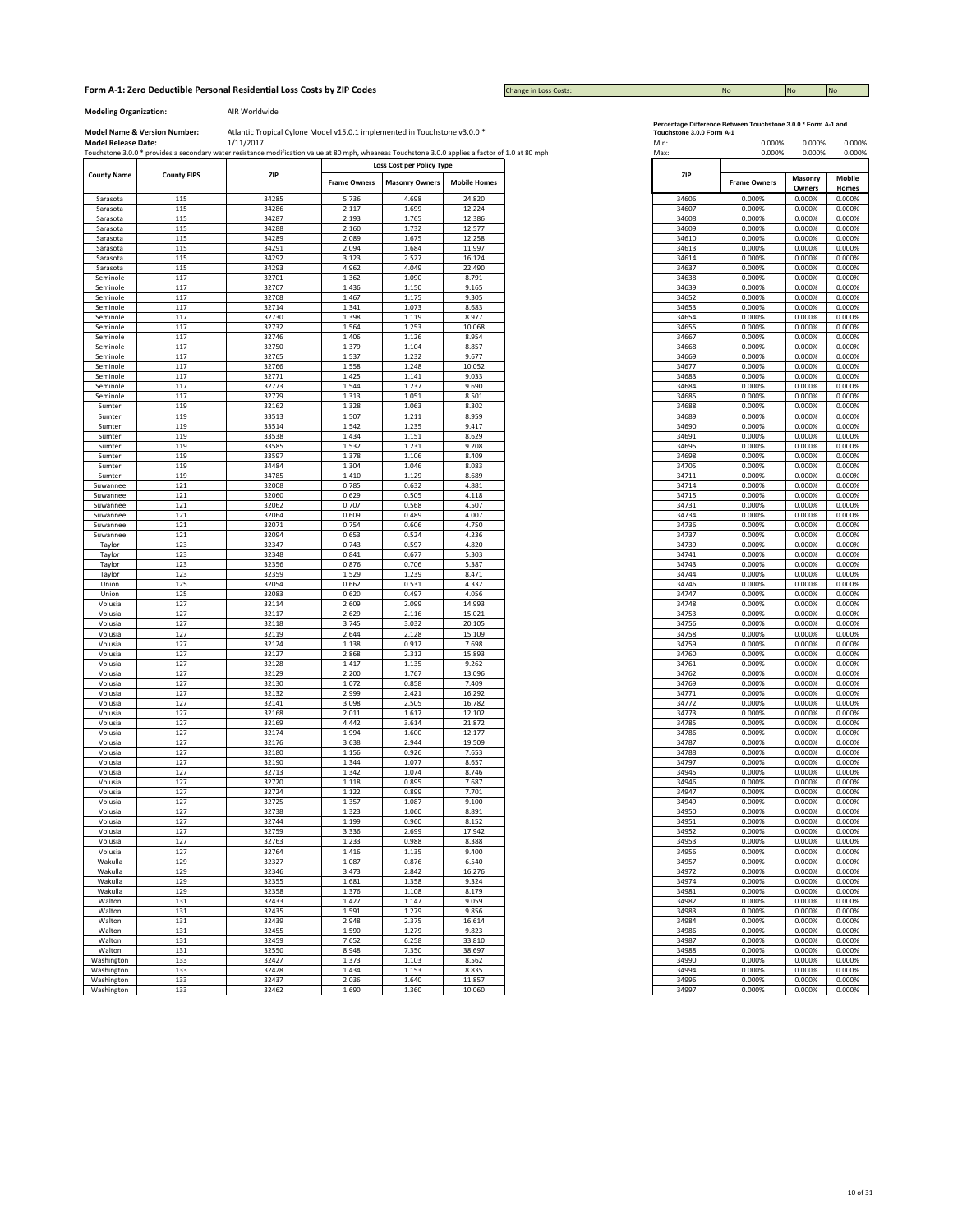Change in Loss Costs:

**Modeling Organization:** AIR Worldwide

**Model Name & Version Number:**

|                      |                    | Touchstone 3.0.0 * provides a secondary water resistance modification value at 80 mph, wheareas Touchstone 3.0.0 applies a factor of 1.0 at 80 mph |                     |                       |                     |
|----------------------|--------------------|----------------------------------------------------------------------------------------------------------------------------------------------------|---------------------|-----------------------|---------------------|
|                      |                    | Loss Cost per Policy Type                                                                                                                          |                     |                       |                     |
| <b>County Name</b>   | <b>County FIPS</b> | ZIP                                                                                                                                                | <b>Frame Owners</b> | <b>Masonry Owners</b> | <b>Mobile Homes</b> |
| Sarasota             | 115                | 34285                                                                                                                                              | 5.736               | 4.698                 | 24.820              |
| Sarasota             | 115                | 34286                                                                                                                                              | 2.117               | 1.699                 | 12.224              |
| Sarasota             | 115                | 34287                                                                                                                                              | 2.193               | 1.765                 | 12.386              |
| Sarasota             | 115<br>115         | 34288<br>34289                                                                                                                                     | 2.160<br>2.089      | 1.732<br>1.675        | 12.577<br>12.258    |
| Sarasota<br>Sarasota | 115                | 34291                                                                                                                                              | 2.094               | 1.684                 | 11.997              |
| Sarasota             | 115                | 34292                                                                                                                                              | 3.123               | 2.527                 | 16.124              |
| Sarasota             | 115                | 34293                                                                                                                                              | 4.962               | 4.049                 | 22.490              |
| Seminole             | 117                | 32701                                                                                                                                              | 1.362               | 1.090                 | 8.791               |
| Seminole             | 117                | 32707                                                                                                                                              | 1.436               | 1.150                 | 9.165               |
| Seminole             | 117                | 32708                                                                                                                                              | 1.467               | 1.175                 | 9.305               |
| Seminole<br>Seminole | 117<br>117         | 32714<br>32730                                                                                                                                     | 1.341<br>1.398      | 1.073<br>1.119        | 8.683<br>8.977      |
| Seminole             | 117                | 32732                                                                                                                                              | 1.564               | 1.253                 | 10.068              |
| Seminole             | 117                | 32746                                                                                                                                              | 1.406               | 1.126                 | 8.954               |
| Seminole             | 117                | 32750                                                                                                                                              | 1.379               | 1.104                 | 8.857               |
| Seminole             | 117                | 32765                                                                                                                                              | 1.537               | 1.232                 | 9.677               |
| Seminole             | 117                | 32766                                                                                                                                              | 1.558               | 1.248                 | 10.052              |
| Seminole             | 117                | 32771                                                                                                                                              | 1.425               | 1.141                 | 9.033               |
| Seminole             | 117                | 32773                                                                                                                                              | 1.544               | 1.237                 | 9.690               |
| Seminole             | 117                | 32779                                                                                                                                              | 1.313               | 1.051                 | 8.501               |
| Sumter               | 119                | 32162                                                                                                                                              | 1.328               | 1.063                 | 8.302               |
| Sumter<br>Sumter     | 119<br>119         | 33513<br>33514                                                                                                                                     | 1.507<br>1.542      | 1.211<br>1.235        | 8.959<br>9.417      |
| Sumter               | 119                | 33538                                                                                                                                              | 1.434               | 1.151                 | 8.629               |
| Sumter               | 119                | 33585                                                                                                                                              | 1.532               | 1.231                 | 9.208               |
| Sumter               | 119                | 33597                                                                                                                                              | 1.378               | 1.106                 | 8.409               |
| Sumter               | 119                | 34484                                                                                                                                              | 1.304               | 1.046                 | 8.083               |
| Sumter               | 119                | 34785                                                                                                                                              | 1.410               | 1.129                 | 8.689               |
| Suwannee             | 121                | 32008                                                                                                                                              | 0.785               | 0.632                 | 4.881               |
| Suwannee             | 121                | 32060                                                                                                                                              | 0.629               | 0.505                 | 4.118               |
| Suwannee             | 121                | 32062                                                                                                                                              | 0.707               | 0.568                 | 4.507               |
| Suwannee             | 121                | 32064                                                                                                                                              | 0.609               | 0.489                 | 4.007               |
| Suwannee             | 121                | 32071                                                                                                                                              | 0.754               | 0.606                 | 4.750               |
| Suwannee<br>Taylor   | 121<br>123         | 32094<br>32347                                                                                                                                     | 0.653<br>0.743      | 0.524<br>0.597        | 4.236<br>4.820      |
| Taylor               | 123                | 32348                                                                                                                                              | 0.841               | 0.677                 | 5.303               |
| Taylor               | 123                | 32356                                                                                                                                              | 0.876               | 0.706                 | 5.387               |
| Taylor               | 123                | 32359                                                                                                                                              | 1.529               | 1.239                 | 8.471               |
| Union                | 125                | 32054                                                                                                                                              | 0.662               | 0.531                 | 4.332               |
| Union                | 125                | 32083                                                                                                                                              | 0.620               | 0.497                 | 4.056               |
| Volusia              | 127                | 32114                                                                                                                                              | 2.609               | 2.099                 | 14.993              |
| Volusia              | 127                | 32117                                                                                                                                              | 2.629               | 2.116                 | 15.021              |
| Volusia              | 127                | 32118                                                                                                                                              | 3.745               | 3.032                 | 20.105              |
| Volusia              | 127                | 32119                                                                                                                                              | 2.644               | 2.128                 | 15.109              |
| Volusia<br>Volusia   | 127<br>127         | 32124<br>32127                                                                                                                                     | 1.138<br>2.868      | 0.912<br>2.312        | 7.698<br>15.893     |
| Volusia              | 127                | 32128                                                                                                                                              | 1.417               | 1.135                 | 9.262               |
| Volusia              | 127                | 32129                                                                                                                                              | 2.200               | 1.767                 | 13.096              |
| Volusia              | 127                | 32130                                                                                                                                              | 1.072               | 0.858                 | 7.409               |
| Volusia              | 127                | 32132                                                                                                                                              | 2.999               | 2.421                 | 16.292              |
| Volusia              | 127                | 32141                                                                                                                                              | 3.098               | 2.505                 | 16.782              |
| Volusia              | 127                | 32168                                                                                                                                              | 2.011               | 1.617                 | 12.102              |
| Volusia              | 127                | 32169                                                                                                                                              | 4.442               | 3.614                 | 21.872              |
| Volusia              | 127                | 32174                                                                                                                                              | 1.994               | 1.600                 | 12.177              |
| Volusia              | 127                | 32176                                                                                                                                              | 3.638               | 2.944                 | 19.509              |
| Volusia              | 127<br>127         | 32180<br>32190                                                                                                                                     | 1.156<br>1.344      | 0.926<br>1.077        | 7.653<br>8.657      |
| Volusia<br>Volusia   | 127                | 32713                                                                                                                                              | 1.342               | 1.074                 | 8.746               |
| Volusia              | 127                | 32720                                                                                                                                              | 1.118               | 0.895                 | 7.687               |
| Volusia              | 127                | 32724                                                                                                                                              | 1.122               | 0.899                 | 7.701               |
| Volusia              | 127                | 32725                                                                                                                                              | 1.357               | 1.087                 | 9.100               |
| Volusia              | 127                | 32738                                                                                                                                              | 1.323               | 1.060                 | 8.891               |
| Volusia              | 127                | 32744                                                                                                                                              | 1.199               | 0.960                 | 8.152               |
| Volusia              | 127                | 32759                                                                                                                                              | 3.336               | 2.699                 | 17.942              |
| Volusia              | 127                | 32763                                                                                                                                              | 1.233               | 0.988                 | 8.388               |
| Volusia              | 127                | 32764                                                                                                                                              | 1.416               | 1.135                 | 9.400               |
| Wakulla              | 129                | 32327                                                                                                                                              | 1.087               | 0.876                 | 6.540               |
| Wakulla<br>Wakulla   | 129<br>129         | 32346<br>32355                                                                                                                                     | 3.473<br>1.681      | 2.842<br>1.358        | 16.276<br>9.324     |
| Wakulla              | 129                | 32358                                                                                                                                              | 1.376               | 1.108                 | 8.179               |
| Walton               | 131                | 32433                                                                                                                                              | 1.427               | 1.147                 | 9.059               |
| Walton               | 131                | 32435                                                                                                                                              | 1.591               | 1.279                 | 9.856               |
| Walton               | 131                | 32439                                                                                                                                              | 2.948               | 2.375                 | 16.614              |
| Walton               | 131                | 32455                                                                                                                                              | 1.590               | 1.279                 | 9.823               |
| Walton               | 131                | 32459                                                                                                                                              | 7.652               | 6.258                 | 33.810              |
| Walton               | 131                | 32550                                                                                                                                              | 8.948               | 7.350                 | 38.697              |
| Washington           | 133                | 32427                                                                                                                                              | 1.373               | 1.103                 | 8.562               |
| Washington           | 133                | 32428                                                                                                                                              | 1.434               | 1.153                 | 8.835               |
| Washington           | 133                | 32437                                                                                                                                              | 2.036               | 1.640                 | 11.857              |
| Washington           | 133                | 32462                                                                                                                                              | 1.690               | 1.360                 | 10.060              |

| Percentage Difference Between Touchstone 3.0.0 * Form A-1 and |  |
|---------------------------------------------------------------|--|
|---------------------------------------------------------------|--|

|                            | <b>Model Name &amp; Version Number:</b> | Atlantic Tropical Cylone Model v15.0.1 implemented in Touchstone v3.0.0 *                                                                                       |                     |                           |                     | Touchstone 3.0.0 Form A-1 |                                          |
|----------------------------|-----------------------------------------|-----------------------------------------------------------------------------------------------------------------------------------------------------------------|---------------------|---------------------------|---------------------|---------------------------|------------------------------------------|
| <b>Model Release Date:</b> |                                         | 1/11/2017<br>Touchstone 3.0.0 * provides a secondary water resistance modification value at 80 mph, wheareas Touchstone 3.0.0 applies a factor of 1.0 at 80 mph |                     |                           |                     | Min:<br>Max:              | 0.000%<br>0.000%<br>0.000%<br>0.000%     |
|                            |                                         |                                                                                                                                                                 |                     | Loss Cost per Policy Type |                     |                           |                                          |
| <b>County Name</b>         | <b>County FIPS</b>                      | ZIP                                                                                                                                                             | <b>Frame Owners</b> | <b>Masonry Owners</b>     | <b>Mobile Homes</b> | ZIP                       | Masonry<br><b>Frame Owners</b><br>Owners |
| Sarasota                   | 115                                     | 34285                                                                                                                                                           | 5.736               | 4.698                     | 24.820              | 34606                     | 0.000%<br>0.000%                         |
| Sarasota                   | 115                                     | 34286                                                                                                                                                           | 2.117               | 1.699                     | 12.224              | 34607                     | 0.000%<br>0.000%                         |
| Sarasota                   | 115                                     | 34287                                                                                                                                                           | 2.193               | 1.765                     | 12.386              | 34608                     | 0.000%<br>0.000%                         |
| Sarasota                   | 115                                     | 34288                                                                                                                                                           | 2.160               | 1.732                     | 12.577              | 34609                     | 0.000%<br>0.000%                         |
| Sarasota                   | 115                                     | 34289                                                                                                                                                           | 2.089               | 1.675                     | 12.258              | 34610                     | 0.000%<br>0.000%                         |
| Sarasota                   | 115                                     | 34291                                                                                                                                                           | 2.094               | 1.684                     | 11.997              | 34613                     | 0.000%<br>0.000%                         |
| Sarasota                   | 115                                     | 34292                                                                                                                                                           | 3.123               | 2.527                     | 16.124              | 34614                     | 0.000%<br>0.000%                         |
| Sarasota                   | 115                                     | 34293                                                                                                                                                           | 4.962               | 4.049                     | 22.490              | 34637                     | 0.000%<br>0.000%                         |
| Seminole                   | 117                                     | 32701                                                                                                                                                           | 1.362               | 1.090                     | 8.791               | 34638                     | 0.000%<br>0.000%                         |
| Seminole                   | 117                                     | 32707                                                                                                                                                           | 1.436               | 1.150                     | 9.165               | 34639                     | 0.000%<br>0.000%                         |
| Seminole                   | 117                                     | 32708                                                                                                                                                           | 1.467               | 1.175                     | 9.305               | 34652                     | 0.000%<br>0.000%                         |
| Seminole                   | 117                                     | 32714                                                                                                                                                           | 1.341               | 1.073                     | 8.683               | 34653                     | 0.000%<br>0.000%                         |
| Seminole                   | 117                                     | 32730                                                                                                                                                           | 1.398               | 1.119                     | 8.977               | 34654                     | 0.000%<br>0.000%                         |
| Seminole                   | 117                                     | 32732                                                                                                                                                           | 1.564               | 1.253                     | 10.068              | 34655                     | 0.000%<br>0.000%                         |
| Seminole                   | 117                                     | 32746                                                                                                                                                           | 1.406               | 1.126                     | 8.954               | 34667                     | 0.000%<br>0.000%                         |
| Seminole                   | 117                                     | 32750                                                                                                                                                           | 1.379               | 1.104                     | 8.857               | 34668                     | 0.000%<br>0.000%                         |
| Seminole                   | 117                                     | 32765                                                                                                                                                           | 1.537               | 1.232                     | 9.677               | 34669                     | 0.000%<br>0.000%                         |
| Seminole                   | 117                                     | 32766                                                                                                                                                           | 1.558               | 1.248                     | 10.052              | 34677                     | 0.000%<br>0.000%                         |
| Seminole<br>Seminole       | 117<br>117                              | 32771<br>32773                                                                                                                                                  | 1.425<br>1.544      | 1.141<br>1.237            | 9.033<br>9.690      | 34683<br>34684            | 0.000%<br>0.000%<br>0.000%               |
|                            | 117                                     | 32779                                                                                                                                                           | 1.313               | 1.051                     | 8.501               | 34685                     | 0.000%<br>0.000%<br>0.000%               |
| Seminole<br>Sumter         | 119                                     | 32162                                                                                                                                                           | 1.328               | 1.063                     | 8.302               | 34688                     | 0.000%<br>0.000%                         |
| Sumter                     | 119                                     | 33513                                                                                                                                                           | 1.507               | 1.211                     | 8.959               | 34689                     | 0.000%<br>0.000%                         |
| Sumter                     | 119                                     | 33514                                                                                                                                                           | 1.542               | 1.235                     | 9.417               | 34690                     | 0.000%<br>0.000%                         |
| Sumter                     | 119                                     | 33538                                                                                                                                                           | 1.434               | 1.151                     | 8.629               | 34691                     | 0.000%<br>0.000%                         |
| Sumter                     | 119                                     | 33585                                                                                                                                                           | 1.532               | 1.231                     | 9.208               | 34695                     | 0.000%<br>0.000%                         |
| Sumter                     | 119                                     | 33597                                                                                                                                                           | 1.378               | 1.106                     | 8.409               | 34698                     | 0.000%<br>0.000%                         |
| Sumter                     | 119                                     | 34484                                                                                                                                                           | 1.304               | 1.046                     | 8.083               | 34705                     | 0.000%<br>0.000%                         |
| Sumter                     | 119                                     | 34785                                                                                                                                                           | 1.410               | 1.129                     | 8.689               | 34711                     | 0.000%<br>0.000%                         |
| Suwannee                   | 121                                     | 32008                                                                                                                                                           | 0.785               | 0.632                     | 4.881               | 34714                     | 0.000%<br>0.000%                         |
| Suwannee                   | 121                                     | 32060                                                                                                                                                           | 0.629               | 0.505                     | 4.118               | 34715                     | 0.000%<br>0.000%                         |
| Suwannee                   | 121                                     | 32062                                                                                                                                                           | 0.707               | 0.568                     | 4.507               | 34731                     | 0.000%<br>0.000%                         |
| Suwannee                   | 121                                     | 32064                                                                                                                                                           | 0.609               | 0.489                     | 4.007               | 34734                     | 0.000%<br>0.000%                         |
| Suwannee                   | 121                                     | 32071                                                                                                                                                           | 0.754               | 0.606                     | 4.750               | 34736                     | 0.000%<br>0.000%                         |
| Suwannee                   | 121                                     | 32094                                                                                                                                                           | 0.653               | 0.524                     | 4.236               | 34737                     | 0.000%<br>0.000%                         |
| Taylor                     | 123                                     | 32347                                                                                                                                                           | 0.743               | 0.597                     | 4.820               | 34739                     | 0.000%<br>0.000%                         |
| Taylor                     | 123                                     | 32348                                                                                                                                                           | 0.841               | 0.677                     | 5.303               | 34741                     | 0.000%<br>0.000%                         |
| Taylor                     | 123                                     | 32356                                                                                                                                                           | 0.876               | 0.706                     | 5.387               | 34743                     | 0.000%<br>0.000%                         |
| Taylor                     | 123                                     | 32359                                                                                                                                                           | 1.529               | 1.239                     | 8.471               | 34744                     | 0.000%<br>0.000%                         |
| Union                      | 125                                     | 32054                                                                                                                                                           | 0.662               | 0.531                     | 4.332               | 34746                     | 0.000%<br>0.000%                         |
| Union                      | 125                                     | 32083                                                                                                                                                           | 0.620               | 0.497                     | 4.056               | 34747                     | 0.000%<br>0.000%                         |
| Volusia                    | 127                                     | 32114                                                                                                                                                           | 2.609               | 2.099                     | 14.993              | 34748                     | 0.000%<br>0.000%                         |
| Volusia                    | 127                                     | 32117                                                                                                                                                           | 2.629               | 2.116                     | 15.021              | 34753                     | 0.000%<br>0.000%                         |
| Volusia                    | 127                                     | 32118                                                                                                                                                           | 3.745               | 3.032                     | 20.105              | 34756                     | 0.000%<br>0.000%                         |
| Volusia                    | 127                                     | 32119                                                                                                                                                           | 2.644               | 2.128                     | 15.109              | 34758                     | 0.000%<br>0.000%                         |
| Volusia                    | 127                                     | 32124                                                                                                                                                           | 1.138               | 0.912                     | 7.698               | 34759                     | 0.000%<br>0.000%                         |
| Volusia                    | 127                                     | 32127                                                                                                                                                           | 2.868               | 2.312                     | 15.893              | 34760                     | 0.000%<br>0.000%                         |
| Volusia                    | 127                                     | 32128                                                                                                                                                           | 1.417               | 1.135                     | 9.262               | 34761                     | 0.000%<br>0.000%                         |
| Volusia                    | 127                                     | 32129                                                                                                                                                           | 2.200               | 1.767                     | 13.096              | 34762                     | 0.000%<br>0.000%                         |
| Volusia                    | 127                                     | 32130                                                                                                                                                           | 1.072               | 0.858                     | 7.409               | 34769                     | 0.000%<br>0.000%                         |
| Volusia                    | 127                                     | 32132                                                                                                                                                           | 2.999               | 2.421                     | 16.292              | 34771                     | 0.000%<br>0.000%                         |
| Volusia                    | 127                                     | 32141                                                                                                                                                           | 3.098               | 2.505                     | 16.782              | 34772                     | 0.000%<br>0.000%                         |
| Volusia                    | 127                                     | 32168                                                                                                                                                           | 2.011               | 1.617                     | 12.102              | 34773                     | 0.000%<br>0.000%                         |
| Volusia                    | 127                                     | 32169                                                                                                                                                           | 4.442               | 3.614                     | 21.872              | 34785                     | 0.000%<br>0.000%                         |
| Volusia                    | 127                                     | 32174                                                                                                                                                           | 1.994               | 1.600                     | 12.177              | 34786                     | 0.000%<br>0.000%                         |
| Volusia                    | 127                                     | 32176                                                                                                                                                           | 3.638               | 2.944                     | 19.509              | 34787                     | 0.000%<br>0.000%                         |
| Volusia                    | 127                                     | 32180                                                                                                                                                           | 1.156               | 0.926                     | 7.653               | 34788                     | 0.000%<br>0.000%                         |
| Volusia                    | 127                                     | 32190                                                                                                                                                           | 1.344               | 1.077                     | 8.657               | 34797                     | 0.000%<br>0.000%                         |
| Volusia                    | 127                                     | 32713                                                                                                                                                           | 1.342               | 1.074                     | 8.746               | 34945                     | 0.000%<br>0.000%                         |
| Volusia                    | 127                                     | 32720                                                                                                                                                           | 1.118               | 0.895                     | 7.687               | 34946                     | 0.000%<br>0.000%                         |
| Volusia                    | 127                                     | 32724                                                                                                                                                           | 1.122               | 0.899                     | 7.701               | 34947                     | 0.000%<br>0.000%                         |
| Volusia                    | 127                                     | 32725                                                                                                                                                           | 1.357               | 1.087                     | 9.100               | 34949                     | 0.000%<br>0.000%                         |
| Volusia                    | 127                                     | 32738                                                                                                                                                           | 1.323               | 1.060                     | 8.891               | 34950                     | 0.000%<br>0.000%                         |
| Volusia<br>Volusia         | 127<br>127                              | 32744<br>32759                                                                                                                                                  | 1.199<br>3.336      | 0.960<br>2.699            | 8.152<br>17.942     | 34951<br>34952            | 0.000%<br>0.000%<br>0.000%<br>0.000%     |
| Volusia                    | 127                                     | 32763                                                                                                                                                           | 1.233               | 0.988                     | 8.388               | 34953                     | 0.000%<br>0.000%                         |
|                            | 127                                     | 32764                                                                                                                                                           | 1.416               | 1.135                     | 9.400               | 34956                     | 0.000%<br>0.000%                         |
| Volusia<br>Wakulla         | 129                                     | 32327                                                                                                                                                           | 1.087               | 0.876                     | 6.540               | 34957                     | 0.000%<br>0.000%                         |
|                            | 129                                     |                                                                                                                                                                 |                     |                           | 16.276              | 34972                     |                                          |
| Wakulla<br>Wakulla         | 129                                     | 32346<br>32355                                                                                                                                                  | 3.473<br>1.681      | 2.842<br>1.358            | 9.324               | 34974                     | 0.000%<br>0.000%<br>0.000%<br>0.000%     |
| Wakulla                    | 129                                     | 32358                                                                                                                                                           | 1.376               | 1.108                     | 8.179               | 34981                     | 0.000%<br>0.000%                         |
|                            | 131                                     | 32433                                                                                                                                                           | 1.427               | 1.147                     | 9.059               | 34982                     | 0.000%<br>0.000%                         |
| Walton<br>Walton           | 131                                     | 32435                                                                                                                                                           | 1.591               | 1.279                     | 9.856               | 34983                     | 0.000%<br>0.000%                         |
| Walton                     | 131                                     | 32439                                                                                                                                                           | 2.948               | 2.375                     | 16.614              | 34984                     | 0.000%<br>0.000%                         |
| Walton                     | 131                                     | 32455                                                                                                                                                           | 1.590               | 1.279                     | 9.823               | 34986                     | 0.000%<br>0.000%                         |
|                            | 131                                     | 32459                                                                                                                                                           | 7.652               | 6.258                     | 33.810              | 34987                     | 0.000%<br>0.000%                         |
| Walton<br>Walton           | 131                                     | 32550                                                                                                                                                           | 8.948               | 7.350                     | 38.697              | 34988                     | 0.000%<br>0.000%                         |
| Washington                 | 133                                     | 32427                                                                                                                                                           | 1.373               | 1.103                     | 8.562               | 34990                     | 0.000%<br>0.000%                         |
| Washington                 | 133                                     | 32428                                                                                                                                                           | 1.434               | 1.153                     | 8.835               | 34994                     | 0.000%<br>0.000%                         |
|                            | 133                                     | 32437                                                                                                                                                           | 2.036               | 1.640                     | 11.857              | 34996                     | 0.000%<br>0.000%                         |
| Washington                 |                                         |                                                                                                                                                                 |                     |                           |                     |                           |                                          |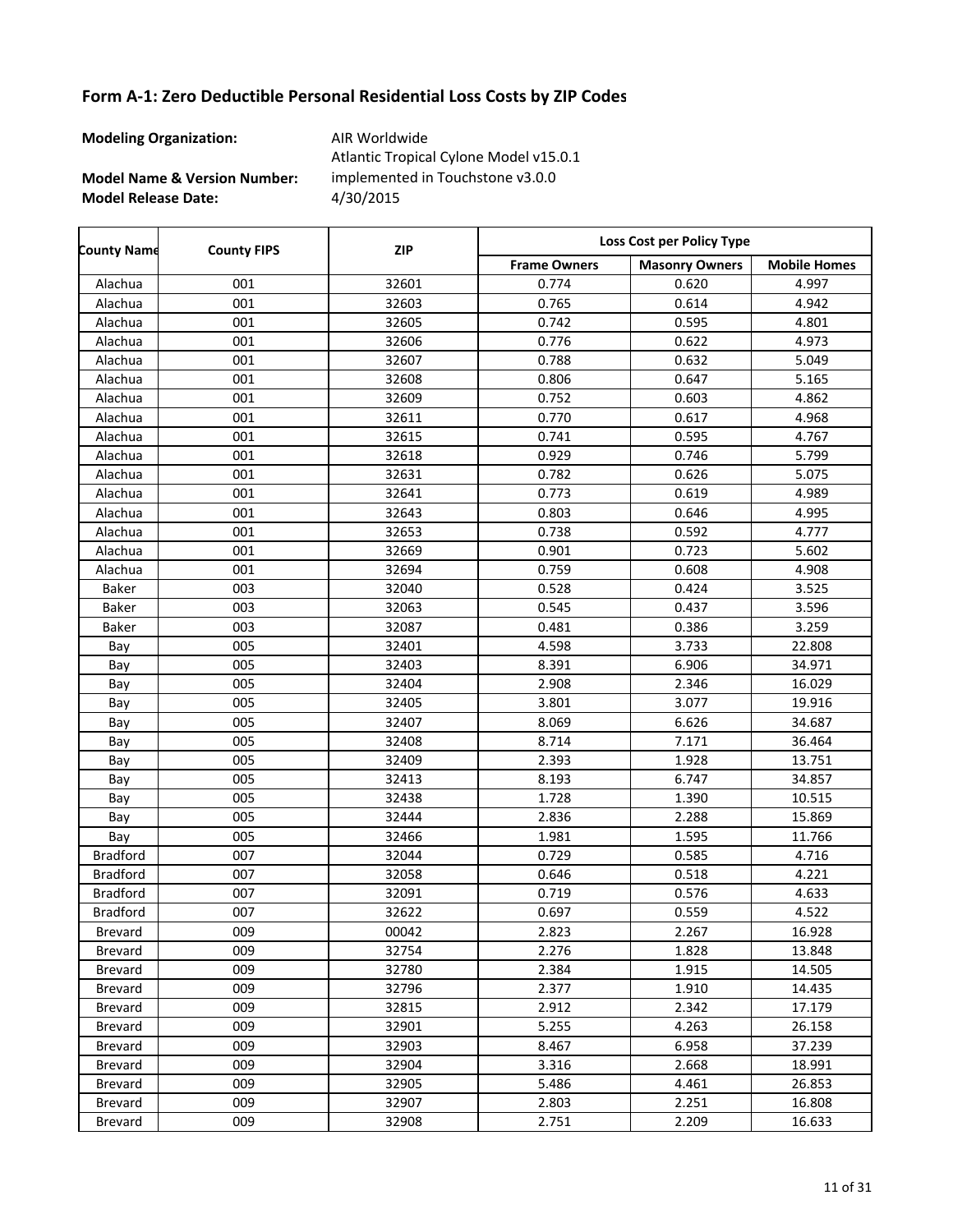**Modeling Organization:** AIR Worldwide

**Model Name & Version Number:**

**Model Release Date:** 4/30/2015 Atlantic Tropical Cylone Model v15.0.1 implemented in Touchstone v3.0.0

| <b>County Name</b> | <b>County FIPS</b> | <b>ZIP</b> | Loss Cost per Policy Type |                       |                     |  |
|--------------------|--------------------|------------|---------------------------|-----------------------|---------------------|--|
|                    |                    |            | <b>Frame Owners</b>       | <b>Masonry Owners</b> | <b>Mobile Homes</b> |  |
| Alachua            | 001                | 32601      | 0.774                     | 0.620                 | 4.997               |  |
| Alachua            | 001                | 32603      | 0.765                     | 0.614                 | 4.942               |  |
| Alachua            | 001                | 32605      | 0.742                     | 0.595                 | 4.801               |  |
| Alachua            | 001                | 32606      | 0.776                     | 0.622                 | 4.973               |  |
| Alachua            | 001                | 32607      | 0.788                     | 0.632                 | 5.049               |  |
| Alachua            | 001                | 32608      | 0.806                     | 0.647                 | 5.165               |  |
| Alachua            | 001                | 32609      | 0.752                     | 0.603                 | 4.862               |  |
| Alachua            | 001                | 32611      | 0.770                     | 0.617                 | 4.968               |  |
| Alachua            | 001                | 32615      | 0.741                     | 0.595                 | 4.767               |  |
| Alachua            | 001                | 32618      | 0.929                     | 0.746                 | 5.799               |  |
| Alachua            | 001                | 32631      | 0.782                     | 0.626                 | 5.075               |  |
| Alachua            | 001                | 32641      | 0.773                     | 0.619                 | 4.989               |  |
| Alachua            | 001                | 32643      | 0.803                     | 0.646                 | 4.995               |  |
| Alachua            | 001                | 32653      | 0.738                     | 0.592                 | 4.777               |  |
| Alachua            | 001                | 32669      | 0.901                     | 0.723                 | 5.602               |  |
| Alachua            | 001                | 32694      | 0.759                     | 0.608                 | 4.908               |  |
| Baker              | 003                | 32040      | 0.528                     | 0.424                 | 3.525               |  |
| Baker              | 003                | 32063      | 0.545                     | 0.437                 | 3.596               |  |
| Baker              | 003                | 32087      | 0.481                     | 0.386                 | 3.259               |  |
| Bay                | 005                | 32401      | 4.598                     | 3.733                 | 22.808              |  |
| Bay                | 005                | 32403      | 8.391                     | 6.906                 | 34.971              |  |
| Bay                | 005                | 32404      | 2.908                     | 2.346                 | 16.029              |  |
| Bay                | 005                | 32405      | 3.801                     | 3.077                 | 19.916              |  |
| Bay                | 005                | 32407      | 8.069                     | 6.626                 | 34.687              |  |
| Bay                | 005                | 32408      | 8.714                     | 7.171                 | 36.464              |  |
| Bay                | 005                | 32409      | 2.393                     | 1.928                 | 13.751              |  |
| Bay                | 005                | 32413      | 8.193                     | 6.747                 | 34.857              |  |
| Bay                | 005                | 32438      | 1.728                     | 1.390                 | 10.515              |  |
| Bay                | 005                | 32444      | 2.836                     | 2.288                 | 15.869              |  |
| Bay                | 005                | 32466      | 1.981                     | 1.595                 | 11.766              |  |
| <b>Bradford</b>    | 007                | 32044      | 0.729                     | 0.585                 | 4.716               |  |
| <b>Bradford</b>    | 007                | 32058      | 0.646                     | 0.518                 | 4.221               |  |
| <b>Bradford</b>    | 007                | 32091      | 0.719                     | 0.576                 | 4.633               |  |
| <b>Bradford</b>    | 007                | 32622      | 0.697                     | 0.559                 | 4.522               |  |
| Brevard            | 009                | 00042      | 2.823                     | 2.267                 | 16.928              |  |
| Brevard            | 009                | 32754      | 2.276                     | 1.828                 | 13.848              |  |
| Brevard            | 009                | 32780      | 2.384                     | 1.915                 | 14.505              |  |
| Brevard            | 009                | 32796      | 2.377                     | 1.910                 | 14.435              |  |
| Brevard            | 009                | 32815      | 2.912                     | 2.342                 | 17.179              |  |
| Brevard            | 009                | 32901      | 5.255                     | 4.263                 | 26.158              |  |
| Brevard            | 009                | 32903      | 8.467                     | 6.958                 | 37.239              |  |
| Brevard            | 009                | 32904      | 3.316                     | 2.668                 | 18.991              |  |
| Brevard            | 009                | 32905      | 5.486                     | 4.461                 | 26.853              |  |
| Brevard            | 009                | 32907      | 2.803                     | 2.251                 | 16.808              |  |
| <b>Brevard</b>     | 009                | 32908      | 2.751                     | 2.209                 | 16.633              |  |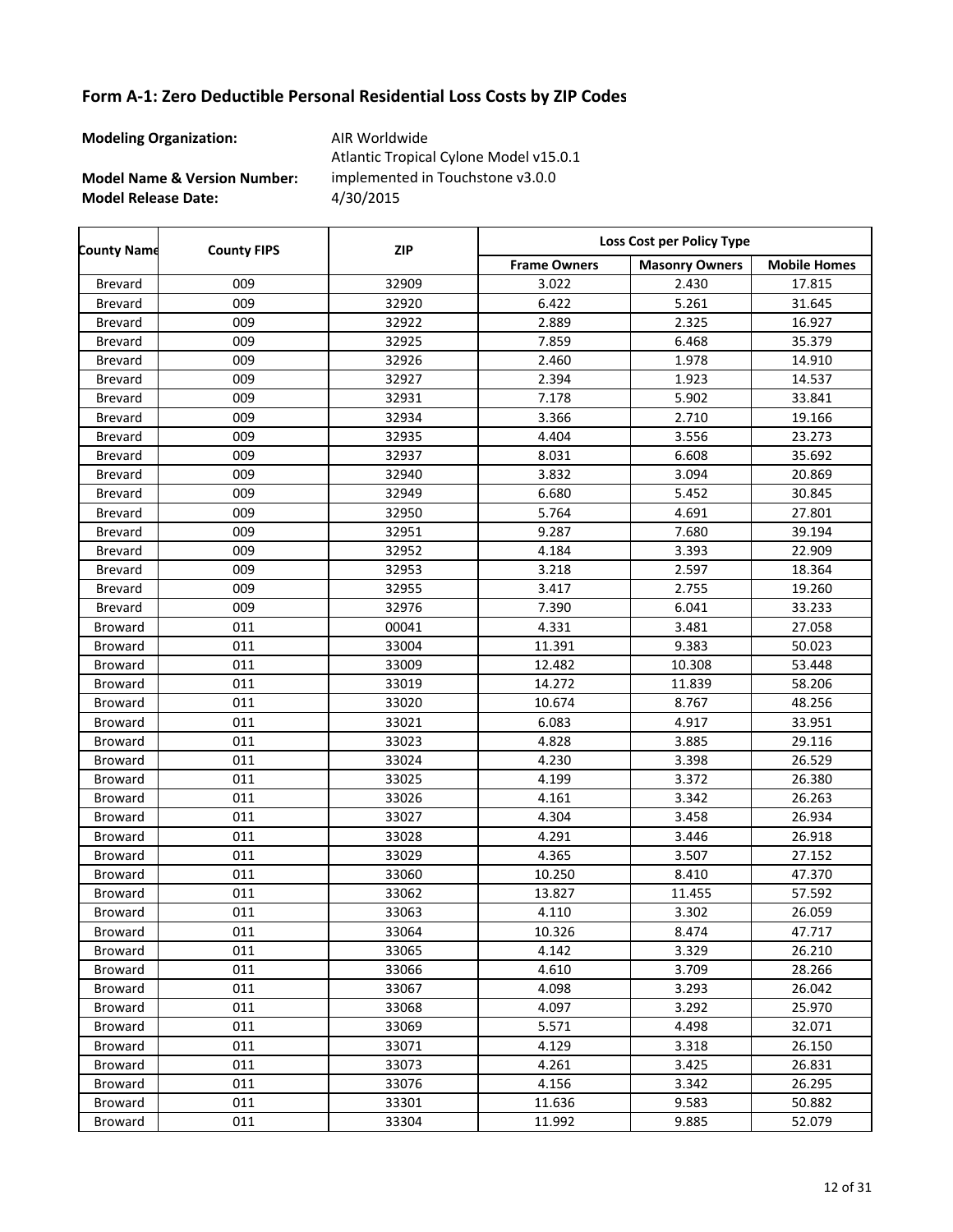**Modeling Organization:** AIR Worldwide

**Model Name & Version Number:**

**Model Release Date:** 4/30/2015 Atlantic Tropical Cylone Model v15.0.1 implemented in Touchstone v3.0.0

Frame Owners | Masonry Owners | Mobile Homes **County Name County FIPS Loss Cost per Policy Type ZIP** Brevard 009 32909 3.022 2.430 17.815 Brevard 009 32920 6.422 5.261 31.645 Brevard 009 32922 2.889 2.325 16.927 Brevard 009 32925 7.859 6.468 35.379 Brevard 009 32926 2.460 1.978 14.910 Brevard 009 32927 2.394 1.923 14.537 Brevard 009 32931 7.178 5.902 33.841 Brevard 19.166 32934 3.366 2.710 19.166 Brevard 009 32935 4.404 3.556 23.273 Brevard 009 32937 8.031 6.608 35.692 Brevard 009 32940 3.832 3.094 20.869 Brevard 009 32949 6.680 5.452 30.845 Brevard 009 32950 5.764 4.691 27.801 Brevard 009 32951 9.287 7.680 39.194 Brevard 009 32952 4.184 3.393 22.909 Brevard 009 32953 3.218 2.597 18.364 Brevard 009 32955 3.417 2.755 19.260 Brevard 009 32976 7.390 6.041 33.233 Broward 011 1 00041 4.331 3.481 27.058 Broward 011 33004 11.391 9.383 50.023 Broward 011 33009 12.482 10.308 53.448 Broward 011 33019 14.272 11.839 58.206 Broward 011 33020 10.674 8.767 48.256 Broward 011 33021 6.083 4.917 33.951 Broward 011 1 33023 4.828 3.885 29.116 Broward 011 33024 4.230 3.398 26.529 Broward 011 33025 4.199 3.372 26.380 Broward 011 33026 4.161 3.342 26.263 Broward 011 1 33027 4.304 3.458 26.934 Broward 011 1 33028 4.291 3.446 26.918 Broward 011 1 33029 4.365 3.507 27.152 Broward 011 133060 10.250 8.410 47.370 Broward 011 33062 13.827 11.455 57.592 Broward 011 1 33063 4.110 3.302 26.059 Broward 011 133064 10.326 8.474 47.717 Broward 011 1 33065 4.142 3.329 26.210 Broward 011 1 33066 4.610 3.709 28.266 Broward 011 1 33067 4.098 3.293 26.042 Broward 011 1 33068 4.097 3.292 25.970 Broward 011 33069 5.571 4.498 32.071 Broward 011 1 33071 4.129 3.318 26.150 Broward 011 1 33073 4.261 3.425 26.831 Broward 011 33076 4.156 3.342 26.295 Broward 011 133301 11.636 9.583 50.882 Broward 011 33304 11.992 9.885 52.079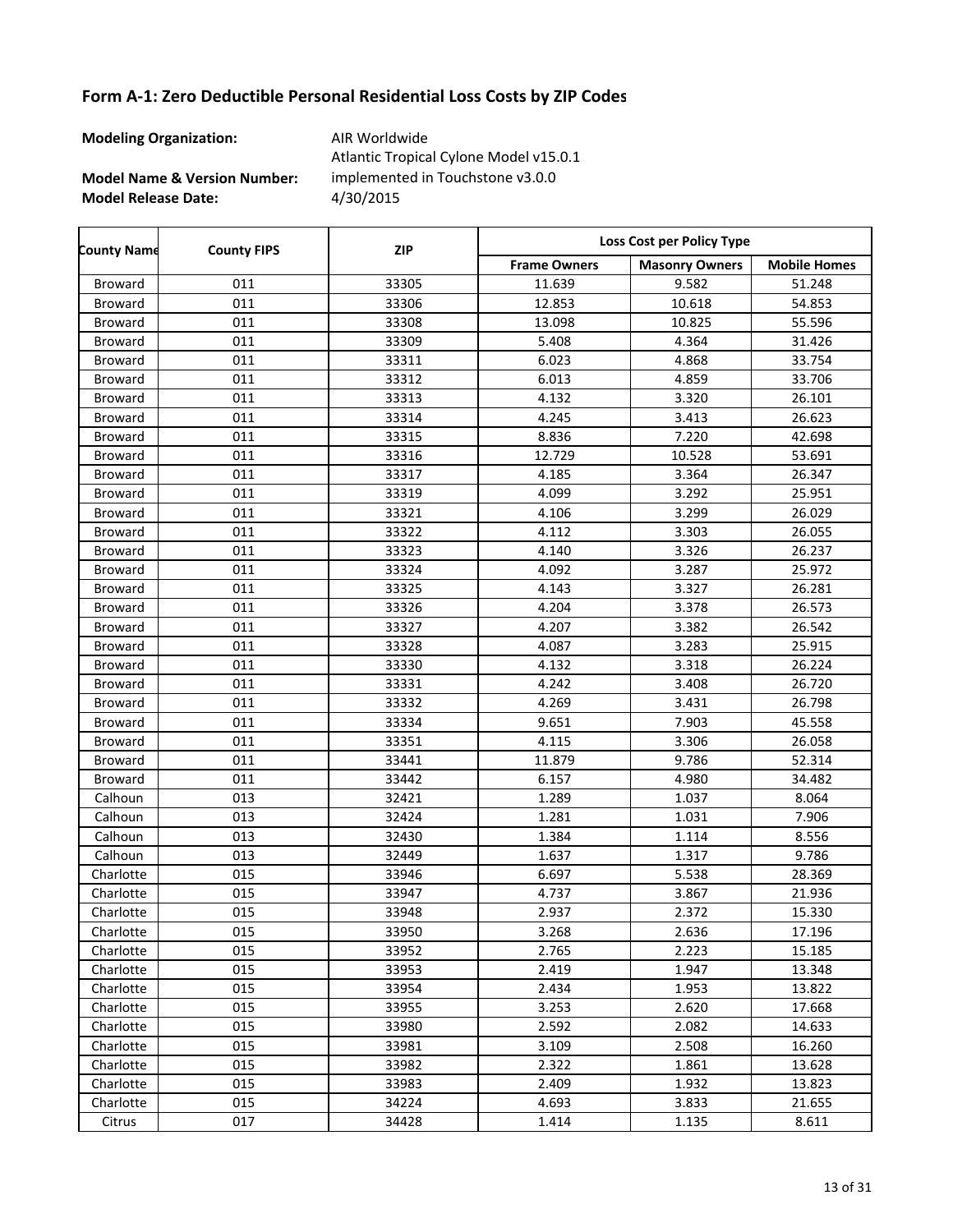**Modeling Organization:** AIR Worldwide

r

**Model Name & Version Number:**

**Model Release Date:** 4/30/2015 Atlantic Tropical Cylone Model v15.0.1 implemented in Touchstone v3.0.0

| <b>County Name</b> | <b>County FIPS</b> | <b>ZIP</b> | Loss Cost per Policy Type |                       |                     |  |
|--------------------|--------------------|------------|---------------------------|-----------------------|---------------------|--|
|                    |                    |            | <b>Frame Owners</b>       | <b>Masonry Owners</b> | <b>Mobile Homes</b> |  |
| Broward            | 011                | 33305      | 11.639                    | 9.582                 | 51.248              |  |
| Broward            | 011                | 33306      | 12.853                    | 10.618                | 54.853              |  |
| Broward            | 011                | 33308      | 13.098                    | 10.825                | 55.596              |  |
| Broward            | 011                | 33309      | 5.408                     | 4.364                 | 31.426              |  |
| Broward            | 011                | 33311      | 6.023                     | 4.868                 | 33.754              |  |
| Broward            | 011                | 33312      | 6.013                     | 4.859                 | 33.706              |  |
| Broward            | 011                | 33313      | 4.132                     | 3.320                 | 26.101              |  |
| Broward            | 011                | 33314      | 4.245                     | 3.413                 | 26.623              |  |
| Broward            | 011                | 33315      | 8.836                     | 7.220                 | 42.698              |  |
| Broward            | 011                | 33316      | 12.729                    | 10.528                | 53.691              |  |
| Broward            | 011                | 33317      | 4.185                     | 3.364                 | 26.347              |  |
| Broward            | 011                | 33319      | 4.099                     | 3.292                 | 25.951              |  |
| Broward            | 011                | 33321      | 4.106                     | 3.299                 | 26.029              |  |
| Broward            | 011                | 33322      | 4.112                     | 3.303                 | 26.055              |  |
| Broward            | 011                | 33323      | 4.140                     | 3.326                 | 26.237              |  |
| Broward            | 011                | 33324      | 4.092                     | 3.287                 | 25.972              |  |
| Broward            | 011                | 33325      | 4.143                     | 3.327                 | 26.281              |  |
| Broward            | 011                | 33326      | 4.204                     | 3.378                 | 26.573              |  |
| Broward            | 011                | 33327      | 4.207                     | 3.382                 | 26.542              |  |
| Broward            | 011                | 33328      | 4.087                     | 3.283                 | 25.915              |  |
| Broward            | 011                | 33330      | 4.132                     | 3.318                 | 26.224              |  |
| Broward            | 011                | 33331      | 4.242                     | 3.408                 | 26.720              |  |
| Broward            | 011                | 33332      | 4.269                     | 3.431                 | 26.798              |  |
| Broward            | 011                | 33334      | 9.651                     | 7.903                 | 45.558              |  |
| Broward            | 011                | 33351      | 4.115                     | 3.306                 | 26.058              |  |
| Broward            | 011                | 33441      | 11.879                    | 9.786                 | 52.314              |  |
| Broward            | 011                | 33442      | 6.157                     | 4.980                 | 34.482              |  |
| Calhoun            | 013                | 32421      | 1.289                     | 1.037                 | 8.064               |  |
| Calhoun            | 013                | 32424      | 1.281                     | 1.031                 | 7.906               |  |
| Calhoun            | 013                | 32430      | 1.384                     | 1.114                 | 8.556               |  |
| Calhoun            | 013                | 32449      | 1.637                     | 1.317                 | 9.786               |  |
| Charlotte          | 015                | 33946      | 6.697                     | 5.538                 | 28.369              |  |
| Charlotte          | 015                | 33947      | 4.737                     | 3.867                 | 21.936              |  |
| Charlotte          | 015                | 33948      | 2.937                     | 2.372                 | 15.330              |  |
| Charlotte          | 015                | 33950      | 3.268                     | 2.636                 | 17.196              |  |
| Charlotte          | 015                | 33952      | 2.765                     | 2.223                 | 15.185              |  |
| Charlotte          | 015                | 33953      | 2.419                     | 1.947                 | 13.348              |  |
| Charlotte          | 015                | 33954      | 2.434                     | 1.953                 | 13.822              |  |
| Charlotte          | 015                | 33955      | 3.253                     | 2.620                 | 17.668              |  |
| Charlotte          | 015                | 33980      | 2.592                     | 2.082                 | 14.633              |  |
| Charlotte          | 015                | 33981      | 3.109                     | 2.508                 | 16.260              |  |
| Charlotte          | 015                | 33982      | 2.322                     | 1.861                 | 13.628              |  |
| Charlotte          | 015                | 33983      | 2.409                     | 1.932                 | 13.823              |  |
| Charlotte          | 015                | 34224      | 4.693                     | 3.833                 | 21.655              |  |
| Citrus             | 017                | 34428      | 1.414                     | 1.135                 | 8.611               |  |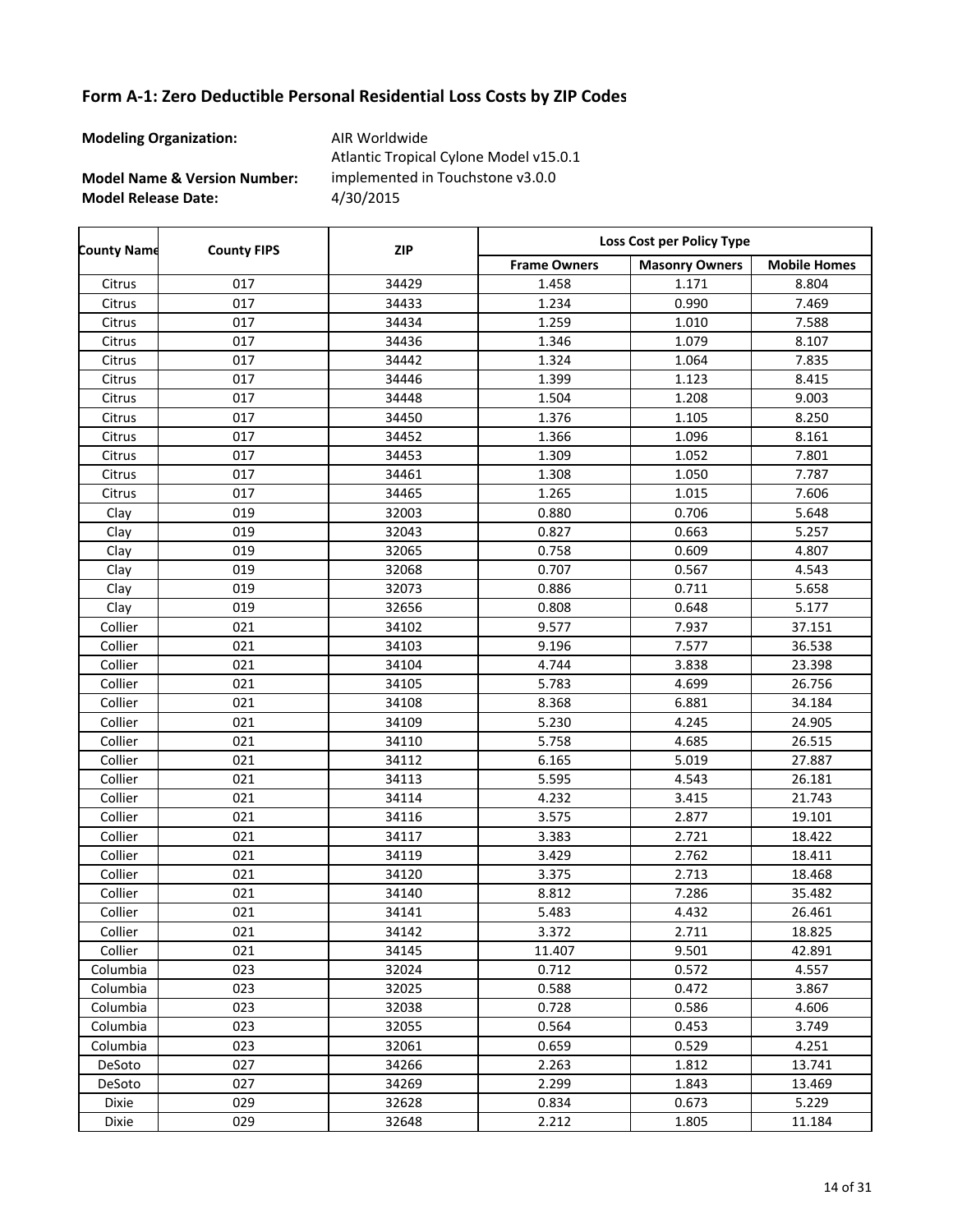**Modeling Organization:** AIR Worldwide

**Model Name & Version Number:**

**Model Release Date:** 4/30/2015 Atlantic Tropical Cylone Model v15.0.1 implemented in Touchstone v3.0.0

Frame Owners | Masonry Owners | Mobile Homes **County Name County FIPS Loss Cost per Policy Type ZIP** Citrus 017 34429 1.458 1.171 8.804 Citrus 017 34433 1.234 0.990 7.469 Citrus 017 34434 1.259 1.010 7.588 Citrus 017 34436 1.346 1.079 8.107 Citrus 017 34442 1.324 1.064 7.835 Citrus 017 34446 1.399 1.123 8.415 Citrus 017 34448 1.504 1.208 9.003 Citrus 017 34450 1.376 1.105 8.250 Citrus 017 34452 1.366 1.096 8.161 Citrus 017 34453 1.309 1.052 7.801 Citrus 017 34461 1.308 1.050 7.787 Citrus 017 34465 1.265 1.015 7.606 Clay 019 32003 0.880 0.706 5.648 Clay 019 32043 0.827 0.663 5.257 Clay 019 32065 0.758 0.609 4.807 Clay 019 32068 0.707 0.567 4.543 Clay | 019 | 32073 | 0.886 | 0.711 | 5.658 Clay | 019 | 32656 | 0.808 | 0.648 | 5.177 Collier 021 34102 9.577 7.937 37.151 Collier 021 34103 9.196 7.577 36.538 Collier 021 34104 4.744 3.838 23.398 Collier 021 34105 5.783 4.699 26.756 Collier | 021 | 34108 | 8.368 | 6.881 | 34.184 Collier 021 34109 5.230 4.245 24.905 Collier 021 34110 5.758 4.685 26.515 Collier | 021 | 34112 | 6.165 | 5.019 | 27.887 Collier 021 34113 5.595 4.543 26.181 Collier | 021 | 34114 | 4.232 | 3.415 | 21.743 Collier | 021 | 34116 | 3.575 | 2.877 | 19.101 Collier 021 34117 3.383 2.721 18.422 Collier 021 34119 3.429 2.762 18.411 Collier 021 34120 3.375 2.713 18.468 Collier 021 34140 8.812 7.286 35.482 Collier 021 34141 5.483 4.432 26.461 Collier 021 34142 3.372 2.711 18.825 Collier 021 34145 11.407 9.501 42.891 Columbia 023 32024 0.712 0.572 4.557 Columbia 023 32025 0.588 0.472 3.867 Columbia 023 32038 0.728 0.586 4.606 Columbia 023 32055 0.564 0.453 3.749 Columbia 023 32061 0.659 0.529 4.251 DeSoto 027 34266 2.263 1.812 13.741 DeSoto 027 34269 2.299 1.843 13.469 Dixie 029 32628 0.834 0.673 5.229 Dixie 029 32648 2.212 1.805 11.184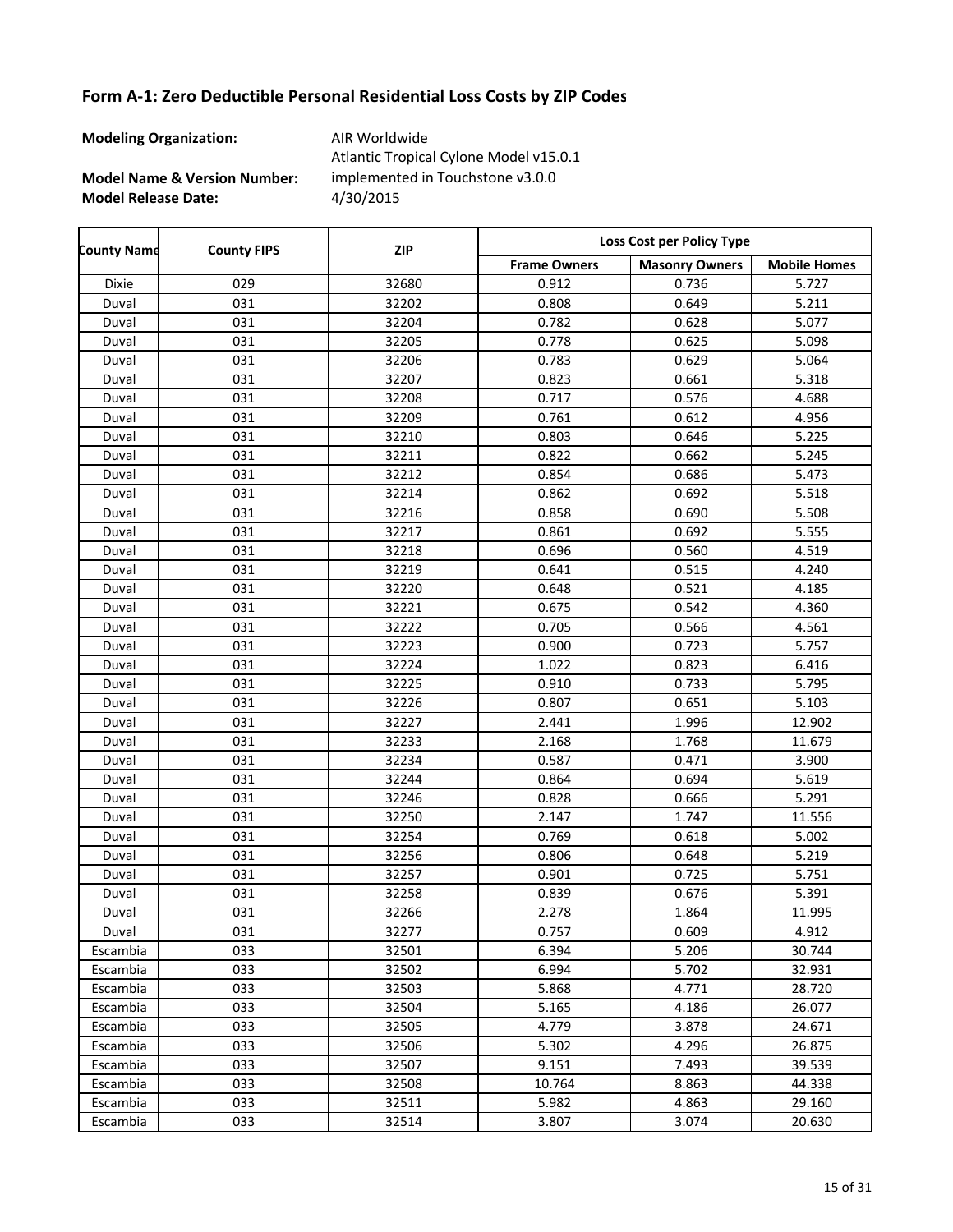**Modeling Organization:** AIR Worldwide

**Model Name & Version Number:**

**Model Release Date:** 4/30/2015 Atlantic Tropical Cylone Model v15.0.1 implemented in Touchstone v3.0.0

| <b>County Name</b> | <b>County FIPS</b> | <b>ZIP</b> | Loss Cost per Policy Type |                       |                     |  |
|--------------------|--------------------|------------|---------------------------|-----------------------|---------------------|--|
|                    |                    |            | <b>Frame Owners</b>       | <b>Masonry Owners</b> | <b>Mobile Homes</b> |  |
| Dixie              | 029                | 32680      | 0.912                     | 0.736                 | 5.727               |  |
| Duval              | 031                | 32202      | 0.808                     | 0.649                 | 5.211               |  |
| Duval              | 031                | 32204      | 0.782                     | 0.628                 | 5.077               |  |
| Duval              | 031                | 32205      | 0.778                     | 0.625                 | 5.098               |  |
| Duval              | 031                | 32206      | 0.783                     | 0.629                 | 5.064               |  |
| Duval              | 031                | 32207      | 0.823                     | 0.661                 | 5.318               |  |
| Duval              | 031                | 32208      | 0.717                     | 0.576                 | 4.688               |  |
| Duval              | 031                | 32209      | 0.761                     | 0.612                 | 4.956               |  |
| Duval              | 031                | 32210      | 0.803                     | 0.646                 | 5.225               |  |
| Duval              | 031                | 32211      | 0.822                     | 0.662                 | 5.245               |  |
| Duval              | 031                | 32212      | 0.854                     | 0.686                 | 5.473               |  |
| Duval              | 031                | 32214      | 0.862                     | 0.692                 | 5.518               |  |
| Duval              | 031                | 32216      | 0.858                     | 0.690                 | 5.508               |  |
| Duval              | 031                | 32217      | 0.861                     | 0.692                 | 5.555               |  |
| Duval              | 031                | 32218      | 0.696                     | 0.560                 | 4.519               |  |
| Duval              | 031                | 32219      | 0.641                     | 0.515                 | 4.240               |  |
| Duval              | 031                | 32220      | 0.648                     | 0.521                 | 4.185               |  |
| Duval              | 031                | 32221      | 0.675                     | 0.542                 | 4.360               |  |
| Duval              | 031                | 32222      | 0.705                     | 0.566                 | 4.561               |  |
| Duval              | 031                | 32223      | 0.900                     | 0.723                 | 5.757               |  |
| Duval              | 031                | 32224      | 1.022                     | 0.823                 | 6.416               |  |
| Duval              | 031                | 32225      | 0.910                     | 0.733                 | 5.795               |  |
| Duval              | 031                | 32226      | 0.807                     | 0.651                 | 5.103               |  |
| Duval              | 031                | 32227      | 2.441                     | 1.996                 | 12.902              |  |
| Duval              | 031                | 32233      | 2.168                     | 1.768                 | 11.679              |  |
| Duval              | 031                | 32234      | 0.587                     | 0.471                 | 3.900               |  |
| Duval              | 031                | 32244      | 0.864                     | 0.694                 | 5.619               |  |
| Duval              | 031                | 32246      | 0.828                     | 0.666                 | 5.291               |  |
| Duval              | 031                | 32250      | 2.147                     | 1.747                 | 11.556              |  |
| Duval              | 031                | 32254      | 0.769                     | 0.618                 | 5.002               |  |
| Duval              | 031                | 32256      | 0.806                     | 0.648                 | 5.219               |  |
| Duval              | 031                | 32257      | 0.901                     | 0.725                 | 5.751               |  |
| Duval              | 031                | 32258      | 0.839                     | 0.676                 | 5.391               |  |
| Duval              | 031                | 32266      | 2.278                     | 1.864                 | 11.995              |  |
| Duval              | 031                | 32277      | 0.757                     | 0.609                 | 4.912               |  |
| Escambia           | 033                | 32501      | 6.394                     | 5.206                 | 30.744              |  |
| Escambia           | 033                | 32502      | 6.994                     | 5.702                 | 32.931              |  |
| Escambia           | 033                | 32503      | 5.868                     | 4.771                 | 28.720              |  |
| Escambia           | 033                | 32504      | 5.165                     | 4.186                 | 26.077              |  |
| Escambia           | 033                | 32505      | 4.779                     | 3.878                 | 24.671              |  |
| Escambia           | 033                | 32506      | 5.302                     | 4.296                 | 26.875              |  |
| Escambia           | 033                | 32507      | 9.151                     | 7.493                 | 39.539              |  |
| Escambia           | 033                | 32508      | 10.764                    | 8.863                 | 44.338              |  |
| Escambia           | 033                | 32511      | 5.982                     | 4.863                 | 29.160              |  |
| Escambia           | 033                | 32514      | 3.807                     | 3.074                 | 20.630              |  |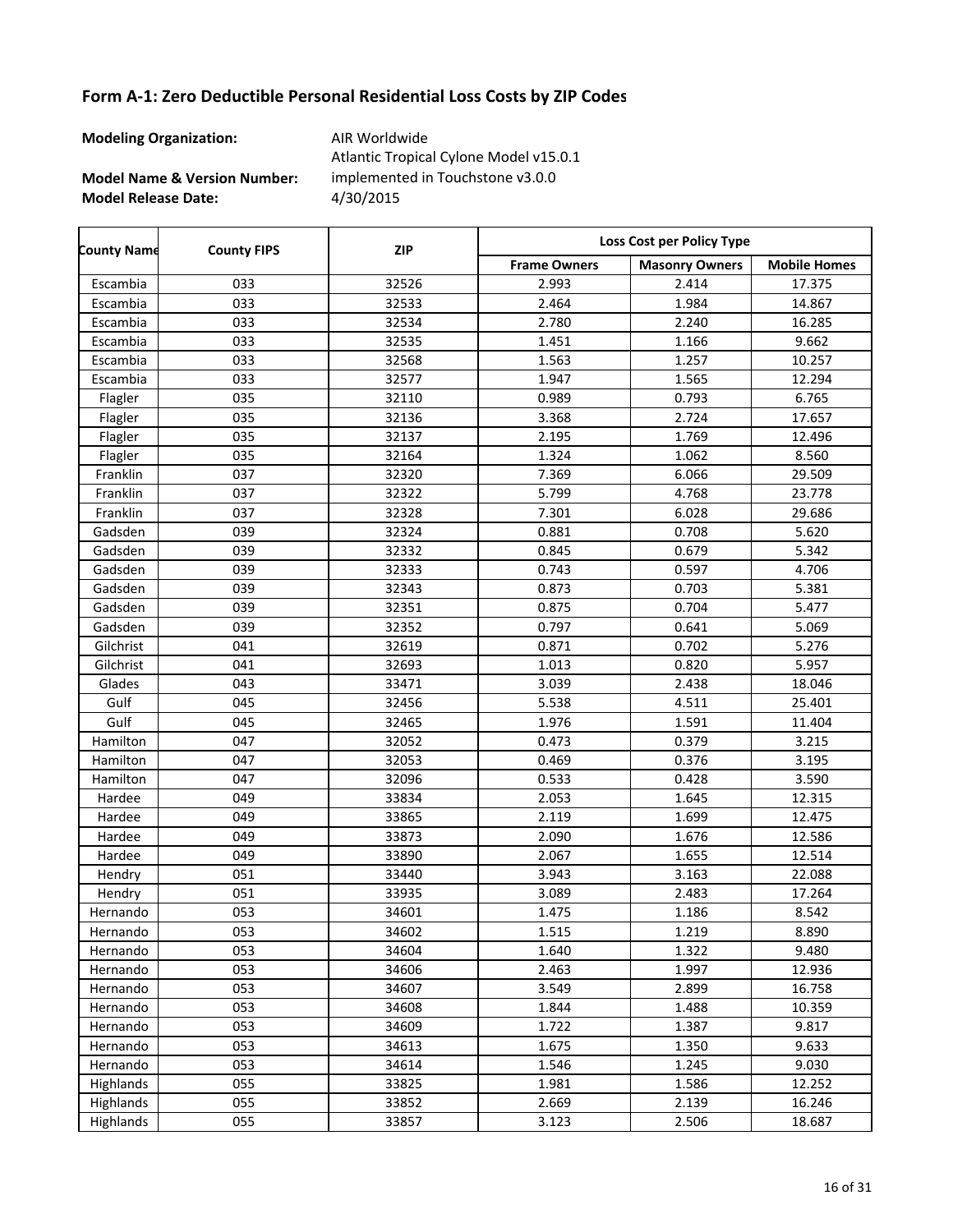**Modeling Organization:** AIR Worldwide

**Model Name & Version Number:**

**Model Release Date:** 4/30/2015 Atlantic Tropical Cylone Model v15.0.1 implemented in Touchstone v3.0.0

Frame Owners | Masonry Owners | Mobile Homes **County Name County FIPS Loss Cost per Policy Type ZIP** Escambia 033 32526 2.993 2.414 17.375 Escambia 033 32533 2.464 1.984 14.867 Escambia 033 32534 2.780 2.240 16.285 Escambia 033 32535 1.451 1.166 9.662 Escambia 033 32568 1.563 1.257 10.257 Escambia 033 32577 1.947 1.565 12.294 Flagler 035 32110 0.989 0.793 6.765 Flagler 035 32136 3.368 2.724 17.657 Flagler 035 32137 2.195 1.769 12.496 Flagler 035 32164 1.324 1.062 8.560 Franklin 037 32320 7.369 6.066 29.509 Franklin 037 32322 5.799 4.768 23.778 Franklin 037 32328 7.301 6.028 29.686 Gadsden | 039 | 32324 | 0.881 | 0.708 | 5.620 Gadsden | 039 | 32332 | 0.845 | 0.679 | 5.342 Gadsden 039 32333 0.743 0.597 4.706 Gadsden | 039 | 32343 | 0.873 | 0.703 | 5.381 Gadsden | 039 | 32351 | 0.875 | 0.704 | 5.477 Gadsden | 039 | 32352 | 0.797 | 0.641 | 5.069 Gilchrist 041 32619 0.871 0.702 5.276 Gilchrist | 041 | 32693 | 1.013 | 0.820 | 5.957 Glades 043 33471 3.039 2.438 18.046 Gulf 045 32456 5.538 4.511 25.401 Gulf 045 32465 1.976 1.591 11.404 Hamilton 047 32052 0.473 0.379 3.215 Hamilton 047 32053 0.469 0.376 3.195 Hamilton 047 32096 0.533 0.428 3.590 Hardee 049 33834 2.053 1.645 12.315 Hardee 049 33865 2.119 1.699 12.475 Hardee 049 33873 2.090 1.676 12.586 Hardee 049 33890 2.067 1.655 12.514 Hendry | 051 | 33440 | 3.943 | 3.163 | 22.088 Hendry 17.264 **17.264 17.264** 33935 1 3.089 2.483 17.264 Hernando | 053 | 34601 | 1.475 | 1.186 | 8.542 Hernando | 053 | 34602 | 1.515 | 1.219 | 8.890 Hernando | 053 | 34604 | 1.640 | 1.322 | 9.480 Hernando 053 34606 2.463 1.997 12.936 Hernando 053 34607 3.549 2.899 16.758 Hernando | 053 | 34608 | 1.844 | 1.488 | 10.359 Hernando 053 34609 1.722 1.387 9.817 Hernando | 053 | 34613 | 1.675 | 1.350 | 9.633 Hernando | 053 | 34614 | 1.546 | 1.245 | 9.030 Highlands 055 33825 1.981 1.586 12.252 Highlands 055 33852 2.669 2.139 16.246 Highlands 055 33857 3.123 2.506 18.687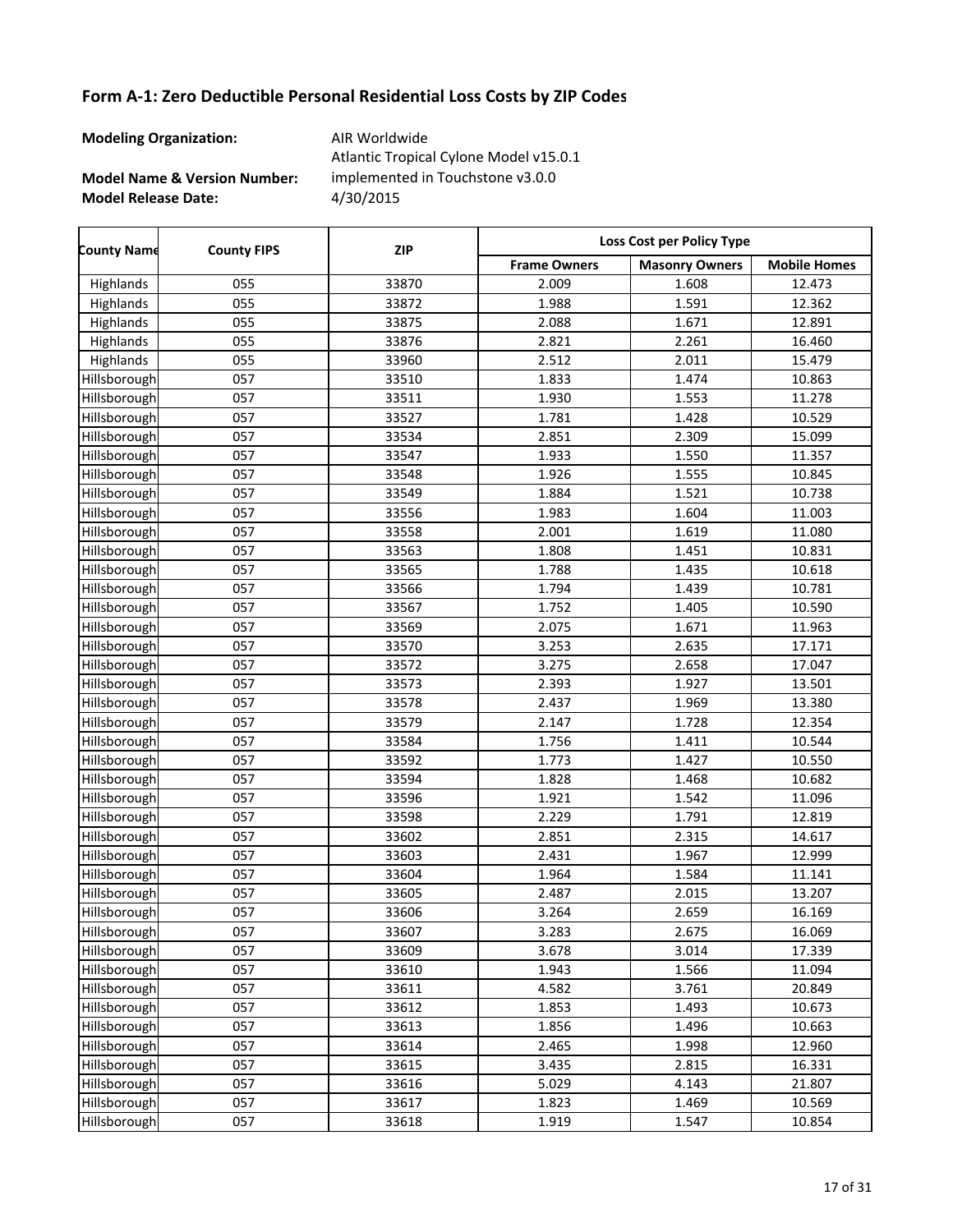**Modeling Organization:** AIR Worldwide

**Model Name & Version Number:**

**Model Release Date:** 4/30/2015 Atlantic Tropical Cylone Model v15.0.1 implemented in Touchstone v3.0.0

Frame Owners | Masonry Owners | Mobile Homes **County Name County FIPS Loss Cost per Policy Type ZIP** Highlands 055 33870 2.009 1.608 12.473 Highlands 055 33872 1.988 1.591 12.362 Highlands 055 33875 2.088 1.671 12.891 Highlands 055 33876 2.821 2.261 16.460 Highlands 055 33960 2.512 2.011 15.479 Hillsborough 057 | 33510 | 1.833 | 1.474 | 10.863 Hillsborough 057 33511 1.930 1.553 11.278 Hillsborough 057 | 33527 | 1.781 | 1.428 | 10.529 Hillsborough 057 | 33534 | 2.851 | 2.309 | 15.099 Hillsborough 057 | 33547 | 1.933 | 1.550 | 11.357 Hillsborough 057 | 33548 | 1.926 | 1.555 | 10.845 Hillsborough 057 | 33549 | 1.884 | 1.521 | 10.738 Hillsborough 057 | 33556 | 1.983 | 1.604 | 11.003 Hillsborough 057 | 33558 | 2.001 | 1.619 | 11.080 Hillsborough 057 | 33563 | 1.808 | 1.451 | 10.831 Hillsborough 057 | 33565 | 1.788 | 1.435 | 10.618 Hillsborough 057 | 33566 | 1.794 | 1.439 | 10.781 Hillsborough 057 | 33567 | 1.752 | 1.405 | 10.590 Hillsborough 057 33569 2.075 1.671 11.963 Hillsborough 057 33570 3.253 2.635 17.171 Hillsborough 057 | 33572 | 3.275 | 2.658 | 17.047 Hillsborough 057 | 33573 | 2.393 | 1.927 | 13.501 Hillsborough 057 | 33578 | 2.437 | 1.969 | 13.380 Hillsborough 057 33579 2.147 1.728 12.354 Hillsborough 057 | 33584 | 1.756 | 1.411 | 10.544 Hillsborough 057 | 33592 | 1.773 | 1.427 | 10.550 Hillsborough 057 | 33594 | 1.828 | 1.468 | 10.682 Hillsborough 057 | 33596 | 1.921 | 1.542 | 11.096 Hillsborough 057 33598 2.229 1.791 12.819 Hillsborough 057 33602 2.851 2.315 14.617 Hillsborough 057 33603 2.431 1.967 12.999 Hillsborough 057 | 33604 | 1.964 | 1.584 | 11.141 Hillsborough 057 33605 2.487 2.015 13.207 Hillsborough 057 | 33606 | 3.264 | 2.659 | 16.169 Hillsborough 057 | 33607 | 3.283 | 2.675 | 16.069 Hillsborough 057 | 33609 | 3.678 | 3.014 | 17.339 Hillsborough 057 | 33610 | 1.943 | 1.566 | 11.094 Hillsborough 057 33611 4.582 3.761 20.849 Hillsborough 057 | 33612 | 1.853 | 1.493 | 10.673 Hillsborough 057 | 33613 | 1.856 | 1.496 | 10.663 Hillsborough 057 | 33614 | 2.465 | 1.998 | 12.960 Hillsborough 057 | 33615 | 3.435 | 2.815 | 16.331 Hillsborough 057 33616 5.029 4.143 21.807 Hillsborough 057 | 33617 | 1.823 | 1.469 | 10.569 Hillsborough 057 | 33618 | 1.919 | 1.547 | 10.854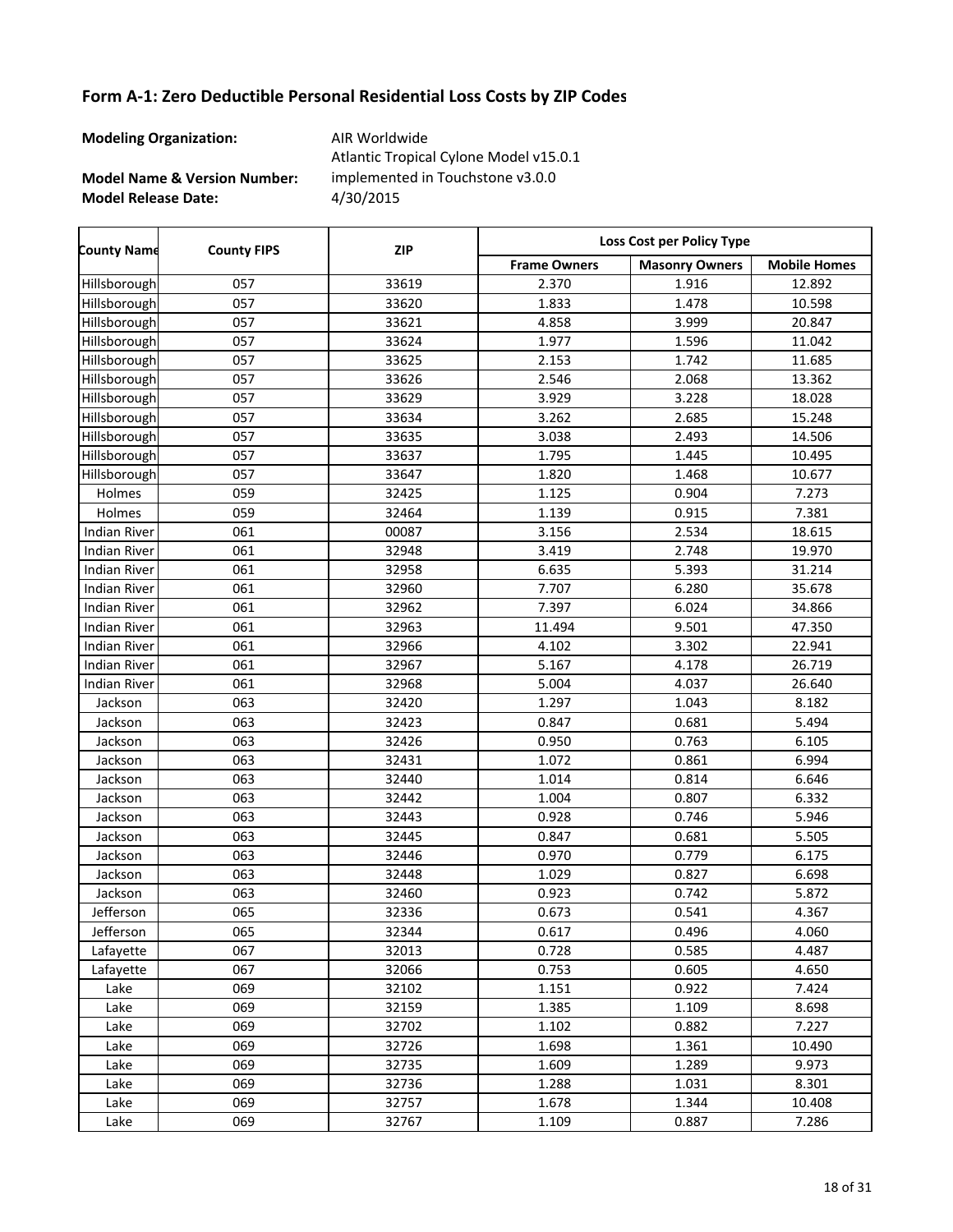**Modeling Organization:** AIR Worldwide

**Model Name & Version Number:**

**Model Release Date:** 4/30/2015 Atlantic Tropical Cylone Model v15.0.1 implemented in Touchstone v3.0.0

Frame Owners | Masonry Owners | Mobile Homes **County Name County FIPS Loss Cost per Policy Type ZIP** Hillsborough 057 33619 2.370 1.916 12.892 Hillsborough 057 | 33620 | 1.833 | 1.478 | 10.598 Hillsborough 057 33621 4.858 3.999 20.847 Hillsborough 057 | 33624 | 1.977 | 1.596 | 11.042 Hillsborough 057 33625 2.153 1.742 11.685 Hillsborough 057 33626 2.546 2.068 13.362 Hillsborough 057 | 33629 | 3.929 | 3.228 | 18.028 Hillsborough 057 | 33634 | 3.262 | 2.685 | 15.248 Hillsborough 057 | 33635 | 3.038 | 2.493 | 14.506 Hillsborough 057 | 33637 | 1.795 | 1.445 | 10.495 Hillsborough 057 33647 1.820 1.468 10.677 Holmes 059 32425 1.125 0.904 7.273 Holmes | 059 | 32464 | 1.139 | 0.915 | 7.381 Indian River | 061 | 00087 | 3.156 | 2.534 | 18.615 Indian River | 061 | 32948 | 3.419 | 2.748 | 19.970 Indian River | 061 | 32958 | 6.635 | 5.393 | 31.214 Indian River 061 32960 7.707 6.280 35.678 Indian River 061 32962 7.397 6.024 34.866 Indian River | 061 | 32963 | 11.494 | 9.501 | 47.350 Indian River | 061 | 32966 | 4.102 | 3.302 | 22.941 Indian River | 061 | 32967 | 5.167 | 4.178 | 26.719 Indian River | 061 | 32968 | 5.004 | 4.037 | 26.640 Jackson | 063 | 32420 | 1.297 | 1.043 | 8.182 Jackson | 063 | 32423 | 0.847 | 0.681 | 5.494 Jackson | 063 | 32426 | 0.950 | 0.763 | 6.105 Jackson | 063 | 32431 | 1.072 | 0.861 | 6.994 Jackson | 063 | 32440 | 1.014 | 0.814 | 6.646 Jackson 063 32442 1.004 0.807 6.332 Jackson 063 32443 0.928 0.746 5.946 Jackson | 063 | 32445 | 0.847 | 0.681 | 5.505 Jackson 063 32446 0.970 0.779 6.175 Jackson | 063 | 32448 | 1.029 | 0.827 | 6.698 Jackson 063 32460 0.923 0.742 5.872 Jefferson 065 32336 0.673 0.541 4.367 Jefferson 065 32344 0.617 0.496 4.060 Lafayette 067 32013 0.728 0.585 4.487 Lafayette 067 32066 0.753 0.605 4.650 Lake 069 32102 1.151 0.922 7.424 Lake 069 32159 1.385 1.109 8.698 Lake 069 32702 1.102 0.882 7.227 Lake 069 32726 1.698 1.361 10.490 Lake 069 32735 1.609 1.289 9.973 Lake 069 32736 1.288 1.031 8.301 Lake 069 32757 1.678 1.344 10.408 Lake 069 32767 1.109 0.887 7.286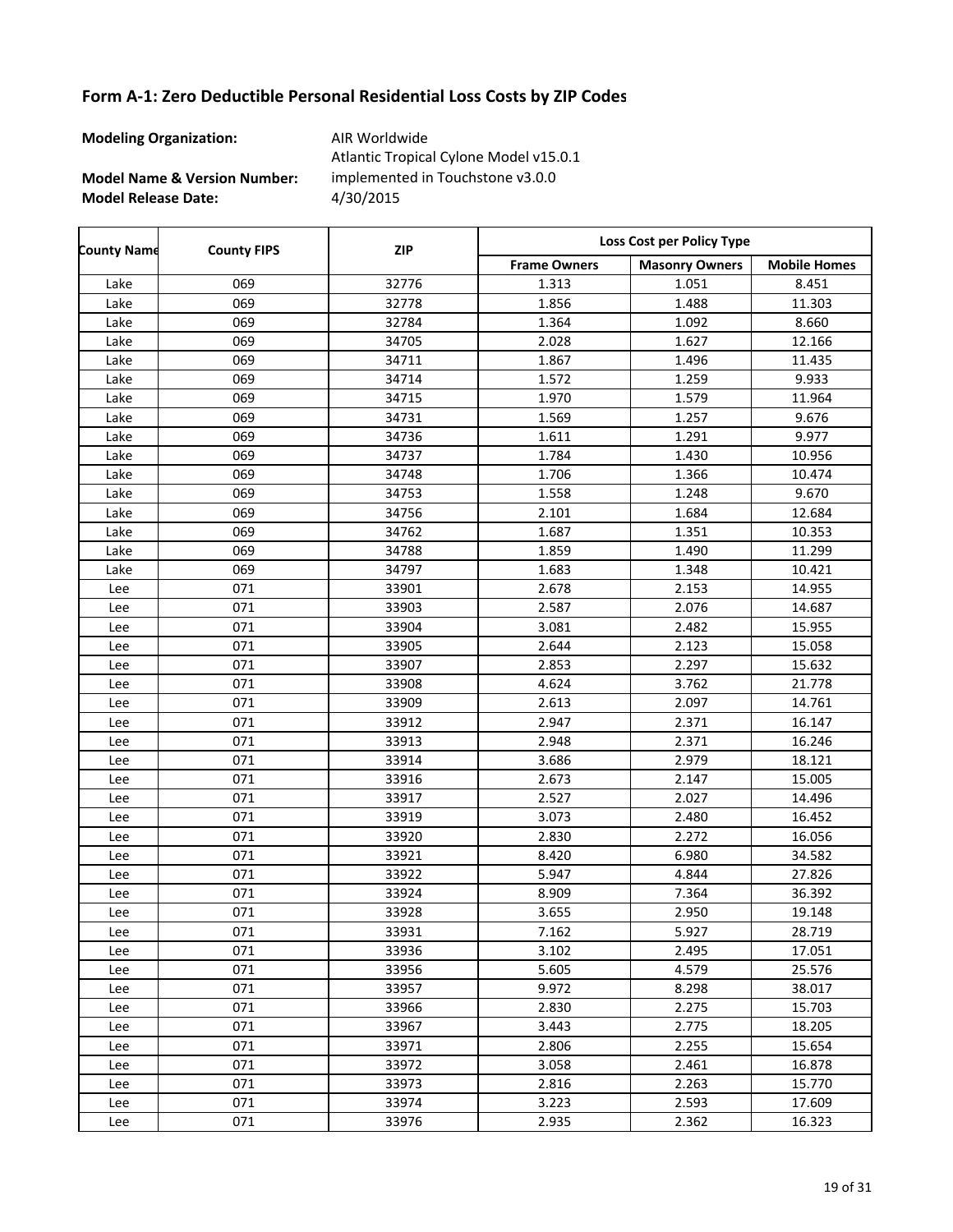**Modeling Organization:** AIR Worldwide

r

**Model Name & Version Number:**

**Model Release Date:** 4/30/2015 Atlantic Tropical Cylone Model v15.0.1 implemented in Touchstone v3.0.0

| <b>County Name</b> | <b>County FIPS</b> | <b>ZIP</b> | Loss Cost per Policy Type |                       |                     |  |
|--------------------|--------------------|------------|---------------------------|-----------------------|---------------------|--|
|                    |                    |            | <b>Frame Owners</b>       | <b>Masonry Owners</b> | <b>Mobile Homes</b> |  |
| Lake               | 069                | 32776      | 1.313                     | 1.051                 | 8.451               |  |
| Lake               | 069                | 32778      | 1.856                     | 1.488                 | 11.303              |  |
| Lake               | 069                | 32784      | 1.364                     | 1.092                 | 8.660               |  |
| Lake               | 069                | 34705      | 2.028                     | 1.627                 | 12.166              |  |
| Lake               | 069                | 34711      | 1.867                     | 1.496                 | 11.435              |  |
| Lake               | 069                | 34714      | 1.572                     | 1.259                 | 9.933               |  |
| Lake               | 069                | 34715      | 1.970                     | 1.579                 | 11.964              |  |
| Lake               | 069                | 34731      | 1.569                     | 1.257                 | 9.676               |  |
| Lake               | 069                | 34736      | 1.611                     | 1.291                 | 9.977               |  |
| Lake               | 069                | 34737      | 1.784                     | 1.430                 | 10.956              |  |
| Lake               | 069                | 34748      | 1.706                     | 1.366                 | 10.474              |  |
| Lake               | 069                | 34753      | 1.558                     | 1.248                 | 9.670               |  |
| Lake               | 069                | 34756      | 2.101                     | 1.684                 | 12.684              |  |
| Lake               | 069                | 34762      | 1.687                     | 1.351                 | 10.353              |  |
| Lake               | 069                | 34788      | 1.859                     | 1.490                 | 11.299              |  |
| Lake               | 069                | 34797      | 1.683                     | 1.348                 | 10.421              |  |
| Lee                | 071                | 33901      | 2.678                     | 2.153                 | 14.955              |  |
| Lee                | 071                | 33903      | 2.587                     | 2.076                 | 14.687              |  |
| Lee                | 071                | 33904      | 3.081                     | 2.482                 | 15.955              |  |
| Lee                | 071                | 33905      | 2.644                     | 2.123                 | 15.058              |  |
| Lee                | 071                | 33907      | 2.853                     | 2.297                 | 15.632              |  |
| Lee                | 071                | 33908      | 4.624                     | 3.762                 | 21.778              |  |
| Lee                | 071                | 33909      | 2.613                     | 2.097                 | 14.761              |  |
| Lee                | 071                | 33912      | 2.947                     | 2.371                 | 16.147              |  |
| Lee                | 071                | 33913      | 2.948                     | 2.371                 | 16.246              |  |
| Lee                | 071                | 33914      | 3.686                     | 2.979                 | 18.121              |  |
| Lee                | 071                | 33916      | 2.673                     | 2.147                 | 15.005              |  |
| Lee                | 071                | 33917      | 2.527                     | 2.027                 | 14.496              |  |
| Lee                | 071                | 33919      | 3.073                     | 2.480                 | 16.452              |  |
| Lee                | 071                | 33920      | 2.830                     | 2.272                 | 16.056              |  |
| Lee                | 071                | 33921      | 8.420                     | 6.980                 | 34.582              |  |
| Lee                | 071                | 33922      | 5.947                     | 4.844                 | 27.826              |  |
| Lee                | 071                | 33924      | 8.909                     | 7.364                 | 36.392              |  |
| Lee                | 071                | 33928      | 3.655                     | 2.950                 | 19.148              |  |
| Lee                | 071                | 33931      | 7.162                     | 5.927                 | 28.719              |  |
| Lee                | 071                | 33936      | 3.102                     | 2.495                 | 17.051              |  |
| Lee                | 071                | 33956      | 5.605                     | 4.579                 | 25.576              |  |
| Lee                | 071                | 33957      | 9.972                     | 8.298                 | 38.017              |  |
| Lee                | 071                | 33966      | 2.830                     | 2.275                 | 15.703              |  |
| Lee                | 071                | 33967      | 3.443                     | 2.775                 | 18.205              |  |
| Lee                | 071                | 33971      | 2.806                     | 2.255                 | 15.654              |  |
| Lee                | 071                | 33972      | 3.058                     | 2.461                 | 16.878              |  |
| Lee                | 071                | 33973      | 2.816                     | 2.263                 | 15.770              |  |
| Lee                | 071                | 33974      | 3.223                     | 2.593                 | 17.609              |  |
| Lee                | 071                | 33976      | 2.935                     | 2.362                 | 16.323              |  |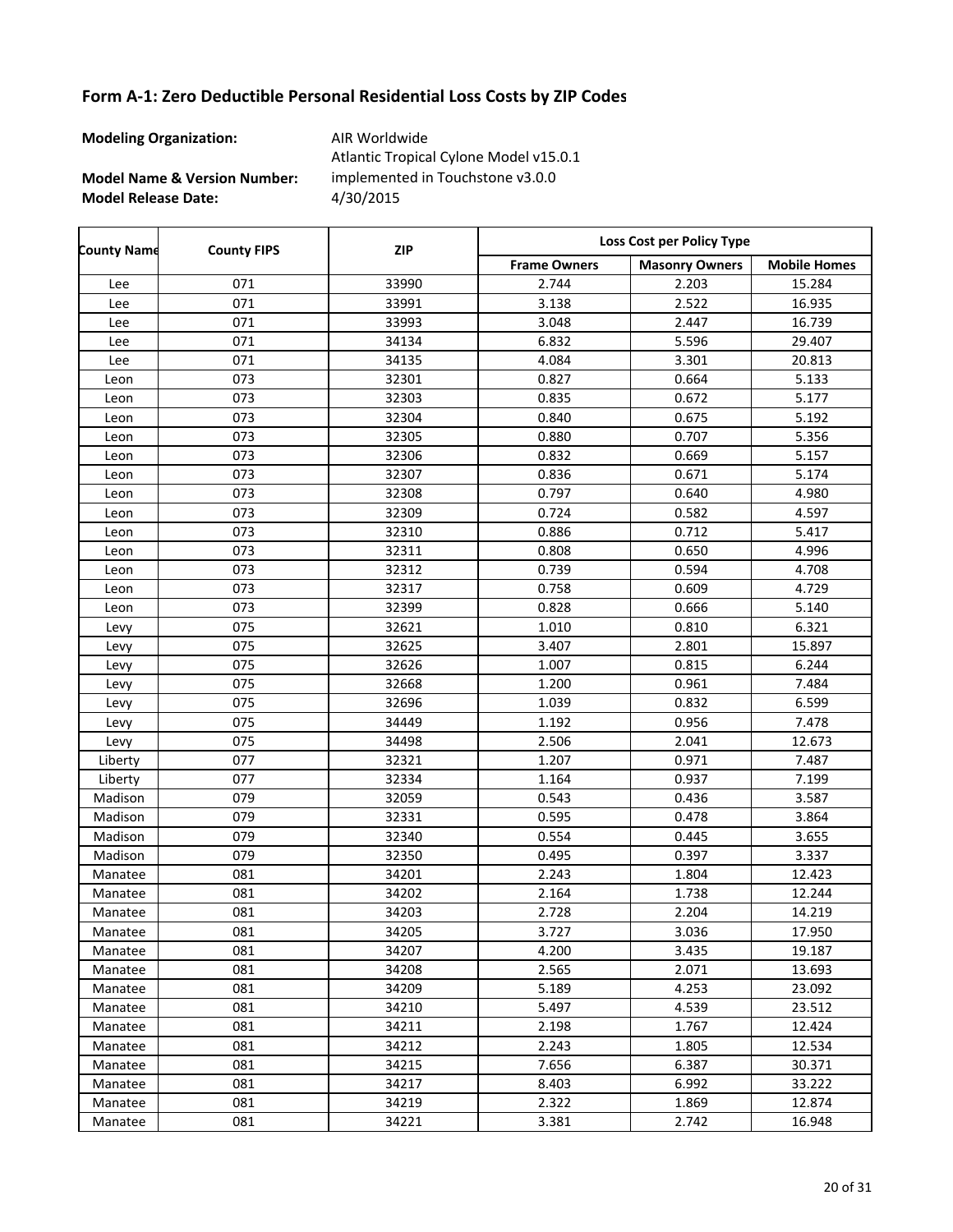**Modeling Organization:** AIR Worldwide

**Model Name & Version Number:**

**Model Release Date:** 4/30/2015 Atlantic Tropical Cylone Model v15.0.1 implemented in Touchstone v3.0.0

| <b>County Name</b> | <b>County FIPS</b> | <b>ZIP</b> | Loss Cost per Policy Type |                       |                     |  |
|--------------------|--------------------|------------|---------------------------|-----------------------|---------------------|--|
|                    |                    |            | <b>Frame Owners</b>       | <b>Masonry Owners</b> | <b>Mobile Homes</b> |  |
| Lee                | 071                | 33990      | 2.744                     | 2.203                 | 15.284              |  |
| Lee                | 071                | 33991      | 3.138                     | 2.522                 | 16.935              |  |
| Lee                | 071                | 33993      | 3.048                     | 2.447                 | 16.739              |  |
| Lee                | 071                | 34134      | 6.832                     | 5.596                 | 29.407              |  |
| Lee                | 071                | 34135      | 4.084                     | 3.301                 | 20.813              |  |
| Leon               | 073                | 32301      | 0.827                     | 0.664                 | 5.133               |  |
| Leon               | 073                | 32303      | 0.835                     | 0.672                 | 5.177               |  |
| Leon               | 073                | 32304      | 0.840                     | 0.675                 | 5.192               |  |
| Leon               | 073                | 32305      | 0.880                     | 0.707                 | 5.356               |  |
| Leon               | 073                | 32306      | 0.832                     | 0.669                 | 5.157               |  |
| Leon               | 073                | 32307      | 0.836                     | 0.671                 | 5.174               |  |
| Leon               | 073                | 32308      | 0.797                     | 0.640                 | 4.980               |  |
| Leon               | 073                | 32309      | 0.724                     | 0.582                 | 4.597               |  |
| Leon               | 073                | 32310      | 0.886                     | 0.712                 | 5.417               |  |
| Leon               | 073                | 32311      | 0.808                     | 0.650                 | 4.996               |  |
| Leon               | 073                | 32312      | 0.739                     | 0.594                 | 4.708               |  |
| Leon               | 073                | 32317      | 0.758                     | 0.609                 | 4.729               |  |
| Leon               | 073                | 32399      | 0.828                     | 0.666                 | 5.140               |  |
| Levy               | 075                | 32621      | 1.010                     | 0.810                 | 6.321               |  |
| Levy               | 075                | 32625      | 3.407                     | 2.801                 | 15.897              |  |
| Levy               | 075                | 32626      | 1.007                     | 0.815                 | 6.244               |  |
| Levy               | 075                | 32668      | 1.200                     | 0.961                 | 7.484               |  |
| Levy               | 075                | 32696      | 1.039                     | 0.832                 | 6.599               |  |
| Levy               | 075                | 34449      | 1.192                     | 0.956                 | 7.478               |  |
| Levy               | 075                | 34498      | 2.506                     | 2.041                 | 12.673              |  |
| Liberty            | 077                | 32321      | 1.207                     | 0.971                 | 7.487               |  |
| Liberty            | 077                | 32334      | 1.164                     | 0.937                 | 7.199               |  |
| Madison            | 079                | 32059      | 0.543                     | 0.436                 | 3.587               |  |
| Madison            | 079                | 32331      | 0.595                     | 0.478                 | 3.864               |  |
| Madison            | 079                | 32340      | 0.554                     | 0.445                 | 3.655               |  |
| Madison            | 079                | 32350      | 0.495                     | 0.397                 | 3.337               |  |
| Manatee            | 081                | 34201      | 2.243                     | 1.804                 | 12.423              |  |
| Manatee            | 081                | 34202      | 2.164                     | 1.738                 | 12.244              |  |
| Manatee            | 081                | 34203      | 2.728                     | 2.204                 | 14.219              |  |
| Manatee            | 081                | 34205      | 3.727                     | 3.036                 | 17.950              |  |
| Manatee            | 081                | 34207      | 4.200                     | 3.435                 | 19.187              |  |
| Manatee            | 081                | 34208      | 2.565                     | 2.071                 | 13.693              |  |
| Manatee            | 081                | 34209      | 5.189                     | 4.253                 | 23.092              |  |
| Manatee            | 081                | 34210      | 5.497                     | 4.539                 | 23.512              |  |
| Manatee            | 081                | 34211      | 2.198                     | 1.767                 | 12.424              |  |
| Manatee            | 081                | 34212      | 2.243                     | 1.805                 | 12.534              |  |
| Manatee            | 081                | 34215      | 7.656                     | 6.387                 | 30.371              |  |
| Manatee            | 081                | 34217      | 8.403                     | 6.992                 | 33.222              |  |
| Manatee            | 081                | 34219      | 2.322                     | 1.869                 | 12.874              |  |
| Manatee            | 081                | 34221      | 3.381                     | 2.742                 | 16.948              |  |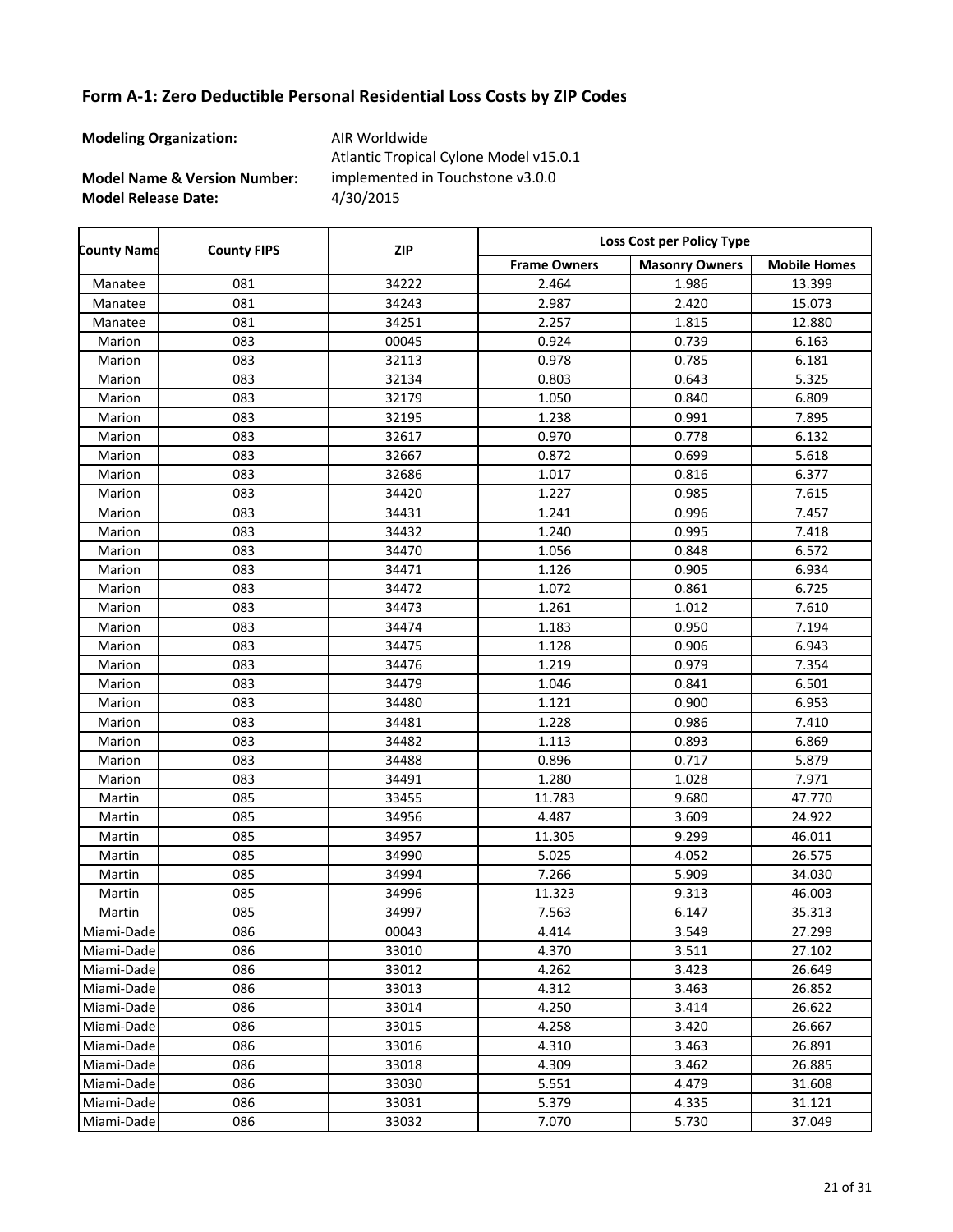**Modeling Organization:** AIR Worldwide

**Model Name & Version Number:**

**Model Release Date:** 4/30/2015 Atlantic Tropical Cylone Model v15.0.1 implemented in Touchstone v3.0.0

Frame Owners | Masonry Owners | Mobile Homes **County Name County FIPS Loss Cost per Policy Type ZIP** Manatee 081 34222 2.464 1.986 13.399 Manatee 081 34243 2.987 2.420 15.073 Manatee 081 34251 2.257 1.815 12.880 Marion | 083 | 00045 | 0.924 | 0.739 | 6.163 Marion | 083 | 32113 | 0.978 | 0.785 | 6.181 Marion | 083 | 32134 | 0.803 | 0.643 | 5.325 Marion | 083 | 32179 | 1.050 | 0.840 | 6.809 Marion | 083 | 32195 | 1.238 | 0.991 | 7.895 Marion | 083 | 32617 | 0.970 | 0.778 | 6.132 Marion | 083 | 32667 | 0.872 | 0.699 | 5.618 Marion 1.083 1.017 1.017 1.0816 5.377 Marion | 083 | 34420 | 1.227 | 0.985 | 7.615 Marion | 083 | 34431 | 1.241 | 0.996 | 7.457 Marion | 083 | 34432 | 1.240 | 0.995 | 7.418 Marion | 083 | 34470 | 1.056 | 0.848 | 6.572 Marion | 083 | 34471 | 1.126 | 0.905 | 6.934 Marion 1.072 1.072 1.0861 6.725 Marion 1.012 1.012 1.033 1 34473 1.261 1.012 7.610 Marion | 083 | 34474 | 1.183 | 0.950 | 7.194 Marion | 083 | 34475 | 1.128 | 0.906 | 6.943 Marion | 083 | 34476 | 1.219 | 0.979 | 7.354 Marion 1.083 1.046 1.046 0.841 6.501 Marion | 083 | 34480 | 1.121 | 0.900 | 6.953 Marion | 083 | 34481 | 1.228 | 0.986 | 7.410 Marion | 083 | 34482 | 1.113 | 0.893 | 6.869 Marion | 083 | 34488 | 0.896 | 0.717 | 5.879 Marion 1.028 1.028 1.028 1.0271 1.028 1.0271 Martin 085 33455 11.783 9.680 47.770 Martin 085 34956 4.487 3.609 24.922 Martin 085 34957 11.305 9.299 46.011 Martin 085 34990 5.025 4.052 26.575 Martin 085 34994 7.266 5.909 34.030 Martin 085 34996 11.323 9.313 46.003 Martin 085 34997 7.563 6.147 35.313 Miami-Dade 086 00043 4.414 3.549 27.299 Miami-Dade 086 33010 4.370 3.511 27.102 Miami-Dade 086 33012 4.262 3.423 26.649 Miami-Dade 086 33013 4.312 3.463 26.852 Miami-Dade 086 33014 4.250 3.414 26.622 Miami-Dade 086 33015 4.258 3.420 26.667 Miami-Dade 086 33016 4.310 3.463 26.891 Miami-Dade 086 33018 4.309 3.462 26.885 Miami-Dade 086 33030 5.551 4.479 31.608 Miami-Dade 086 33031 5.379 4.335 31.121 Miami-Dade 086 33032 7.070 5.730 37.049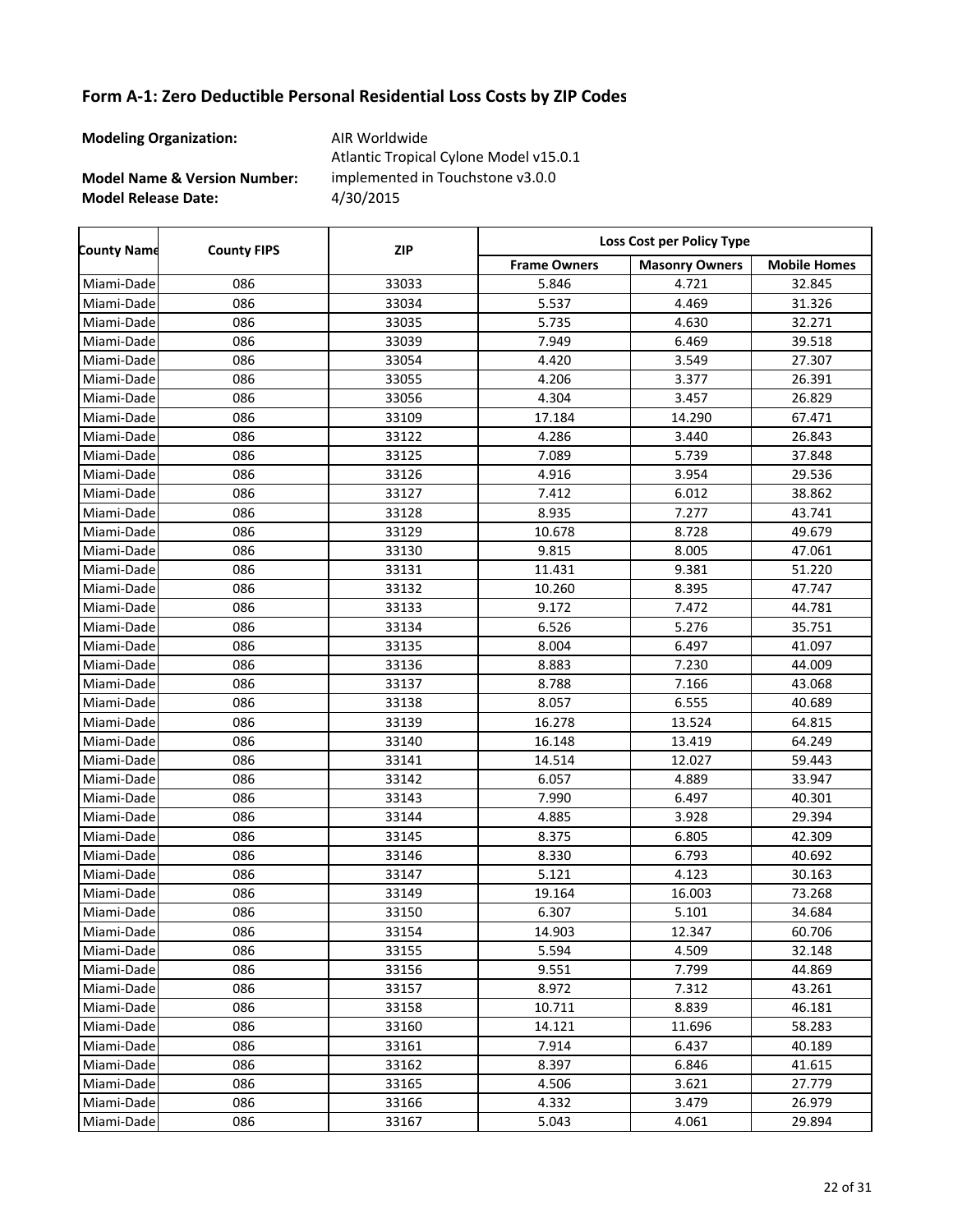**Modeling Organization:** AIR Worldwide

**Model Name & Version Number:**

**Model Release Date:** 4/30/2015 Atlantic Tropical Cylone Model v15.0.1 implemented in Touchstone v3.0.0

| <b>County Name</b> | <b>County FIPS</b> | <b>ZIP</b> | Loss Cost per Policy Type |                       |                     |  |
|--------------------|--------------------|------------|---------------------------|-----------------------|---------------------|--|
|                    |                    |            | <b>Frame Owners</b>       | <b>Masonry Owners</b> | <b>Mobile Homes</b> |  |
| Miami-Dade         | 086                | 33033      | 5.846                     | 4.721                 | 32.845              |  |
| Miami-Dade         | 086                | 33034      | 5.537                     | 4.469                 | 31.326              |  |
| Miami-Dade         | 086                | 33035      | 5.735                     | 4.630                 | 32.271              |  |
| Miami-Dade         | 086                | 33039      | 7.949                     | 6.469                 | 39.518              |  |
| Miami-Dade         | 086                | 33054      | 4.420                     | 3.549                 | 27.307              |  |
| Miami-Dade         | 086                | 33055      | 4.206                     | 3.377                 | 26.391              |  |
| Miami-Dade         | 086                | 33056      | 4.304                     | 3.457                 | 26.829              |  |
| Miami-Dade         | 086                | 33109      | 17.184                    | 14.290                | 67.471              |  |
| Miami-Dade         | 086                | 33122      | 4.286                     | 3.440                 | 26.843              |  |
| Miami-Dade         | 086                | 33125      | 7.089                     | 5.739                 | 37.848              |  |
| Miami-Dade         | 086                | 33126      | 4.916                     | 3.954                 | 29.536              |  |
| Miami-Dade         | 086                | 33127      | 7.412                     | 6.012                 | 38.862              |  |
| Miami-Dade         | 086                | 33128      | 8.935                     | 7.277                 | 43.741              |  |
| Miami-Dade         | 086                | 33129      | 10.678                    | 8.728                 | 49.679              |  |
| Miami-Dade         | 086                | 33130      | 9.815                     | 8.005                 | 47.061              |  |
| Miami-Dade         | 086                | 33131      | 11.431                    | 9.381                 | 51.220              |  |
| Miami-Dade         | 086                | 33132      | 10.260                    | 8.395                 | 47.747              |  |
| Miami-Dade         | 086                | 33133      | 9.172                     | 7.472                 | 44.781              |  |
| Miami-Dade         | 086                | 33134      | 6.526                     | 5.276                 | 35.751              |  |
| Miami-Dade         | 086                | 33135      | 8.004                     | 6.497                 | 41.097              |  |
| Miami-Dade         | 086                | 33136      | 8.883                     | 7.230                 | 44.009              |  |
| Miami-Dade         | 086                | 33137      | 8.788                     | 7.166                 | 43.068              |  |
| Miami-Dade         | 086                | 33138      | 8.057                     | 6.555                 | 40.689              |  |
| Miami-Dade         | 086                | 33139      | 16.278                    | 13.524                | 64.815              |  |
| Miami-Dade         | 086                | 33140      | 16.148                    | 13.419                | 64.249              |  |
| Miami-Dade         | 086                | 33141      | 14.514                    | 12.027                | 59.443              |  |
| Miami-Dade         | 086                | 33142      | 6.057                     | 4.889                 | 33.947              |  |
| Miami-Dade         | 086                | 33143      | 7.990                     | 6.497                 | 40.301              |  |
| Miami-Dade         | 086                | 33144      | 4.885                     | 3.928                 | 29.394              |  |
| Miami-Dade         | 086                | 33145      | 8.375                     | 6.805                 | 42.309              |  |
| Miami-Dade         | 086                | 33146      | 8.330                     | 6.793                 | 40.692              |  |
| Miami-Dade         | 086                | 33147      | 5.121                     | 4.123                 | 30.163              |  |
| Miami-Dade         | 086                | 33149      | 19.164                    | 16.003                | 73.268              |  |
| Miami-Dade         | 086                | 33150      | 6.307                     | 5.101                 | 34.684              |  |
| Miami-Dade         | 086                | 33154      | 14.903                    | 12.347                | 60.706              |  |
| Miami-Dade         | 086                | 33155      | 5.594                     | 4.509                 | 32.148              |  |
| Miami-Dade         | 086                | 33156      | 9.551                     | 7.799                 | 44.869              |  |
| Miami-Dade         | 086                | 33157      | 8.972                     | 7.312                 | 43.261              |  |
| Miami-Dade         | 086                | 33158      | 10.711                    | 8.839                 | 46.181              |  |
| Miami-Dade         | 086                | 33160      | 14.121                    | 11.696                | 58.283              |  |
| Miami-Dade         | 086                | 33161      | 7.914                     | 6.437                 | 40.189              |  |
| Miami-Dade         | 086                | 33162      | 8.397                     | 6.846                 | 41.615              |  |
| Miami-Dadel        | 086                | 33165      | 4.506                     | 3.621                 | 27.779              |  |
| Miami-Dade         | 086                | 33166      | 4.332                     | 3.479                 | 26.979              |  |
| Miami-Dade         | 086                | 33167      | 5.043                     | 4.061                 | 29.894              |  |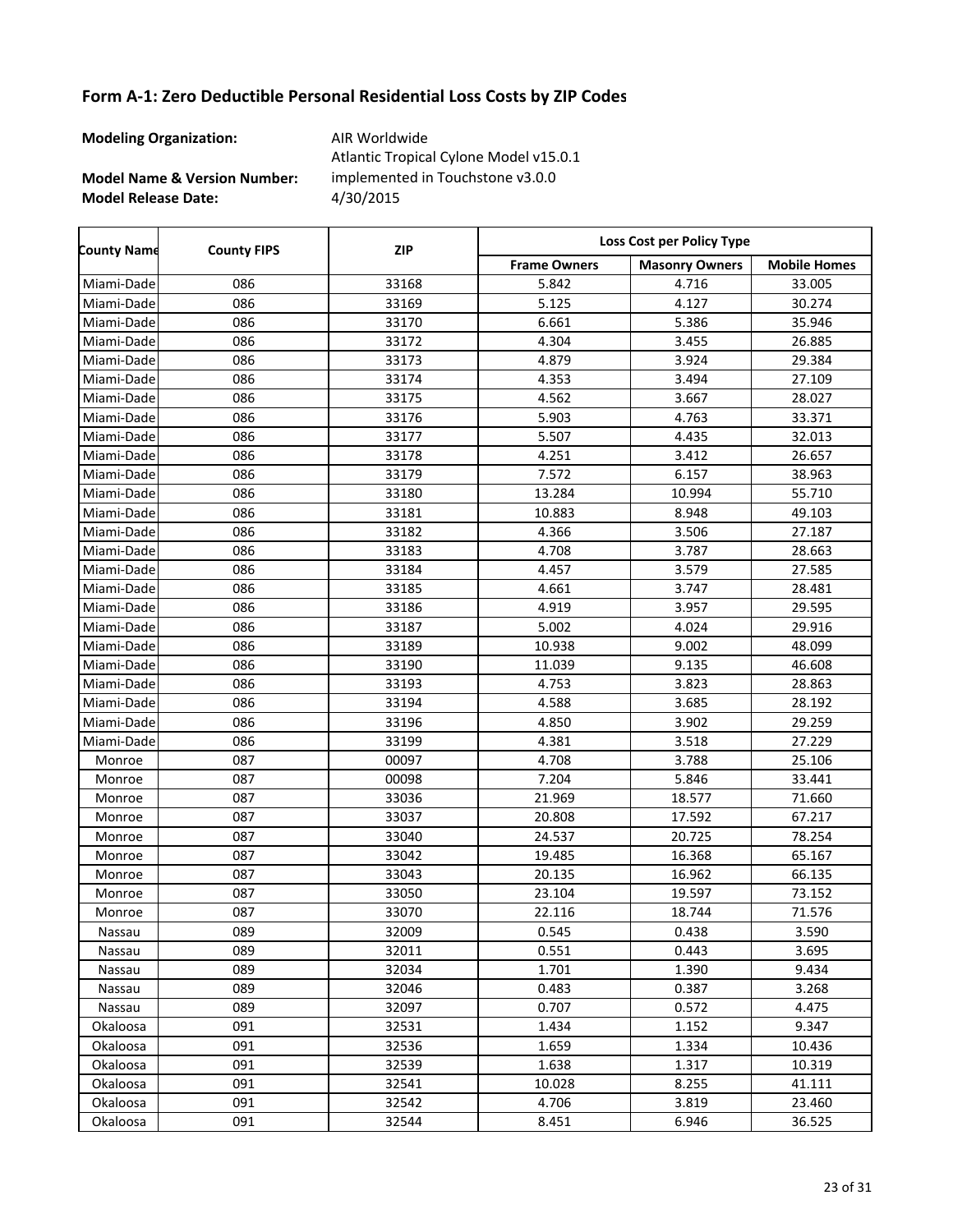**Modeling Organization:** AIR Worldwide

r

**Model Name & Version Number:**

**Model Release Date:** 4/30/2015 Atlantic Tropical Cylone Model v15.0.1 implemented in Touchstone v3.0.0

| <b>County Name</b> | <b>County FIPS</b> | <b>ZIP</b> | Loss Cost per Policy Type |                       |                     |  |
|--------------------|--------------------|------------|---------------------------|-----------------------|---------------------|--|
|                    |                    |            | <b>Frame Owners</b>       | <b>Masonry Owners</b> | <b>Mobile Homes</b> |  |
| Miami-Dade         | 086                | 33168      | 5.842                     | 4.716                 | 33.005              |  |
| Miami-Dade         | 086                | 33169      | 5.125                     | 4.127                 | 30.274              |  |
| Miami-Dade         | 086                | 33170      | 6.661                     | 5.386                 | 35.946              |  |
| Miami-Dade         | 086                | 33172      | 4.304                     | 3.455                 | 26.885              |  |
| Miami-Dade         | 086                | 33173      | 4.879                     | 3.924                 | 29.384              |  |
| Miami-Dade         | 086                | 33174      | 4.353                     | 3.494                 | 27.109              |  |
| Miami-Dade         | 086                | 33175      | 4.562                     | 3.667                 | 28.027              |  |
| Miami-Dade         | 086                | 33176      | 5.903                     | 4.763                 | 33.371              |  |
| Miami-Dade         | 086                | 33177      | 5.507                     | 4.435                 | 32.013              |  |
| Miami-Dade         | 086                | 33178      | 4.251                     | 3.412                 | 26.657              |  |
| Miami-Dade         | 086                | 33179      | 7.572                     | 6.157                 | 38.963              |  |
| Miami-Dade         | 086                | 33180      | 13.284                    | 10.994                | 55.710              |  |
| Miami-Dade         | 086                | 33181      | 10.883                    | 8.948                 | 49.103              |  |
| Miami-Dade         | 086                | 33182      | 4.366                     | 3.506                 | 27.187              |  |
| Miami-Dade         | 086                | 33183      | 4.708                     | 3.787                 | 28.663              |  |
| Miami-Dade         | 086                | 33184      | 4.457                     | 3.579                 | 27.585              |  |
| Miami-Dade         | 086                | 33185      | 4.661                     | 3.747                 | 28.481              |  |
| Miami-Dade         | 086                | 33186      | 4.919                     | 3.957                 | 29.595              |  |
| Miami-Dade         | 086                | 33187      | 5.002                     | 4.024                 | 29.916              |  |
| Miami-Dade         | 086                | 33189      | 10.938                    | 9.002                 | 48.099              |  |
| Miami-Dade         | 086                | 33190      | 11.039                    | 9.135                 | 46.608              |  |
| Miami-Dade         | 086                | 33193      | 4.753                     | 3.823                 | 28.863              |  |
| Miami-Dade         | 086                | 33194      | 4.588                     | 3.685                 | 28.192              |  |
| Miami-Dade         | 086                | 33196      | 4.850                     | 3.902                 | 29.259              |  |
| Miami-Dade         | 086                | 33199      | 4.381                     | 3.518                 | 27.229              |  |
| Monroe             | 087                | 00097      | 4.708                     | 3.788                 | 25.106              |  |
| Monroe             | 087                | 00098      | 7.204                     | 5.846                 | 33.441              |  |
| Monroe             | 087                | 33036      | 21.969                    | 18.577                | 71.660              |  |
| Monroe             | 087                | 33037      | 20.808                    | 17.592                | 67.217              |  |
| Monroe             | 087                | 33040      | 24.537                    | 20.725                | 78.254              |  |
| Monroe             | 087                | 33042      | 19.485                    | 16.368                | 65.167              |  |
| Monroe             | 087                | 33043      | 20.135                    | 16.962                | 66.135              |  |
| Monroe             | 087                | 33050      | 23.104                    | 19.597                | 73.152              |  |
| Monroe             | 087                | 33070      | 22.116                    | 18.744                | 71.576              |  |
| Nassau             | 089                | 32009      | 0.545                     | 0.438                 | 3.590               |  |
| Nassau             | 089                | 32011      | 0.551                     | 0.443                 | 3.695               |  |
| Nassau             | 089                | 32034      | 1.701                     | 1.390                 | 9.434               |  |
| Nassau             | 089                | 32046      | 0.483                     | 0.387                 | 3.268               |  |
| Nassau             | 089                | 32097      | 0.707                     | 0.572                 | 4.475               |  |
| Okaloosa           | 091                | 32531      | 1.434                     | 1.152                 | 9.347               |  |
| Okaloosa           | 091                | 32536      | 1.659                     | 1.334                 | 10.436              |  |
| Okaloosa           | 091                | 32539      | 1.638                     | 1.317                 | 10.319              |  |
| Okaloosa           | 091                | 32541      | 10.028                    | 8.255                 | 41.111              |  |
| Okaloosa           | 091                | 32542      | 4.706                     | 3.819                 | 23.460              |  |
| Okaloosa           | 091                | 32544      | 8.451                     | 6.946                 | 36.525              |  |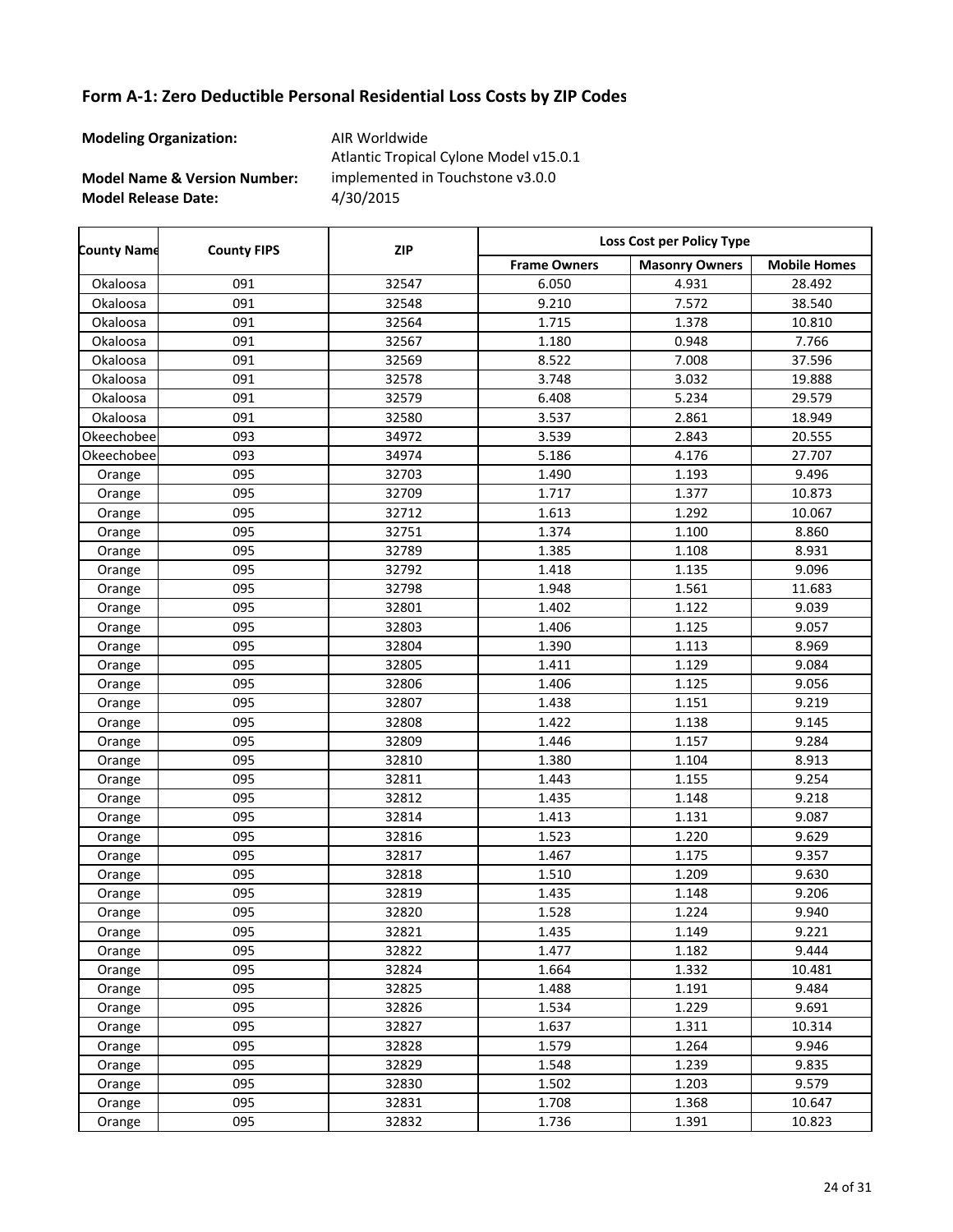**Modeling Organization:** AIR Worldwide

**Model Name & Version Number:**

**Model Release Date:** 4/30/2015 Atlantic Tropical Cylone Model v15.0.1 implemented in Touchstone v3.0.0

Frame Owners | Masonry Owners | Mobile Homes **County Name County FIPS Loss Cost per Policy Type ZIP** Okaloosa 091 32547 6.050 4.931 28.492 Okaloosa 091 32548 9.210 7.572 38.540 Okaloosa 091 32564 1.715 1.378 10.810 Okaloosa 091 32567 1.180 0.948 7.766 Okaloosa 091 32569 8.522 7.008 37.596 Okaloosa 091 32578 3.748 3.032 19.888 Okaloosa 091 32579 6.408 5.234 29.579 Okaloosa 091 32580 3.537 2.861 18.949 Okeechobee 093 34972 3.539 2.843 20.555 Okeechobee 093 34974 5.186 4.176 27.707 Orange | 095 | 32703 | 1.490 | 1.193 | 9.496 Orange 1 095 10.873 1.717 1.377 10.873 Orange 1 095 10.067 32712 1.613 1.292 10.067 Orange 1 095 1.32751 1.374 1.300 8.860 Orange | 095 | 32789 | 1.385 | 1.108 | 8.931 Orange 1 095 1.32792 1.418 1.135 9.096 Orange 1 095 1.92798 1.948 1.561 11.683 Orange 1 095 1.32801 1.402 1.122 9.039 Orange 1 095 1.32803 1 1.406 1.125 9.057 Orange | 095 | 32804 | 1.390 | 1.113 | 8.969 Orange | 095 | 32805 | 1.411 | 1.129 | 9.084 Orange 1 095 1.32806 1 1.406 1.125 9.056 Orange | 095 | 32807 | 1.438 | 1.151 | 9.219 Orange | 095 | 32808 | 1.422 | 1.138 | 9.145 Orange 1 095 1.32809 1 1.446 1.157 1.3884 Orange | 095 | 32810 | 1.380 | 1.104 | 8.913 Orange 1 095 1.32811 1.443 1.155 9.254 Orange 1 095 1.32812 1.435 1.148 9.218 Orange 1 095 1.32814 1.413 1.131 9.087 Orange 1 095 1.523 1.220 9.629 Orange 1 095 1.32817 1.467 1.175 1.357 Orange 1 095 1.518 1.510 1.209 9.630 Orange 1 095 1.32819 1.435 1.148 9.206 Orange 1 095 1.528 1.528 1.224 9.940 Orange 1 095 1.32821 1.435 1.149 9.221 Orange 1 095 1.32822 1.477 1.182 1.182 9.444 Orange 1 095 10.481 32824 1.664 1.332 10.481 Orange | 095 | 32825 | 1.488 | 1.191 | 9.484 Orange 1 095 1.52826 1 1.534 1.229 1.229 9.691 Orange 1 095 1.62827 1.637 1.311 10.314 Orange 1 095 1.264 1.579 1.264 9.946 Orange 1 095 1.548 1.239 9.835 Orange | 095 | 32830 | 1.502 | 1.203 | 9.579 Orange 1.095 10.647 32831 1.708 1.368 10.647 Orange 1 095 10.823 1.736 1.391 10.823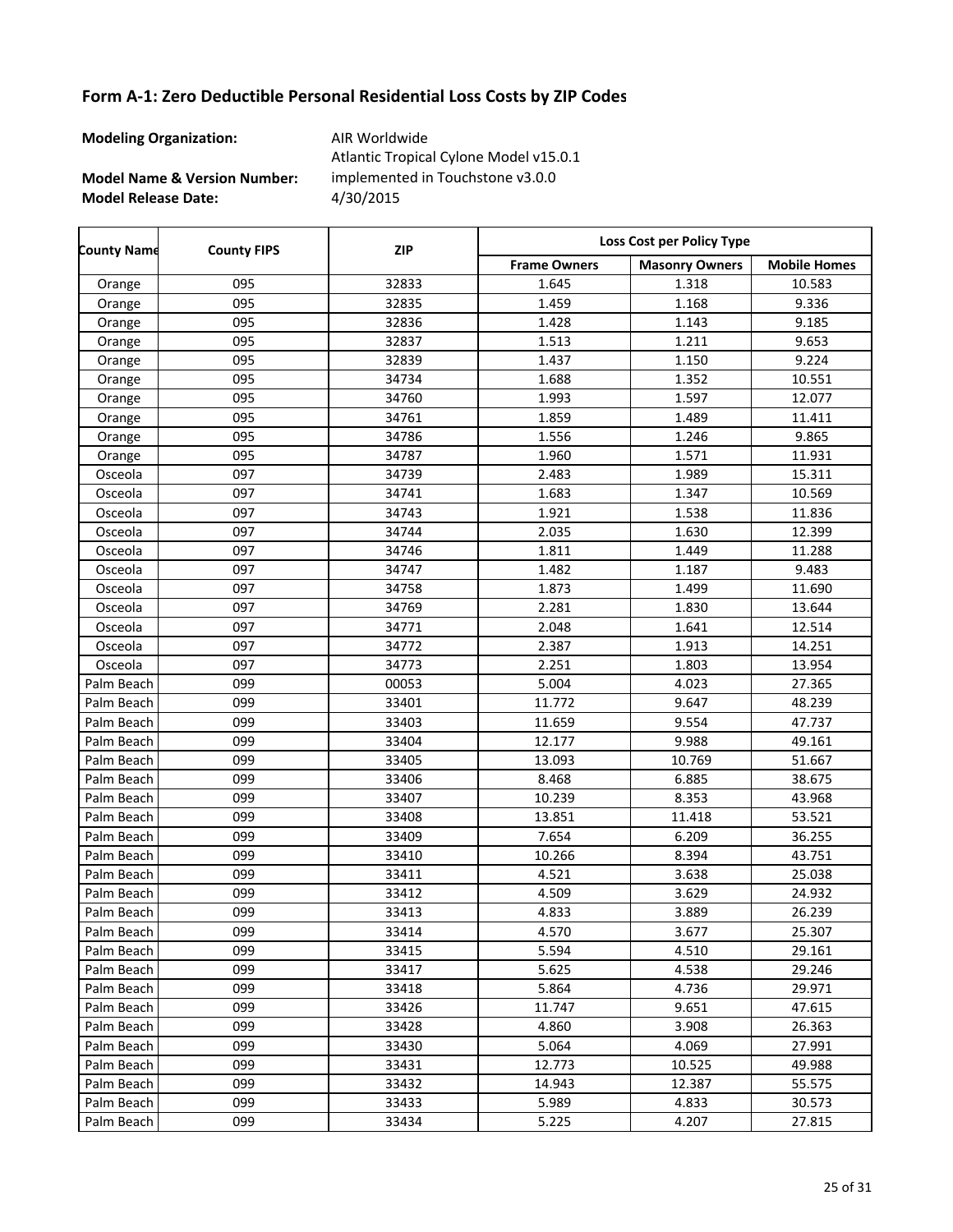**Modeling Organization:** AIR Worldwide

**Model Name & Version Number:**

**Model Release Date:** 4/30/2015 Atlantic Tropical Cylone Model v15.0.1 implemented in Touchstone v3.0.0

Frame Owners | Masonry Owners | Mobile Homes **County Name County FIPS Loss Cost per Policy Type ZIP** Orange 1 095 1.6233 1.645 1.318 10.583 Orange 1 095 1.32835 1 1.459 1.168 1.336 Orange 1 095 1.32836 1 1.428 1.143 1.143 9.185 Orange 1 095 1.32837 1.513 1.211 9.653 Orange | 095 | 32839 | 1.437 | 1.150 | 9.224 Orange 1 095 10.551 34734 1.688 1.352 10.551 Orange 1 095 12.077 1.993 1.597 12.077 Orange 1 095 11.411 34761 1.859 1.489 11.411 Orange 1 095 1.34786 1 1.556 1.246 1.246 9.865 Orange 1 095 1.987 1.960 1.571 11.931 Osceola 097 34739 2.483 1.989 15.311 Osceola 097 34741 1.683 1.347 10.569 Osceola 097 34743 1.921 1.538 11.836 Osceola 097 34744 2.035 1.630 12.399 Osceola 097 34746 1.811 1.449 11.288 Osceola | 097 | 34747 | 1.482 | 1.187 | 9.483 Osceola 097 34758 1.873 1.499 11.690 Osceola 097 34769 2.281 1.830 13.644 Osceola 097 34771 2.048 1.641 12.514 Osceola 097 34772 2.387 1.913 14.251 Osceola 097 34773 2.251 1.803 13.954 Palm Beach 099 00053 5.004 4.023 27.365 Palm Beach 099 33401 11.772 9.647 48.239 Palm Beach 099 33403 11.659 9.554 47.737 Palm Beach 099 33404 12.177 9.988 49.161 Palm Beach | 099 | 33405 | 13.093 | 10.769 | 51.667 Palm Beach 099 33406 | 8.468 | 6.885 | 38.675 Palm Beach 099 33407 10.239 8.353 43.968 Palm Beach 099 33408 13.851 11.418 53.521 Palm Beach 099 33409 7.654 6.209 36.255 Palm Beach 099 33410 10.266 8.394 43.751 Palm Beach 099 33411 4.521 3.638 25.038 Palm Beach 099 33412 4.509 3.629 24.932 Palm Beach | 099 | 33413 | 4.833 | 3.889 | 26.239 Palm Beach 099 33414 4.570 3.677 25.307 Palm Beach 099 33415 5.594 4.510 29.161 Palm Beach | 099 | 33417 | 5.625 | 4.538 | 29.246 Palm Beach 099 33418 5.864 4.736 29.971 Palm Beach 099 33426 11.747 9.651 47.615 Palm Beach 099 33428 4.860 3.908 26.363 Palm Beach | 099 | 33430 | 5.064 | 4.069 | 27.991 Palm Beach | 099 | 33431 | 12.773 | 10.525 | 49.988 Palm Beach 099 33432 14.943 12.387 55.575 Palm Beach | 099 | 33433 | 5.989 | 4.833 | 30.573 Palm Beach 099 33434 | 5.225 | 4.207 | 27.815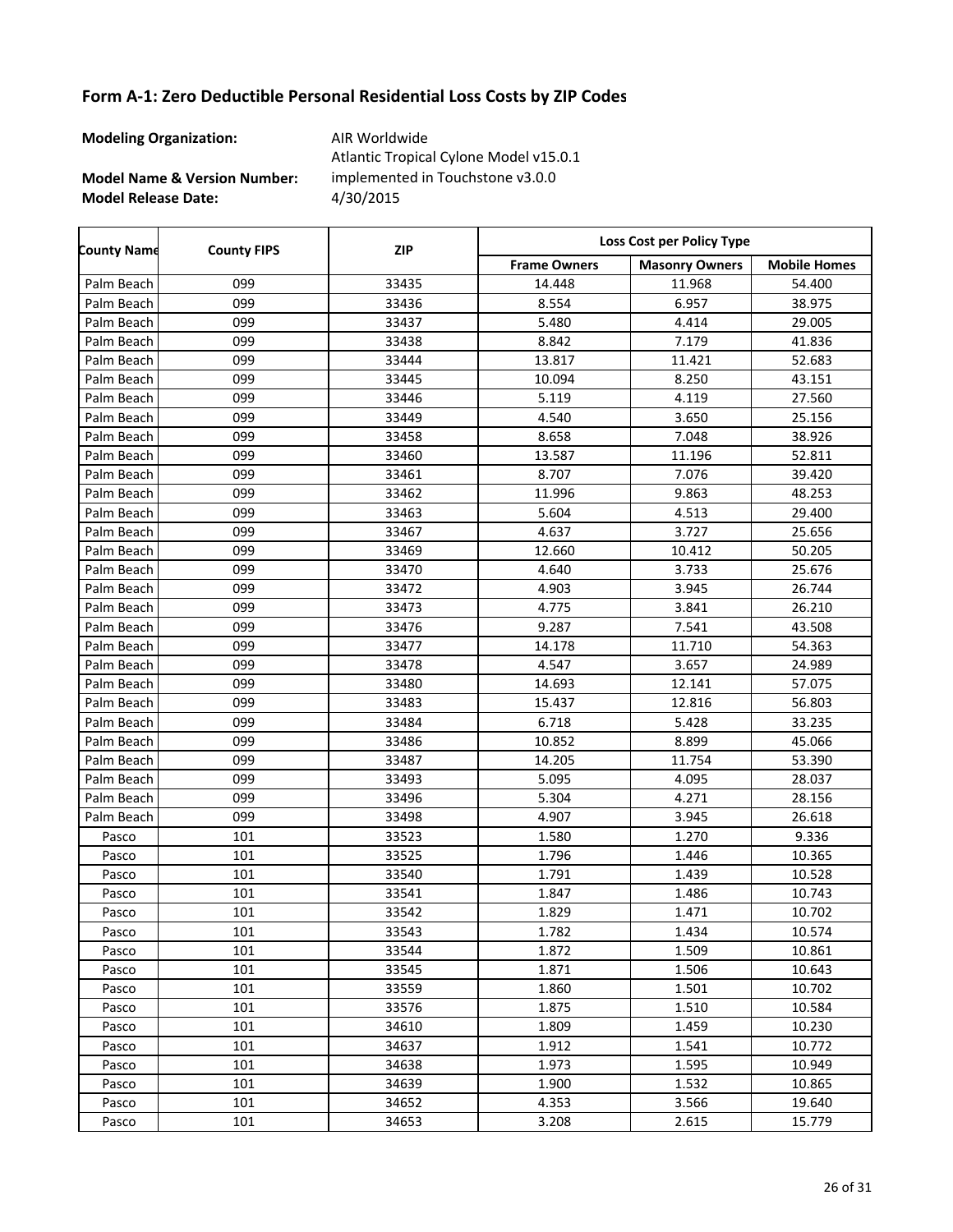**Modeling Organization:** AIR Worldwide

**Model Name & Version Number:**

**Model Release Date:** 4/30/2015 Atlantic Tropical Cylone Model v15.0.1 implemented in Touchstone v3.0.0

| <b>County Name</b> | <b>County FIPS</b> | <b>ZIP</b> | <b>Loss Cost per Policy Type</b> |                       |                     |
|--------------------|--------------------|------------|----------------------------------|-----------------------|---------------------|
|                    |                    |            | <b>Frame Owners</b>              | <b>Masonry Owners</b> | <b>Mobile Homes</b> |
| Palm Beach         | 099                | 33435      | 14.448                           | 11.968                | 54.400              |
| Palm Beach         | 099                | 33436      | 8.554                            | 6.957                 | 38.975              |
| Palm Beach         | 099                | 33437      | 5.480                            | 4.414                 | 29.005              |
| Palm Beach         | 099                | 33438      | 8.842                            | 7.179                 | 41.836              |
| Palm Beach         | 099                | 33444      | 13.817                           | 11.421                | 52.683              |
| Palm Beach         | 099                | 33445      | 10.094                           | 8.250                 | 43.151              |
| Palm Beach         | 099                | 33446      | 5.119                            | 4.119                 | 27.560              |
| Palm Beach         | 099                | 33449      | 4.540                            | 3.650                 | 25.156              |
| Palm Beach         | 099                | 33458      | 8.658                            | 7.048                 | 38.926              |
| Palm Beach         | 099                | 33460      | 13.587                           | 11.196                | 52.811              |
| Palm Beach         | 099                | 33461      | 8.707                            | 7.076                 | 39.420              |
| Palm Beach         | 099                | 33462      | 11.996                           | 9.863                 | 48.253              |
| Palm Beach         | 099                | 33463      | 5.604                            | 4.513                 | 29.400              |
| Palm Beach         | 099                | 33467      | 4.637                            | 3.727                 | 25.656              |
| Palm Beach         | 099                | 33469      | 12.660                           | 10.412                | 50.205              |
| Palm Beach         | 099                | 33470      | 4.640                            | 3.733                 | 25.676              |
| Palm Beach         | 099                | 33472      | 4.903                            | 3.945                 | 26.744              |
| Palm Beach         | 099                | 33473      | 4.775                            | 3.841                 | 26.210              |
| Palm Beach         | 099                | 33476      | 9.287                            | 7.541                 | 43.508              |
| Palm Beach         | 099                | 33477      | 14.178                           | 11.710                | 54.363              |
| Palm Beach         | 099                | 33478      | 4.547                            | 3.657                 | 24.989              |
| Palm Beach         | 099                | 33480      | 14.693                           | 12.141                | 57.075              |
| Palm Beach         | 099                | 33483      | 15.437                           | 12.816                | 56.803              |
| Palm Beach         | 099                | 33484      | 6.718                            | 5.428                 | 33.235              |
| Palm Beach         | 099                | 33486      | 10.852                           | 8.899                 | 45.066              |
| Palm Beach         | 099                | 33487      | 14.205                           | 11.754                | 53.390              |
| Palm Beach         | 099                | 33493      | 5.095                            | 4.095                 | 28.037              |
| Palm Beach         | 099                | 33496      | 5.304                            | 4.271                 | 28.156              |
| Palm Beach         | 099                | 33498      | 4.907                            | 3.945                 | 26.618              |
| Pasco              | 101                | 33523      | 1.580                            | 1.270                 | 9.336               |
| Pasco              | 101                | 33525      | 1.796                            | 1.446                 | 10.365              |
| Pasco              | 101                | 33540      | 1.791                            | 1.439                 | 10.528              |
| Pasco              | 101                | 33541      | 1.847                            | 1.486                 | 10.743              |
| Pasco              | 101                | 33542      | 1.829                            | 1.471                 | 10.702              |
| Pasco              | 101                | 33543      | 1.782                            | 1.434                 | 10.574              |
| Pasco              | 101                | 33544      | 1.872                            | 1.509                 | 10.861              |
| Pasco              | 101                | 33545      | 1.871                            | 1.506                 | 10.643              |
| Pasco              | 101                | 33559      | 1.860                            | 1.501                 | 10.702              |
| Pasco              | 101                | 33576      | 1.875                            | 1.510                 | 10.584              |
| Pasco              | 101                | 34610      | 1.809                            | 1.459                 | 10.230              |
| Pasco              | 101                | 34637      | 1.912                            | 1.541                 | 10.772              |
| Pasco              | 101                | 34638      | 1.973                            | 1.595                 | 10.949              |
| Pasco              | 101                | 34639      | 1.900                            | 1.532                 | 10.865              |
| Pasco              | 101                | 34652      | 4.353                            | 3.566                 | 19.640              |
| Pasco              | 101                | 34653      | 3.208                            | 2.615                 | 15.779              |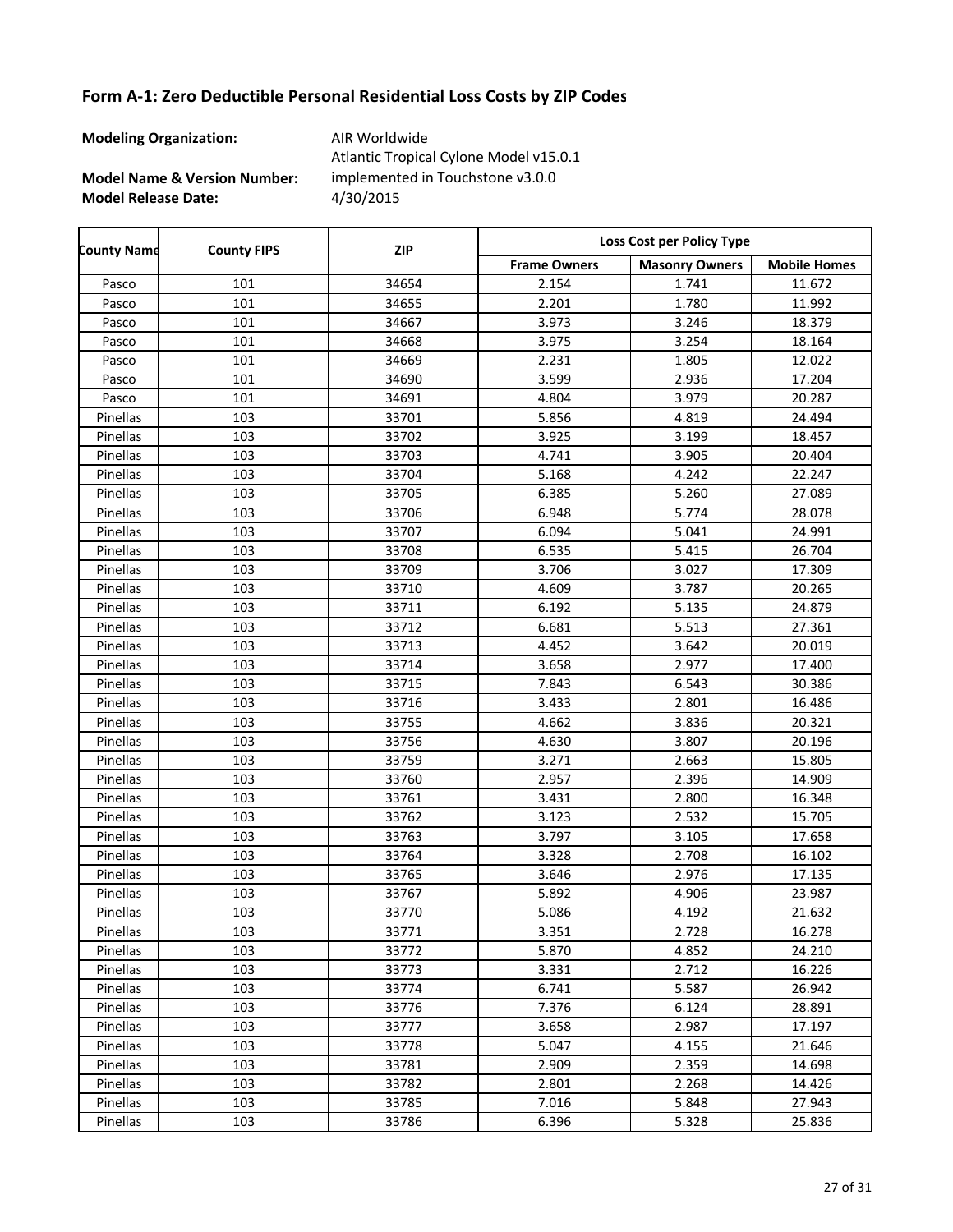**Modeling Organization:** AIR Worldwide

**Model Name & Version Number:**

**Model Release Date:** 4/30/2015 Atlantic Tropical Cylone Model v15.0.1 implemented in Touchstone v3.0.0

Frame Owners | Masonry Owners | Mobile Homes **County Name County FIPS Loss Cost per Policy Type ZIP** Pasco | 101 | 34654 | 2.154 | 1.741 | 11.672 Pasco | 101 | 34655 | 2.201 | 1.780 | 11.992 Pasco | 101 | 34667 | 3.973 | 3.246 | 18.379 Pasco | 101 | 34668 | 3.975 | 3.254 | 18.164 Pasco | 101 1034669 | 2.231 | 1.805 | 12.022 Pasco | 101 | 34690 | 3.599 | 2.936 | 17.204 Pasco | 101 | 34691 | 4.804 | 3.979 | 20.287 Pinellas 103 103 33701 5.856 4.819 24.494 Pinellas 103 103 33702 3.925 3.925 3.199 18.457 Pinellas | 103 | 33703 | 4.741 | 3.905 | 20.404 Pinellas 103 103 33704 5.168 4.242 22.247 Pinellas 103 103 33705 6.385 5.260 27.089 Pinellas 103 103 33706 6.948 5.774 28.078 Pinellas 103 103 33707 6.094 5.041 24.991 Pinellas 103 103 33708 6.535 5.415 26.704 Pinellas 103 103 33709 3.706 3.027 17.309 Pinellas 103 103 33710 4.609 3.787 20.265 Pinellas 103 103 33711 6.192 5.135 24.879 Pinellas 103 103 33712 6.681 5.513 27.361 Pinellas 103 103 33713 4.452 3.642 20.019 Pinellas 103 103 33714 3.658 2.977 17.400 Pinellas 103 103 33715 7.843 6.543 30.386 Pinellas 103 103 33716 3.433 2.801 2.801 36.486 Pinellas 103 103 33755 4.662 3.836 20.321 Pinellas 103 103 33756 4.630 3.807 20.196 Pinellas 103 103 33759 3.271 2.663 15.805 Pinellas 103 103 33760 2.957 2.396 14.909 Pinellas 103 103 33761 3.431 2.800 16.348 Pinellas 103 103 33762 3.123 2.532 15.705 Pinellas 103 103 33763 33763 3.797 3.105 3.105 3.797 Pinellas 103 103 33764 3.328 2.708 16.102 Pinellas 103 103 33765 3.646 2.976 17.135 Pinellas 103 103 33767 1 5.892 4.906 23.987 Pinellas 103 103 33770 5.086 4.192 21.632 Pinellas 103 103 33771 3.351 2.728 16.278 Pinellas 103 103 33772 5.870 4.852 24.210 Pinellas 103 103 33773 3331 2.712 16.226 Pinellas 103 103 33774 6.741 5.587 26.942 Pinellas 103 103 33776 7.376 6.124 28.891 Pinellas 103 103 33777 1 3.658 2.987 17.197 Pinellas 103 103 33778 5.047 4.155 21.646 Pinellas 103 103 33781 2.909 2.359 14.698 Pinellas 103 103 33782 2.801 2.268 14.426 Pinellas 103 103 33785 7.016 5.848 27.943 Pinellas 103 103 33786 6.396 5.328 25.836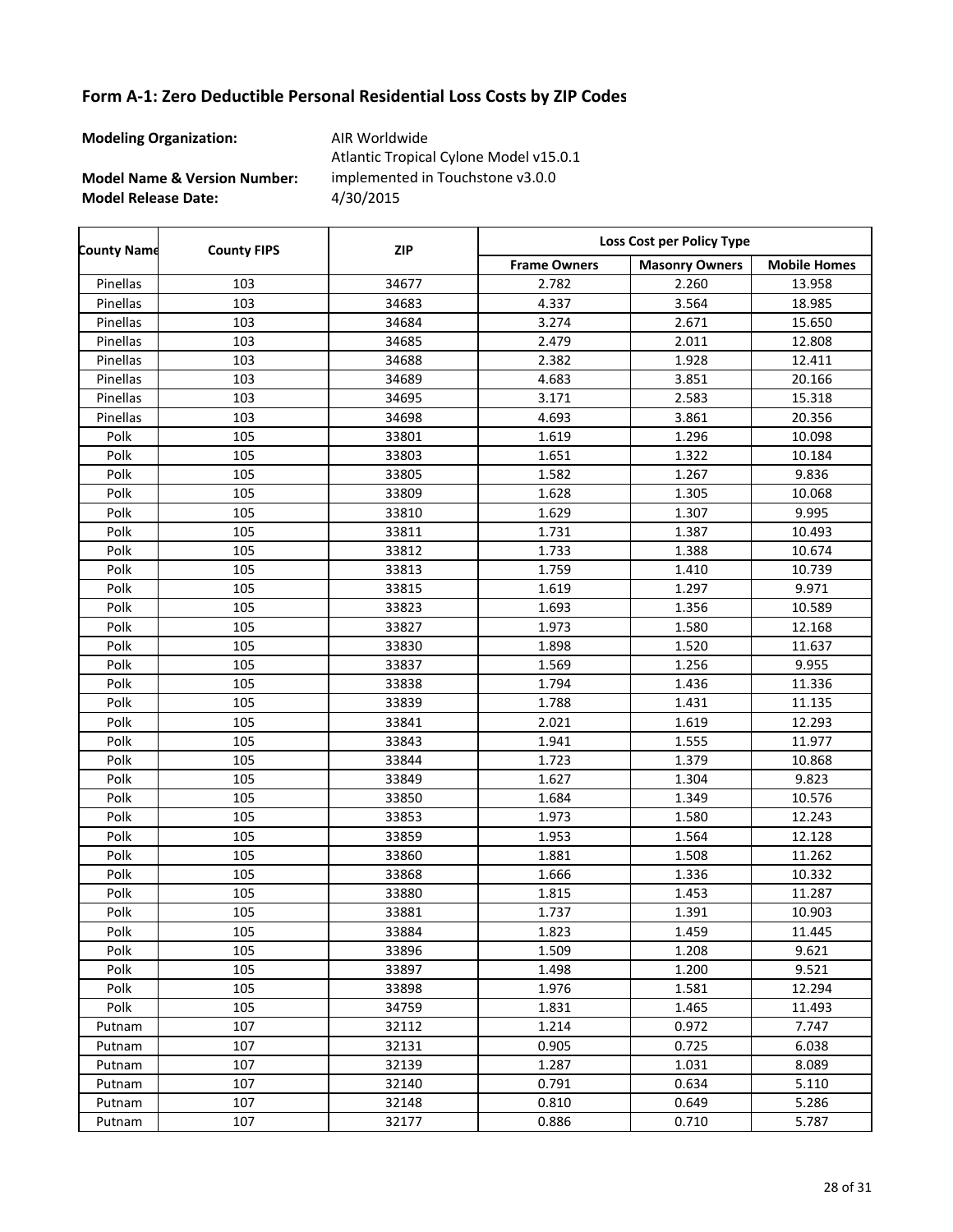**Modeling Organization:** AIR Worldwide

**Model Name & Version Number:**

**Model Release Date:** 4/30/2015 Atlantic Tropical Cylone Model v15.0.1 implemented in Touchstone v3.0.0

| <b>County Name</b> | <b>County FIPS</b> | <b>ZIP</b> | Loss Cost per Policy Type |                       |                     |  |
|--------------------|--------------------|------------|---------------------------|-----------------------|---------------------|--|
|                    |                    |            | <b>Frame Owners</b>       | <b>Masonry Owners</b> | <b>Mobile Homes</b> |  |
| Pinellas           | 103                | 34677      | 2.782                     | 2.260                 | 13.958              |  |
| Pinellas           | 103                | 34683      | 4.337                     | 3.564                 | 18.985              |  |
| Pinellas           | 103                | 34684      | 3.274                     | 2.671                 | 15.650              |  |
| Pinellas           | 103                | 34685      | 2.479                     | 2.011                 | 12.808              |  |
| Pinellas           | 103                | 34688      | 2.382                     | 1.928                 | 12.411              |  |
| Pinellas           | 103                | 34689      | 4.683                     | 3.851                 | 20.166              |  |
| Pinellas           | 103                | 34695      | 3.171                     | 2.583                 | 15.318              |  |
| Pinellas           | 103                | 34698      | 4.693                     | 3.861                 | 20.356              |  |
| Polk               | 105                | 33801      | 1.619                     | 1.296                 | 10.098              |  |
| Polk               | 105                | 33803      | 1.651                     | 1.322                 | 10.184              |  |
| Polk               | 105                | 33805      | 1.582                     | 1.267                 | 9.836               |  |
| Polk               | 105                | 33809      | 1.628                     | 1.305                 | 10.068              |  |
| Polk               | 105                | 33810      | 1.629                     | 1.307                 | 9.995               |  |
| Polk               | 105                | 33811      | 1.731                     | 1.387                 | 10.493              |  |
| Polk               | 105                | 33812      | 1.733                     | 1.388                 | 10.674              |  |
| Polk               | 105                | 33813      | 1.759                     | 1.410                 | 10.739              |  |
| Polk               | 105                | 33815      | 1.619                     | 1.297                 | 9.971               |  |
| Polk               | 105                | 33823      | 1.693                     | 1.356                 | 10.589              |  |
| Polk               | 105                | 33827      | 1.973                     | 1.580                 | 12.168              |  |
| Polk               | 105                | 33830      | 1.898                     | 1.520                 | 11.637              |  |
| Polk               | 105                | 33837      | 1.569                     | 1.256                 | 9.955               |  |
| Polk               | 105                | 33838      | 1.794                     | 1.436                 | 11.336              |  |
| Polk               | 105                | 33839      | 1.788                     | 1.431                 | 11.135              |  |
| Polk               | 105                | 33841      | 2.021                     | 1.619                 | 12.293              |  |
| Polk               | 105                | 33843      | 1.941                     | 1.555                 | 11.977              |  |
| Polk               | 105                | 33844      | 1.723                     | 1.379                 | 10.868              |  |
| Polk               | 105                | 33849      | 1.627                     | 1.304                 | 9.823               |  |
| Polk               | 105                | 33850      | 1.684                     | 1.349                 | 10.576              |  |
| Polk               | 105                | 33853      | 1.973                     | 1.580                 | 12.243              |  |
| Polk               | 105                | 33859      | 1.953                     | 1.564                 | 12.128              |  |
| Polk               | 105                | 33860      | 1.881                     | 1.508                 | 11.262              |  |
| Polk               | 105                | 33868      | 1.666                     | 1.336                 | 10.332              |  |
| Polk               | 105                | 33880      | 1.815                     | 1.453                 | 11.287              |  |
| Polk               | 105                | 33881      | 1.737                     | 1.391                 | 10.903              |  |
| Polk               | 105                | 33884      | 1.823                     | 1.459                 | 11.445              |  |
| Polk               | 105                | 33896      | 1.509                     | 1.208                 | 9.621               |  |
| Polk               | 105                | 33897      | 1.498                     | 1.200                 | 9.521               |  |
| Polk               | 105                | 33898      | 1.976                     | 1.581                 | 12.294              |  |
| Polk               | 105                | 34759      | 1.831                     | 1.465                 | 11.493              |  |
| Putnam             | 107                | 32112      | 1.214                     | 0.972                 | 7.747               |  |
| Putnam             | 107                | 32131      | 0.905                     | 0.725                 | 6.038               |  |
| Putnam             | 107                | 32139      | 1.287                     | 1.031                 | 8.089               |  |
| Putnam             | 107                | 32140      | 0.791                     | 0.634                 | 5.110               |  |
| Putnam             | 107                | 32148      | 0.810                     | 0.649                 | 5.286               |  |
| Putnam             | 107                | 32177      | 0.886                     | 0.710                 | 5.787               |  |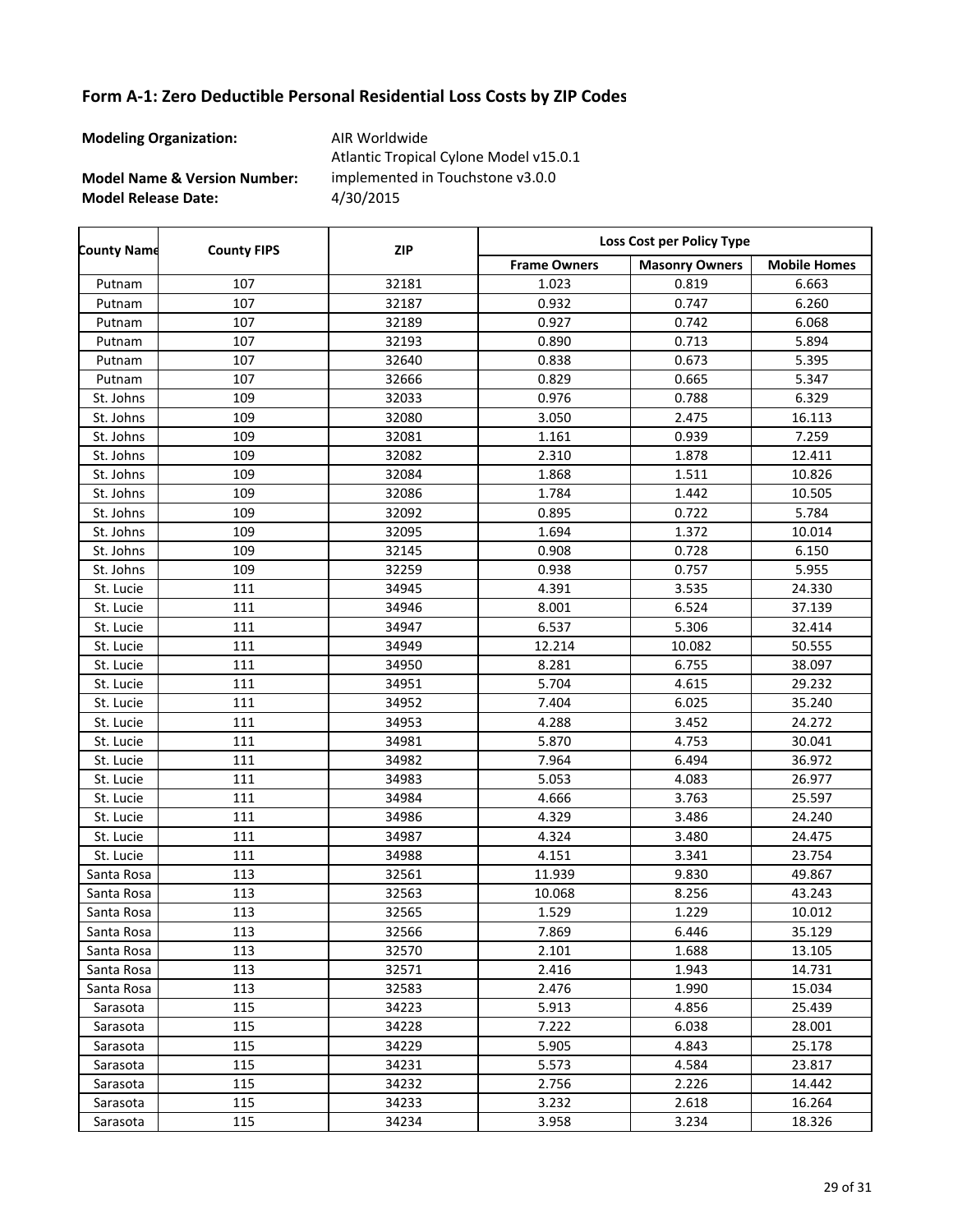**Modeling Organization:** AIR Worldwide

**Model Name & Version Number:**

**Model Release Date:** 4/30/2015 Atlantic Tropical Cylone Model v15.0.1 implemented in Touchstone v3.0.0

Frame Owners | Masonry Owners | Mobile Homes **County Name County FIPS Loss Cost per Policy Type ZIP** Putnam | 107 | 32181 | 1.023 | 0.819 | 6.663 Putnam | 107 | 32187 | 0.932 | 0.747 | 6.260 Putnam | 107 | 32189 | 0.927 | 0.742 | 6.068 Putnam | 107 | 32193 | 0.890 | 0.713 | 5.894 Putnam | 107 | 32640 | 0.838 | 0.673 | 5.395 Putnam | 107 | 32666 | 0.829 | 0.665 | 5.347 St. Johns | 109 | 32033 | 0.976 | 0.788 | 6.329 St. Johns 109 109 32080 3.050 2.475 16.113 St. Johns | 109 | 32081 | 1.161 | 0.939 | 7.259 St. Johns 109 109 32082 2.310 1.878 12.411 St. Johns 109 10.826 1.868 1.511 10.826 St. Johns 109 109 32086 1.784 1.442 10.505 St. Johns | 109 | 32092 | 0.895 | 0.722 | 5.784 St. Johns 109 109 32095 1.694 1.372 10.014 St. Johns | 109 | 32145 | 0.908 | 0.728 | 6.150 St. Johns | 109 | 32259 | 0.938 | 0.757 | 5.955 St. Lucie 111 11 34945 4.391 3.535 3.5330 24.330 St. Lucie | 111 | 34946 | 8.001 | 6.524 | 37.139 St. Lucie 111 11 34947 6.537 5.306 32.414 St. Lucie | 111 | 34949 | 12.214 | 10.082 | 50.555 St. Lucie | 111 | 34950 | 8.281 | 6.755 | 38.097 St. Lucie 111 34951 5.704 4.615 29.232 St. Lucie 111 34952 7.404 6.025 35.240 St. Lucie | 111 | 34953 | 4.288 | 3.452 | 24.272 St. Lucie 111 11 34981 5.870 4.753 30.041 St. Lucie 111 11 34982 7.964 6.494 36.972 St. Lucie 111 11 34983 5.053 4.083 26.977 St. Lucie 111 11 34984 4.666 3.763 3.5597 St. Lucie | 111 | 34986 | 4.329 | 3.486 | 24.240 St. Lucie 111 11 34987 4.324 3.480 24.475 St. Lucie 111 11 34988 4.151 3.341 3.341 23.754 Santa Rosa | 113 | 32561 | 11.939 | 9.830 | 49.867 Santa Rosa | 113 | 32563 | 10.068 | 8.256 | 43.243 Santa Rosa | 113 | 32565 | 1.529 | 1.229 | 10.012 Santa Rosa | 113 | 32566 | 7.869 | 6.446 | 35.129 Santa Rosa | 113 | 32570 | 2.101 | 1.688 | 13.105 Santa Rosa | 113 | 32571 | 2.416 | 1.943 | 14.731 Santa Rosa | 113 | 32583 | 2.476 | 1.990 | 15.034 Sarasota 115 34223 5.913 4.856 25.439 Sarasota 115 34228 7.222 6.038 28.001 Sarasota 115 34229 5.905 4.843 25.178 Sarasota 115 34231 5.573 4.584 23.817 Sarasota 115 34232 2.756 2.226 14.442 Sarasota | 115 | 34233 | 3.232 | 2.618 | 16.264 Sarasota 115 34234 3.958 3.234 18.326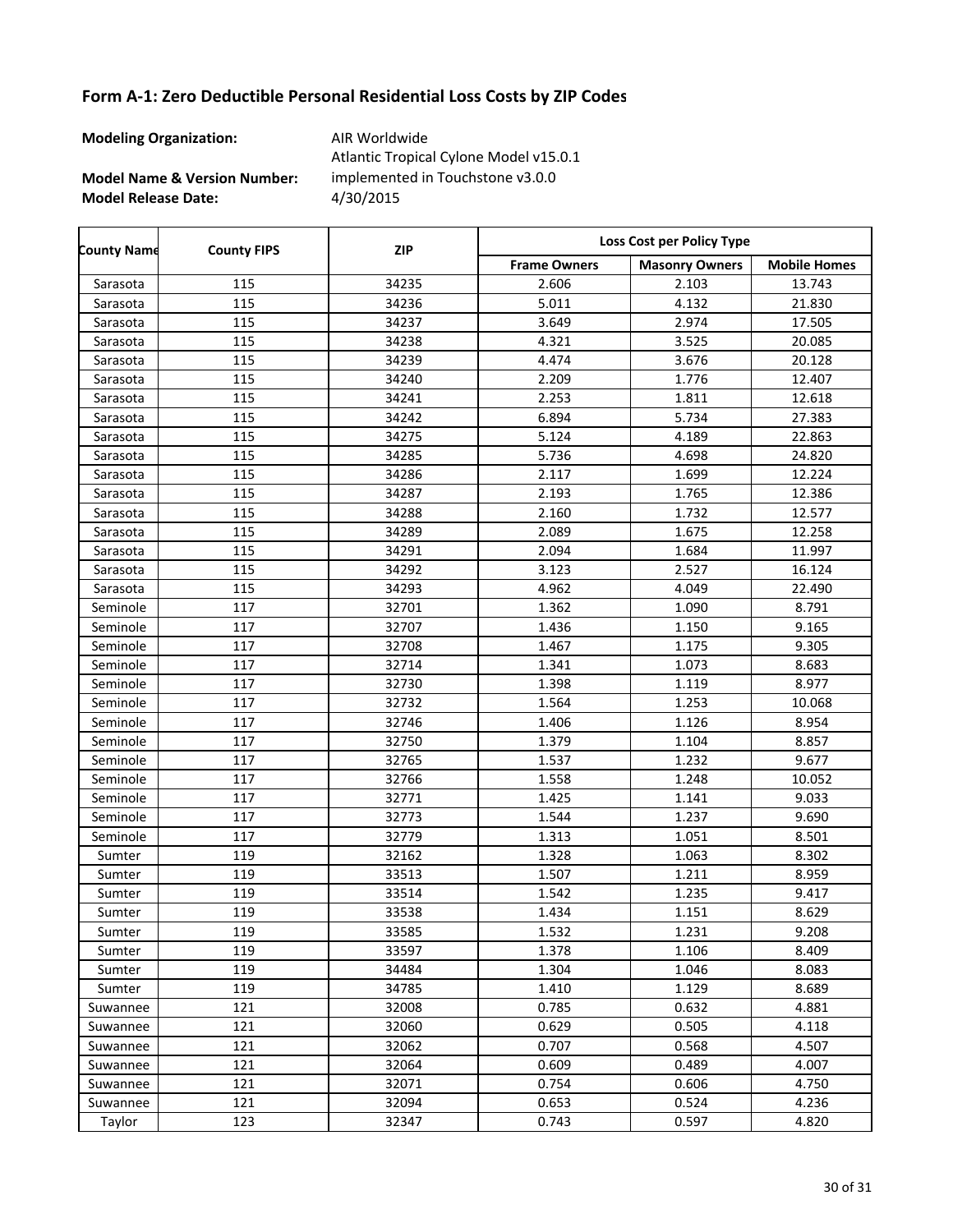**Modeling Organization:** AIR Worldwide

**Model Name & Version Number:**

**Model Release Date:** 4/30/2015 Atlantic Tropical Cylone Model v15.0.1 implemented in Touchstone v3.0.0

Frame Owners | Masonry Owners | Mobile Homes **County Name County FIPS Loss Cost per Policy Type ZIP** Sarasota 115 34235 2.606 2.103 13.743 Sarasota 115 34236 5.011 4.132 21.830 Sarasota 115 34237 3.649 2.974 17.505 Sarasota 115 34238 4.321 3.525 20.085 Sarasota 115 34239 4.474 3.676 20.128 Sarasota 115 34240 2.209 1.776 12.407 Sarasota 115 34241 2.253 1.811 12.618 Sarasota 115 34242 6.894 5.734 27.383 Sarasota 115 34275 5.124 4.189 22.863 Sarasota 115 34285 5.736 4.698 24.820 Sarasota 115 34286 2.117 1.699 12.224 Sarasota 115 34287 2.193 1.765 12.386 Sarasota 115 34288 2.160 1.732 12.577 Sarasota 115 34289 2.089 1.675 12.258 Sarasota 115 34291 2.094 1.684 11.997 Sarasota 115 34292 3.123 2.527 16.124 Sarasota 115 34293 4.962 4.049 22.490 Seminole | 117 | 32701 | 1.362 | 1.090 | 8.791 Seminole | 117 | 32707 | 1.436 | 1.150 | 9.165 Seminole | 117 | 32708 | 1.467 | 1.175 | 9.305 Seminole | 117 | 32714 | 1.341 | 1.073 | 8.683 Seminole | 117 | 32730 | 1.398 | 1.119 | 8.977 Seminole | 117 | 32732 | 1.564 | 1.253 | 10.068 Seminole | 117 | 32746 | 1.406 | 1.126 | 8.954 Seminole | 117 | 32750 | 1.379 | 1.104 | 8.857 Seminole | 117 | 32765 | 1.537 | 1.232 | 9.677 Seminole | 117 | 32766 | 1.558 | 1.248 | 10.052 Seminole | 117 | 32771 | 1.425 | 1.141 | 9.033 Seminole | 117 | 32773 | 1.544 | 1.237 | 9.690 Seminole | 117 | 32779 | 1.313 | 1.051 | 8.501 Sumter | 119 | 32162 | 1.328 | 1.063 | 8.302 Sumter | 119 | 33513 | 1.507 | 1.211 | 8.959 Sumter | 119 | 33514 | 1.542 | 1.235 | 9.417 Sumter | 119 | 33538 | 1.434 | 1.151 | 8.629 Sumter | 119 | 33585 | 1.532 | 1.231 | 9.208 Sumter | 119 | 33597 | 1.378 | 1.106 | 8.409 Sumter | 119 | 34484 | 1.304 | 1.046 | 8.083 Sumter | 119 | 34785 | 1.410 | 1.129 | 8.689 Suwannee | 121 | 32008 | 0.785 | 0.632 | 4.881 Suwannee | 121 | 32060 | 0.629 | 0.505 | 4.118 Suwannee | 121 | 32062 | 0.707 | 0.568 | 4.507 Suwannee | 121 | 32064 | 0.609 | 0.489 | 4.007 Suwannee | 121 | 32071 | 0.754 | 0.606 | 4.750 Suwannee | 121 | 32094 | 0.653 | 0.524 | 4.236 Taylor 123 32347 0.743 0.597 4.820